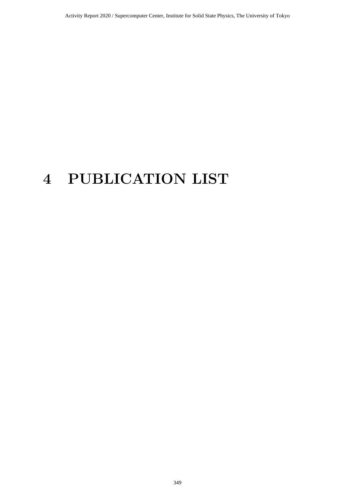# **4 PUBLICATION LIST**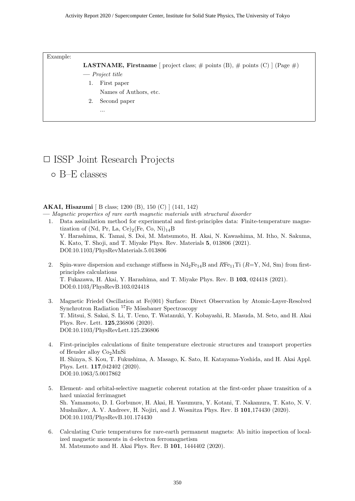#### Example:

**LASTNAME, Firstname** [ project class;  $\#$  points (B),  $\#$  points (C) ] (Page  $\#$ )

- **—** *Project title*
	- 1. First paper
		- Names of Authors, etc.
	- 2. Second paper
		- ...

# *✷* ISSP Joint Research Projects

*◦* B–E classes

#### **AKAI, Hisazumi** [ B class; 1200 (B), 150 (C) ] (141, 142)

**—** *Magnetic properties of rare earth magnetic materials with structural disorder*

- 1. Data assimilation method for experimental and first-principles data: Finite-temperature magnetization of (Nd, Pr, La, Ce)<sub>2</sub>(Fe, Co, Ni)<sub>14</sub>B Y. Harashima, K. Tamai, S. Doi, M. Matsumoto, H. Akai, N. Kawashima, M. Itho, N. Sakuma, K. Kato, T. Shoji, and T. Miyake Phys. Rev. Materials **5**, 013806 (2021). DOI:10.1103/PhysRevMaterials.5.013806
- 2. Spin-wave dispersion and exchange stiffness in  $Nd_2Fe_{14}B$  and  $RFe_{11}Ti$  ( $R=Y$ , Nd, Sm) from firstprinciples calculations T. Fukazawa, H. Akai, Y. Harashima, and T. Miyake Phys. Rev. B **103**, 024418 (2021). DOI:0.1103/PhysRevB.103.024418
- 3. Magnetic Friedel Oscillation at Fe(001) Surface: Direct Observation by Atomic-Layer-Resolved Synchrotron Radiation <sup>57</sup>Fe Mössbauer Spectroscopy T. Mitsui, S. Sakai, S. Li, T. Ueno, T. Watanuki, Y. Kobayashi, R. Masuda, M. Seto, and H. Akai Phys. Rev. Lett. **125**,236806 (2020). DOI:10.1103/PhysRevLett.125.236806
- 4. First-principles calculations of finite temperature electronic structures and transport properties of Heusler alloy  $Co<sub>2</sub>MnSi$ H. Shinya, S. Kou, T. Fukushima, A. Masago, K. Sato, H. Katayama-Yoshida, and H. Akai Appl. Phys. Lett. **117**,042402 (2020). DOI:10.1063/5.0017862
- 5. Element- and orbital-selective magnetic coherent rotation at the first-order phase transition of a hard uniaxial ferrimagnet Sh. Yamamoto, D. I. Gorbunov, H. Akai, H. Yasumura, Y. Kotani, T. Nakamura, T. Kato, N. V. Mushnikov, A. V. Andreev, H. Nojiri, and J. Wosnitza Phys. Rev. B **101**,174430 (2020). DOI:10.1103/PhysRevB.101.174430
- 6. Calculating Curie temperatures for rare-earth permanent magnets: Ab initio inspection of localized magnetic moments in d-electron ferromagnetism M. Matsumoto and H. Akai Phys. Rev. B **101**, 1444402 (2020).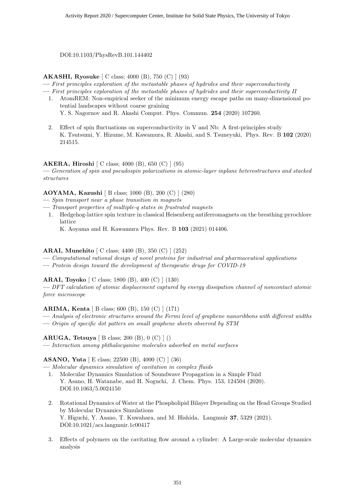DOI:10.1103/PhysRevB.101.144402

**AKASHI, Ryosuke** [ C class; 4000 (B), 750 (C) ] (93)

**—** *First principles exploration of the metastable phases of hydrides and their superconductivity*

**—** *First principles exploration of the metastable phases of hydrides and their superconductivity II*

- 1. AtomREM: Non-empirical seeker of the minimum energy escape paths on many-dimensional potential landscapes without coarse graining
	- Y. S. Nagornov and R. Akashi Comput. Phys. Commun. **254** (2020) 107260.
- 2. Effect of spin fluctuations on superconductivity in V and Nb: A first-principles study K. Tsutsumi, Y. Hizume, M. Kawamura, R. Akashi, and S. Tsuneyuki, Phys. Rev. B **102** (2020) 214515.

#### **AKERA, Hiroshi** [ C class; 4000 (B), 650 (C) ] (95)

**—** *Generation of spin and pseudospin polarizations in atomic-layer inplane heterostructures and stacked structures*

#### **AOYAMA, Kazushi** [ B class; 1000 (B), 200 (C) ] (280)

- **—** *Spin transport near a phase transition in magnets*
- **—** *Transport properties of multiple-q states in frustrated magnets*
- 1. Hedgehog-lattice spin texture in classical Heisenberg antiferromagnets on the breathing pyrochlore lattice
	- K. Aoyama and H. Kawamura Phys. Rev. B **103** (2021) 014406.

#### **ARAI, Munehito** [ C class; 4400 (B), 350 (C) ] (252)

- **—** *Computational rational design of novel proteins for industrial and pharmaceutical applications*
- **—** *Protein design toward the development of therapeutic drugs for COVID-19*

#### **ARAI, Toyoko** [ C class; 1800 (B), 400 (C) ] (130)

**—** *DFT calculation of atomic displacement captured by energy dissipation channel of noncontact atomic force microscope*

#### **ARIMA, Kenta** [ B class; 600 (B), 150 (C) ] (171)

**—** *Analysis of electronic structures around the Fermi level of graphene nanoribbons with different widths* **—** *Origin of specific dot patters on small graphene sheets observed by STM*

**ARUGA, Tetsuya** [ B class; 200 (B), 0 (C) ] ()

**—** *Interaction among phthalocyanine molecules adsorbed on metal surfaces*

#### **ASANO, Yuta** [ E class; 22500 (B), 4000 (C) ] (36)

- **—** *Molecular dynamics simulation of cavitation in complex fluids*
- 1. Molecular Dynamics Simulation of Soundwave Propagation in a Simple Fluid Y. Asano, H. Watanabe, and H. Noguchi, J. Chem. Phys. 153, 124504 (2020). DOI:10.1063/5.0024150
- 2. Rotational Dynamics of Water at the Phospholipid Bilayer Depending on the Head Groups Studied by Molecular Dynamics Simulations Y. Higuchi, Y. Asano, T. Kuwahara, and M. Hishida, Langmuir **37**, 5329 (2021). DOI:10.1021/acs.langmuir.1c00417
- 3. Effects of polymers on the cavitating flow around a cylinder: A Large-scale molecular dynamics analysis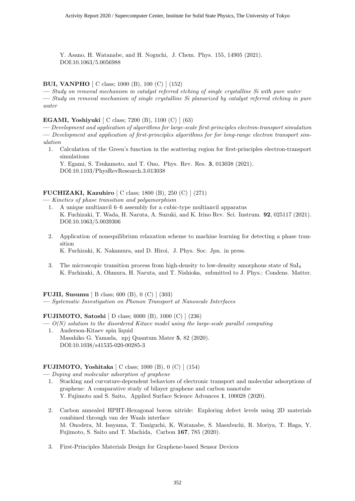Y. Asano, H. Watanabe, and H. Noguchi, J. Chem. Phys. 155, 14905 (2021). DOI:10.1063/5.0056988

#### **BUI, VANPHO** [ C class; 1000 (B), 100 (C) ] (152)

**—** *Study on removal mechanism in catalyst referred etching of single crystalline Si with pure water* **—** *Study on removal mechanism of single crystalline Si planarized by catalyst referred etching in pure water*

#### **EGAMI, Yoshiyuki** [ C class; 7200 (B), 1100 (C) ] (63)

**—** *Development and application of algorithms for large-scale first-principles electron-transport simulation*

**—** *Development and application of first-principles algorithms for for long-range electron transport simulation*

1. Calculation of the Green's function in the scattering region for first-principles electron-transport simulations

Y. Egami, S. Tsukamoto, and T. Ono, Phys. Rev. Res. **3**, 013038 (2021). DOI:10.1103/PhysRevResearch.3.013038

#### **FUCHIZAKI, Kazuhiro** [ C class; 1800 (B), 250 (C) ] (271)

**—** *Kinetics of phase transition and polyamorphism*

- 1. A unique multianvil 6–6 assembly for a cubic-type multianvil apparatus K. Fuchizaki, T. Wada, H. Naruta, A. Suzuki, and K. Irino Rev. Sci. Instrum. **92**, 025117 (2021). DOI:10.1063/5.0039306
- 2. Application of nonequilibrium relaxation scheme to machine learning for detecting a phase transition K. Fuchizaki, K. Nakamura, and D. Hiroi, J. Phys. Soc. Jpn. in press.
- 3. The microscopic transition process from high-density to low-density amorphous state of  $SnI<sub>4</sub>$ K. Fuchizaki, A. Ohmura, H. Naruta, and T. Nishioka, submitted to J. Phys.: Condens. Matter.

#### **FUJII, Susumu** [ B class; 600 (B), 0 (C) ] (303)

**—** *Systematic Investigation on Phonon Transport at Nanoscale Interfaces*

#### **FUJIMOTO, Satoshi** [ D class; 6000 (B), 1000 (C) ] (236)

- **—** *O(N) solution to the disordered Kitaev model using the large-scale parallel computing* 1. Anderson-Kitaev spin liquid
	- Masahiko G. Yamada, npj Quantum Mater **5**, 82 (2020). DOI:10.1038/s41535-020-00285-3

#### **FUJIMOTO, Yoshitaka** [ C class; 1000 (B), 0 (C) ] (154)

**—** *Doping and molecular adsorption of graphene*

- 1. Stacking and curvature-dependent behaviors of electronic transport and molecular adsorptions of graphene: A comparative study of bilayer graphene and carbon nanotube Y. Fujimoto and S. Saito, Applied Surface Science Advances **1**, 100028 (2020).
- 2. Carbon annealed HPHT-Hexagonal boron nitride: Exploring defect levels using 2D materials combined through van der Waals interface M. Onodera, M. Isayama, T. Taniguchi, K. Watanabe, S. Masubuchi, R. Moriya, T. Haga, Y. Fujimoto, S. Saito and T. Machida, Carbon **167**, 785 (2020).
- 3. First-Principles Materials Design for Graphene-based Sensor Devices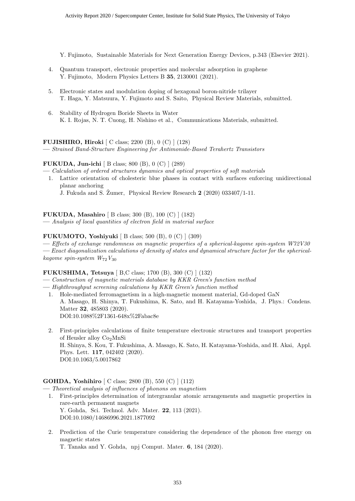Y. Fujimoto, Sustainable Materials for Next Generation Energy Devices, p.343 (Elsevier 2021).

- 4. Quantum transport, electronic properties and molecular adsorption in graphene Y. Fujimoto, Modern Physics Letters B **35**, 2130001 (2021).
- 5. Electronic states and modulation doping of hexagonal boron-nitride trilayer T. Haga, Y. Matsuura, Y. Fujimoto and S. Saito, Physical Review Materials, submitted.
- 6. Stability of Hydrogen Boride Sheets in Water K. I. Rojas, N. T. Cuong, H. Nishino et al., Communications Materials, submitted.

#### **FUJISHIRO, Hiroki** [ C class; 2200 (B), 0 (C) ] (128)

**—** *Strained Band-Structure Engineering for Antimonide-Based Terahertz Transistors*

#### **FUKUDA, Jun-ichi** [ B class; 800 (B), 0 (C) ] (289)

- **—** *Calculation of ordered structures dynamics and optical properties of soft materials*
- 1. Lattice orientation of cholesteric blue phases in contact with surfaces enforcing unidirectional planar anchoring

J. Fukuda and S. Žumer, Physical Review Research 2 (2020) 033407/1-11.

#### **FUKUDA, Masahiro** [ B class; 300 (B), 100 (C) ] (182)

**—** *Analysis of local quantities of electron field in material surface*

#### **FUKUMOTO, Yoshiyuki** [ B class; 500 (B), 0 (C) ] (309)

**—** *Effects of exchange randomness on magnetic properties of a spherical-kagome spin-system W72V30* **—** *Exact diagonalization calculations of density of states and dynamical structure factor for the sphericalkagome spin-system W*72*V*<sup>30</sup>

#### **FUKUSHIMA, Tetsuya** [ B,C class; 1700 (B), 300 (C) ] (132)

- **—** *Construction of magnetic materials database by KKR Green's function method*
- **—** *Highthroughput screening calculations by KKR Green's function method*
	- 1. Hole-mediated ferromagnetism in a high-magnetic moment material, Gd-doped GaN A. Masago, H. Shinya, T. Fukushima, K. Sato, and H. Katayama-Yoshida, J. Phys.: Condens. Matter **32**, 485803 (2020). DOI:10.1088%2F1361-648x%2Fabac8e
	- 2. First-principles calculations of finite temperature electronic structures and transport properties of Heusler alloy Co2MnSi H. Shinya, S. Kou, T. Fukushima, A. Masago, K. Sato, H. Katayama-Yoshida, and H. Akai, Appl. Phys. Lett. **117**, 042402 (2020). DOI:10.1063/5.0017862

#### **GOHDA, Yoshihiro** [ C class; 2800 (B), 550 (C) ] (112)

- **—** *Theoretical analysis of influences of phonons on magnetism*
	- 1. First-principles determination of intergranular atomic arrangements and magnetic properties in rare-earth permanent magnets Y. Gohda, Sci. Technol. Adv. Mater. **22**, 113 (2021). DOI:10.1080/14686996.2021.1877092
	- 2. Prediction of the Curie temperature considering the dependence of the phonon free energy on magnetic states
		- T. Tanaka and Y. Gohda, npj Comput. Mater. **6**, 184 (2020).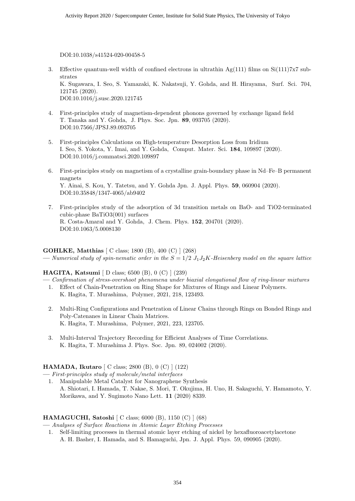DOI:10.1038/s41524-020-00458-5

- 3. Effective quantum-well width of confined electrons in ultrathin  $Ag(111)$  films on  $Si(111)7x7$  substrates K. Sugawara, I. Seo, S. Yamazaki, K. Nakatsuji, Y. Gohda, and H. Hirayama, Surf. Sci. 704, 121745 (2020). DOI:10.1016/j.susc.2020.121745
- 4. First-principles study of magnetism-dependent phonons governed by exchange ligand field T. Tanaka and Y. Gohda, J. Phys. Soc. Jpn. **89**, 093705 (2020). DOI:10.7566/JPSJ.89.093705
- 5. First-principles Calculations on High-temperature Desorption Loss from Iridium I. Seo, S. Yokota, Y. Imai, and Y. Gohda, Comput. Mater. Sci. **184**, 109897 (2020). DOI:10.1016/j.commatsci.2020.109897
- 6. First-principles study on magnetism of a crystalline grain-boundary phase in Nd–Fe–B permanent magnets Y. Ainai, S. Kou, Y. Tatetsu, and Y. Gohda Jpn. J. Appl. Phys. **59**, 060904 (2020). DOI:10.35848/1347-4065/ab9402
- 7. First-principles study of the adsorption of 3d transition metals on BaO- and TiO2-terminated cubic-phase BaTiO3(001) surfaces R. Costa-Amaral and Y. Gohda, J. Chem. Phys. **152**, 204701 (2020). DOI:10.1063/5.0008130

#### **GOHLKE, Matthias** [ C class; 1800 (B), 400 (C) ] (268)  $\rightarrow$  *Numerical study of spin-nematic order in the*  $S = 1/2$  *J*<sub>1</sub>*J*<sub>2</sub>*K-Heisenberg model on the square lattice*

#### **HAGITA, Katsumi** [ D class; 6500 (B), 0 (C) ] (239)

- **—** *Confirmation of stress-overshoot phenomena under biaxial elongational flow of ring-linear mixtures*
- 1. Effect of Chain-Penetration on Ring Shape for Mixtures of Rings and Linear Polymers. K. Hagita, T. Murashima, Polymer, 2021, 218, 123493.
- 2. Multi-Ring Configurations and Penetration of Linear Chains through Rings on Bonded Rings and Poly-Catenanes in Linear Chain Matrices. K. Hagita, T. Murashima, Polymer, 2021, 223, 123705.
- 3. Multi-Interval Trajectory Recording for Efficient Analyses of Time Correlations. K. Hagita, T. Murashima J. Phys. Soc. Jpn. 89, 024002 (2020).

#### **HAMADA, Ikutaro** [ C class; 2800 (B), 0 (C) ] (122)

**—** *First-principles study of molecule/metal interfaces*

1. Manipulable Metal Catalyst for Nanographene Synthesis A. Shiotari, I. Hamada, T. Nakae, S. Mori, T. Okujima, H. Uno, H. Sakaguchi, Y. Hamamoto, Y. Morikawa, and Y. Sugimoto Nano Lett. **11** (2020) 8339.

#### **HAMAGUCHI, Satoshi** [ C class; 6000 (B), 1150 (C) ] (68)

**—** *Analyses of Surface Reactions in Atomic Layer Etching Processes*

1. Self-limiting processes in thermal atomic layer etching of nickel by hexafluoroacetylacetone A. H. Basher, I. Hamada, and S. Hamaguchi, Jpn. J. Appl. Phys. 59, 090905 (2020).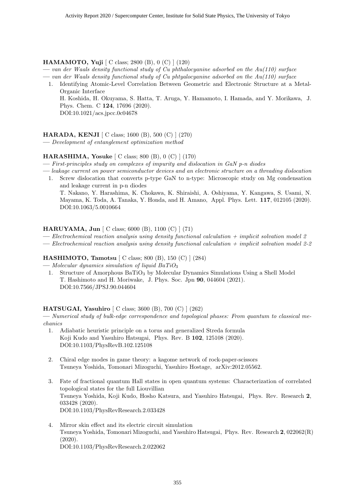#### **HAMAMOTO, Yuji** [ C class; 2800 (B), 0 (C) ] (120)

**—** *van der Waals density functional study of Cu phthalocyanine adsorbed on the Au(110) surface*

- **—** *van der Waals density functional study of Cu phtyalocyanine adsorbed on the Au(110) surface*
	- 1. Identifying Atomic-Level Correlation Between Geometric and Electronic Structure at a Metal-Organic Interface H. Koshida, H. Okuyama, S. Hatta, T. Aruga, Y. Hamamoto, I. Hamada, and Y. Morikawa, J. Phys. Chem. C **124**, 17696 (2020). DOI:10.1021/acs.jpcc.0c04678

#### **HARADA, KENJI** [ C class; 1600 (B), 500 (C) ] (270)

**—** *Development of entanglement optimization method*

#### **HARASHIMA, Yosuke** [ C class; 800 (B), 0 (C) ] (170)

**—** *First-principles study on complexes of impurity and dislocation in GaN p-n diodes*

- **—** *leakage current on power semiconductor devices and an electronic structure on a threading dislocation*
	- 1. Screw dislocation that converts p-type GaN to n-type: Microscopic study on Mg condensation and leakage current in p-n diodes T. Nakano, Y. Harashima, K. Chokawa, K. Shiraishi, A. Oshiyama, Y. Kangawa, S. Usami, N. Mayama, K. Toda, A. Tanaka, Y. Honda, and H. Amano, Appl. Phys. Lett. **117**, 012105 (2020). DOI:10.1063/5.0010664

#### **HARUYAMA, Jun** [ C class; 6000 (B), 1100 (C) ] (71)

**—** *Electrochemical reaction analysis using density functional calculation + implicit solvation model 2*

**—** *Electrochemical reaction analysis using density functional calculation + implicit solvation model 2-2*

#### **HASHIMOTO, Tamotsu** [ C class; 800 (B), 150 (C) ] (284)

**—** *Molecular dynamics simulation of liquid BaTiO*<sup>3</sup>

1. Structure of Amorphous BaTiO<sub>3</sub> by Molecular Dynamics Simulations Using a Shell Model T. Hashimoto and H. Moriwake, J. Phys. Soc. Jpn **90**, 044604 (2021). DOI:10.7566/JPSJ.90.044604

#### **HATSUGAI, Yasuhiro** [ C class; 3600 (B), 700 (C) ] (262)

**—** *Numerical study of bulk-edge correspondence and topological phases: From quantum to classical mechanics*

- 1. Adiabatic heuristic principle on a torus and generalized Streda formula Koji Kudo and Yasuhiro Hatsugai, Phys. Rev. B **102**, 125108 (2020). DOI:10.1103/PhysRevB.102.125108
- 2. Chiral edge modes in game theory: a kagome network of rock-paper-scissors Tsuneya Yoshida, Tomonari Mizoguchi, Yasuhiro Hostage, arXiv:2012.05562.
- 3. Fate of fractional quantum Hall states in open quantum systems: Characterization of correlated topological states for the full Liouvillian Tsuneya Yoshida, Koji Kudo, Hosho Katsura, and Yasuhiro Hatsugai, Phys. Rev. Research **2**, 033428 (2020). DOI:10.1103/PhysRevResearch.2.033428
- 4. Mirror skin effect and its electric circuit simulation Tsuneya Yoshida, Tomonari Mizoguchi, and Yasuhiro Hatsugai, Phys. Rev. Research **2**, 022062(R) (2020). DOI:10.1103/PhysRevResearch.2.022062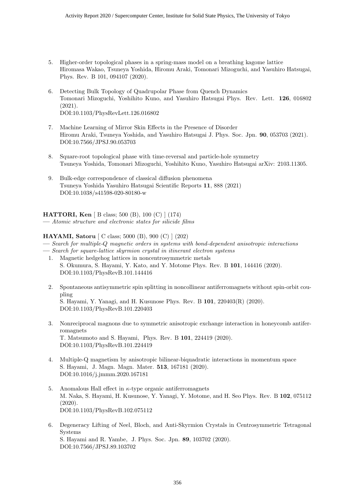- 5. Higher-order topological phases in a spring-mass model on a breathing kagome lattice Hiromasa Wakao, Tsuneya Yoshida, Hiromu Araki, Tomonari Mizoguchi, and Yasuhiro Hatsugai, Phys. Rev. B 101, 094107 (2020).
- 6. Detecting Bulk Topology of Quadrupolar Phase from Quench Dynamics Tomonari Mizoguchi, Yoshihito Kuno, and Yasuhiro Hatsugai Phys. Rev. Lett. **126**, 016802 (2021). DOI:10.1103/PhysRevLett.126.016802
- 7. Machine Learning of Mirror Skin Effects in the Presence of Disorder Hiromu Araki, Tsuneya Yoshida, and Yasuhiro Hatsugai J. Phys. Soc. Jpn. **90**, 053703 (2021). DOI:10.7566/JPSJ.90.053703
- 8. Square-root topological phase with time-reversal and particle-hole symmetry Tsuneya Yoshida, Tomonari Mizoguchi, Yoshihito Kuno, Yasuhiro Hatsugai arXiv: 2103.11305.
- 9. Bulk-edge correspondence of classical diffusion phenomena Tsuneya Yoshida Yasuhiro Hatsugai Scientific Reports **11**, 888 (2021) DOI:10.1038/s41598-020-80180-w

**HATTORI, Ken** [ B class; 500 (B), 100 (C) ] (174) **—** *Atomic structure and electronic states for silicide films*

#### **HAYAMI, Satoru** [ C class; 5000 (B), 900 (C) ] (202)

**—** *Search for multiple-Q magnetic orders in systems with bond-dependent anisotropic interactions*

- **—** *Search for square-lattice skyrmion crystal in itinerant electron systems* 1. Magnetic hedgehog lattices in noncentrosymmetric metals
	- S. Okumura, S. Hayami, Y. Kato, and Y. Motome Phys. Rev. B **101**, 144416 (2020). DOI:10.1103/PhysRevB.101.144416
	- 2. Spontaneous antisymmetric spin splitting in noncollinear antiferromagnets without spin-orbit coupling S. Hayami, Y. Yanagi, and H. Kusunose Phys. Rev. B **101**, 220403(R) (2020). DOI:10.1103/PhysRevB.101.220403
	- 3. Nonreciprocal magnons due to symmetric anisotropic exchange interaction in honeycomb antiferromagnets T. Matsumoto and S. Hayami, Phys. Rev. B **101**, 224419 (2020). DOI:10.1103/PhysRevB.101.224419
	- 4. Multiple-Q magnetism by anisotropic bilinear-biquadratic interactions in momentum space S. Hayami, J. Magn. Magn. Mater. **513**, 167181 (2020). DOI:10.1016/j.jmmm.2020.167181
	- 5. Anomalous Hall effect in *κ*-type organic antiferromagnets M. Naka, S. Hayami, H. Kusunose, Y. Yanagi, Y. Motome, and H. Seo Phys. Rev. B **102**, 075112 (2020). DOI:10.1103/PhysRevB.102.075112
	- 6. Degeneracy Lifting of Neel, Bloch, and Anti-Skyrmion Crystals in Centrosymmetric Tetragonal Systems S. Hayami and R. Yambe, J. Phys. Soc. Jpn. **89**, 103702 (2020). DOI:10.7566/JPSJ.89.103702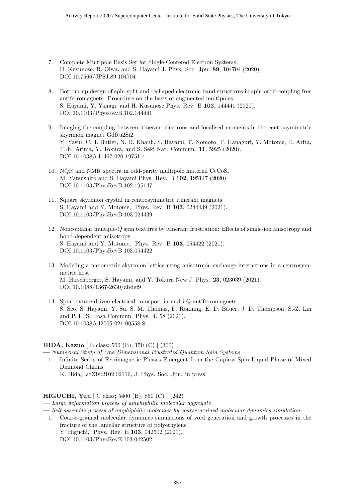- 7. Complete Multipole Basis Set for Single-Centered Electron Systems H. Kusunose, R. Oiwa, and S. Hayami J. Phys. Soc. Jpn. **89**, 104704 (2020). DOI:10.7566/JPSJ.89.104704
- 8. Bottom-up design of spin-split and reshaped electronic band structures in spin-orbit-coupling free antiferromagnets: Procedure on the basis of augmented multipoles S. Hayami, Y. Yanagi, and H. Kusunose Phys. Rev. B **102**, 144441 (2020). DOI:10.1103/PhysRevB.102.144441
- 9. Imaging the coupling between itinerant electrons and localised moments in the centrosymmetric skyrmion magnet GdRu2Si2 Y. Yasui, C. J. Butler, N. D. Khanh, S. Hayami, T. Nomoto, T. Hanaguri, Y. Motome, R. Arita, T.-h. Arima, Y. Tokura, and S. Seki Nat. Commun. **11**, 5925 (2020). DOI:10.1038/s41467-020-19751-4
- 10. NQR and NMR spectra in odd-parity multipole material CeCoSi M. Yatsushiro and S. Hayami Phys. Rev. B **102**, 195147 (2020). DOI:10.1103/PhysRevB.102.195147
- 11. Square skyrmion crystal in centrosymmetric itinerant magnets S. Hayami and Y. Motome, Phys. Rev. B **103**, 0244439 (2021). DOI:10.1103/PhysRevB.103.024439
- 12. Noncoplanar multiple-*Q* spin textures by itinerant frustration: Effects of single-ion anisotropy and bond-dependent anisotropy S. Hayami and Y. Motome, Phys. Rev. B **103**, 054422 (2021). DOI:10.1103/PhysRevB.103.054422
- 13. Modeling a nanometric skyrmion lattice using anisotropic exchange interactions in a centrosymmetric host M. Hirschberger, S. Hayami, and Y. Tokura New J. Phys. **23**, 023039 (2021). DOI:10.1088/1367-2630/abdef9
- 14. Spin-texture-driven electrical transport in multi-Q antiferromagnets S. Seo, S. Hayami, Y. Su, S. M. Thomas, F. Ronning, E. D. Bauer, J. D. Thompson, S.-Z. Lin and P. F. S. Rosa Commun. Phys. **4**, 58 (2021). DOI:10.1038/s42005-021-00558-8

#### **HIDA, Kazuo** [ B class; 500 (B), 150 (C) ] (300)

**—** *Numerical Study of One Dimensional Frustrated Quantum Spin Systems*

1. Infinite Series of Ferrimagnetic Phases Emergent from the Gapless Spin Liquid Phase of Mixed Diamond Chains K. Hida, arXiv:2102.02116, J. Phys. Soc. Jpn. in press.

#### **HIGUCHI, Yuji** [ C class; 5400 (B), 850 (C) ] (242)

- **—** *Large deformation process of amphiphilic molecular aggregate*
- **—** *Self-assemble process of amphiphilic molecules by coarse-grained molecular dynamics simulation*
	- 1. Coarse-grained molecular dynamics simulations of void generation and growth processes in the fracture of the lamellar structure of polyethylene Y. Higuchi, Phys. Rev. E **103**, 042502 (2021). DOI:10.1103/PhysRevE.103.042502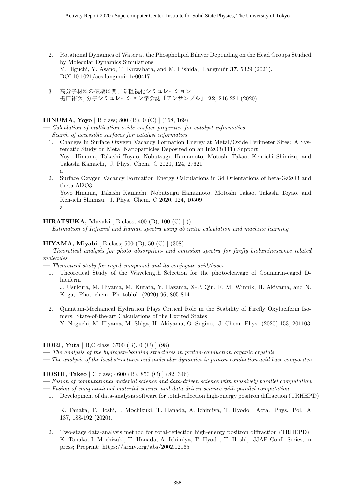- 2. Rotational Dynamics of Water at the Phospholipid Bilayer Depending on the Head Groups Studied by Molecular Dynamics Simulations Y. Higuchi, Y. Asano, T. Kuwahara, and M. Hishida, Langmuir **37**, 5329 (2021). DOI:10.1021/acs.langmuir.1c00417
- 3. 高分子材料の破壊に関する粗視化シミュレーション 樋口祐次, 分子シミュレーション学会誌「アンサンブル」 **22**, 216-221 (2020).

#### **HINUMA, Yoyo** [ B class; 800 (B), 0 (C) ] (168, 169)

**—** *Calculation of multication oxide surface properties for catalyst informatics*

- **—** *Search of accessible surfaces for catalyst informatics*
	- 1. Changes in Surface Oxygen Vacancy Formation Energy at Metal/Oxide Perimeter Sites: A Systematic Study on Metal Nanoparticles Deposited on an In2O3(111) Support Yoyo Hinuma, Takashi Toyao, Nobutsugu Hamamoto, Motoshi Takao, Ken-ichi Shimizu, and Takashi Kamachi, J. Phys. Chem. C 2020, 124, 27621 a
	- 2. Surface Oxygen Vacancy Formation Energy Calculations in 34 Orientations of beta-Ga2O3 and theta-Al2O3

Yoyo Hinuma, Takashi Kamachi, Nobutsugu Hamamoto, Motoshi Takao, Takashi Toyao, and Ken-ichi Shimizu, J. Phys. Chem. C 2020, 124, 10509 a

#### **HIRATSUKA, Masaki** [ B class; 400 (B), 100 (C) ] ()

**—** *Estimation of Infrared and Raman spectra using ab initio calculation and machine learning*

#### **HIYAMA, Miyabi** [ B class; 500 (B), 50 (C) ] (308)

**—** *Theoretical analysis for photo absorption- and emission spectra for firefly bioluminescence related molecules*

- **—** *Theoretical study for caged compound and its conjugate acid/bases*
	- 1. Theoretical Study of the Wavelength Selection for the photocleavage of Coumarin-caged Dluciferin

J. Usukura, M. Hiyama, M. Kurata, Y. Hazama, X-P. Qiu, F. M. Winnik, H. Akiyama, and N. Koga, Photochem. Photobiol. (2020) 96, 805-814

2. Quantum-Mechanical Hydration Plays Critical Role in the Stability of Firefly Oxyluciferin Isomers: State-of-the-art Calculations of the Excited States Y. Noguchi, M. Hiyama, M. Shiga, H. Akiyama, O. Sugino, J. Chem. Phys. (2020) 153, 201103

#### **HORI, Yuta** [ B,C class; 3700 (B), 0 (C) ] (98)

- **—** *The analysis of the hydrogen-bonding structures in proton-conduction organic crystals*
- **—** *The analysis of the local structures and molecular dynamics in proton-conduction acid-base composites*

#### **HOSHI, Takeo** [ C class; 4600 (B), 850 (C) ] (82, 346)

- **—** *Fusion of computational material science and data-driven science with massively parallel computation*
- **—** *Fusion of computational material science and data-driven science with parallel computation*
- 1. Development of data-analysis software for total-reflection high-energy positron diffraction (TRHEPD)

K. Tanaka, T. Hoshi, I. Mochizuki, T. Hanada, A. Ichimiya, T. Hyodo, Acta. Phys. Pol. A 137, 188-192 (2020).

2. Two-stage data-analysis method for total-reflection high-energy positron diffraction (TRHEPD) K. Tanaka, I. Mochizuki, T. Hanada, A. Ichimiya, T. Hyodo, T. Hoshi, JJAP Conf. Series, in press; Preprint: https://arxiv.org/abs/2002.12165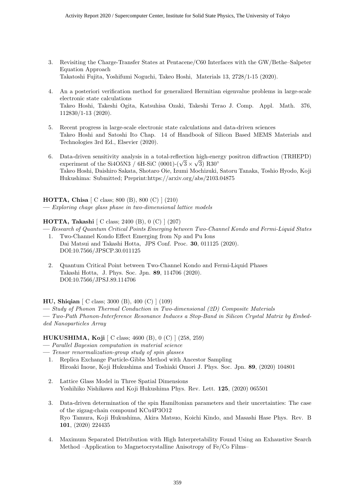- 3. Revisiting the Charge-Transfer States at Pentacene/C60 Interfaces with the GW/Bethe–Salpeter Equation Approach Takatoshi Fujita, Yoshifumi Noguchi, Takeo Hoshi, Materials 13, 2728/1-15 (2020).
- 4. An a posteriori verification method for generalized Hermitian eigenvalue problems in large-scale electronic state calculations Takeo Hoshi, Takeshi Ogita, Katsuhisa Ozaki, Takeshi Terao J. Comp. Appl. Math. 376, 112830/1-13 (2020).
- 5. Recent progress in large-scale electronic state calculations and data-driven sciences Takeo Hoshi and Satoshi Ito Chap. 14 of Handbook of Silicon Based MEMS Materials and Technologies 3rd Ed., Elsevier (2020).
- 6. Data-driven sensitivity analysis in a total-reflection high-energy positron diffraction (TRHEPD)  $\mu$  pata-driven sensitivity analysis in a total-reflection high-energy experiment of the Si4O5N3 / 6H-SiC (0001)-( $\sqrt{3} \times \sqrt{3}$ ) R30<sup>°</sup> Takeo Hoshi, Daishiro Sakata, Shotaro Oie, Izumi Mochizuki, Satoru Tanaka, Toshio Hyodo, Koji Hukushima: Submitted; Preprint:https://arxiv.org/abs/2103.04875

**HOTTA, Chisa** [ C class; 800 (B), 800 (C) ] (210) **—** *Exploring chage glass phase in two-dimensional lattice models*

**HOTTA, Takashi** [ C class; 2400 (B), 0 (C) ] (207)

**—** *Research of Quantum Critical Points Emerging between Two-Channel Kondo and Fermi-Liquid States* 1. Two-Channel Kondo Effect Emerging from Np and Pu Ions

- Dai Matsui and Takashi Hotta, JPS Conf. Proc. **30**, 011125 (2020). DOI:10.7566/JPSCP.30.011125
- 2. Quantum Critical Point between Two-Channel Kondo and Fermi-Liquid Phases Takashi Hotta, J. Phys. Soc. Jpn. **89**, 114706 (2020). DOI:10.7566/JPSJ.89.114706

**HU, Shiqian** [ C class; 3000 (B), 400 (C) ] (109)

**—** *Study of Phonon Thermal Conduction in Two-dimensional (2D) Composite Materials* **—** *Two-Path Phonon-Interference Resonance Induces a Stop-Band in Silicon Crystal Matrix by Embedded Nanoparticles Array*

**HUKUSHIMA, Koji** [ C class; 4600 (B), 0 (C) ] (258, 259)

- **—** *Parallel Bayesian computation in material science*
- **—** *Tensor renormalization-group study of spin glasses*
	- 1. Replica Exchange Particle-Gibbs Method with Ancestor Sampling Hiroaki Inoue, Koji Hukushima and Toshiaki Omori J. Phys. Soc. Jpn. **89**, (2020) 104801
	- 2. Lattice Glass Model in Three Spatial Dimensions Yoshihiko Nishikawa and Koji Hukushima Phys. Rev. Lett. **125**, (2020) 065501
	- 3. Data-driven determination of the spin Hamiltonian parameters and their uncertainties: The case of the zigzag-chain compound KCu4P3O12 Ryo Tamura, Koji Hukushima, Akira Matsuo, Koichi Kindo, and Masashi Hase Phys. Rev. B **101**, (2020) 224435
	- 4. Maximum Separated Distribution with High Interpretability Found Using an Exhaustive Search Method –Application to Magnetocrystalline Anisotropy of Fe/Co Films–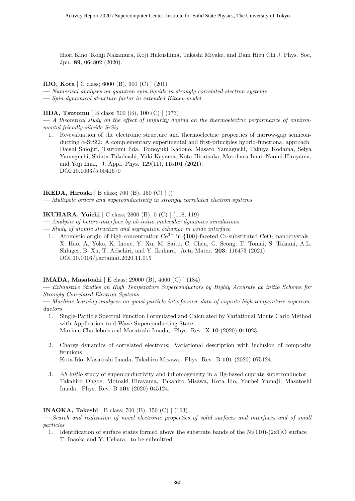Hiori Kino, Kohji Nakamura, Koji Hukushima, Takashi Miyake, and Dam Hieu Chi J. Phys. Soc. Jpn. **89**, 064802 (2020).

#### **IDO, Kota** [ C class; 6000 (B), 900 (C) ] (201)

**—** *Numerical analyses on quantum spin liquids in strongly correlated electron systems*

**—** *Spin dynamical structure factor in extended Kitaev model*

#### **IIDA, Tsutomu** [ B class; 500 (B), 100 (C) ] (173)

**—** *A theoretical study on the effect of impurity doping on the thermoelectric performance of environmental friendly silicide SrSi*<sub>2</sub>

1. Re-evaluation of the electronic structure and thermoelectric properties of narrow-gap semiconducting *α*-SrSi2: A complementary experimental and first-principles hybrid-functional approach Daishi Shiojiri, Tsutomu Iida, Tomoyuki Kadono, Masato Yamaguchi, Takuya Kodama, Seiya Yamaguchi, Shinta Takahashi, Yuki Kayama, Kota Hiratsuka, Motoharu Imai, Naomi Hirayama, and Yoji Imai, J. Appl. Phys. 129(11), 115101 (2021). DOI:10.1063/5.0041670

#### **IKEDA, Hiroaki** [ B class; 700 (B), 150 (C) ] ()

**—** *Multipole orders and superconductivity in strongly correlated electron systems*

**IKUHARA, Yuichi** [ C class; 2800 (B), 0 (C) ] (118, 119)

- **—** *Analysis of hetero-interface by ab-initio molecular dynamics simulations*
- **—** *Study of atomic structure and segregation behavior in oxide interface*
- 1. Atomistic origin of high-concentration  $Ce^{3+}$  in  $\{100\}$ -faceted Cr-substituted  $CeO<sub>2</sub>$  nanocrystals X. Hao, A. Yoko, K. Inoue, Y. Xu, M. Saito, C. Chen, G. Seong, T. Tomai, S. Takami, A.L. Shluger, B. Xu, T. Adschiri, and Y. Ikuhara, Acta Mater. **203**, 116473 (2021). DOI:10.1016/j.actamat.2020.11.015

#### **IMADA, Masatoshi** [ E class; 29000 (B), 4600 (C) ] (184)

**—** *Exhaustive Studies on High Temperature Superconductors by Highly Accurate ab initio Scheme for Strongly Correlated Electron Systems*

**—** *Machine learning analyses on quasi-particle interference data of cuprate high-temperature superconductors*

- 1. Single-Particle Spectral Function Formulated and Calculated by Variational Monte Carlo Method with Application to d-Wave Superconducting State Maxime Charlebois and Masatoshi Imada, Phys. Rev. X **10** (2020) 041023.
- 2. Charge dynamics of correlated electrons: Variational description with inclusion of composite fermions

Kota Ido, Masatoshi Imada, Takahiro Misawa, Phys. Rev. B **101** (2020) 075124.

3. *Ab initio* study of superconductivity and inhomogeneity in a Hg-based cuprate superconductor Takahiro Ohgoe, Motoaki Hirayama, Takahiro Misawa, Kota Ido, Youhei Yamaji, Masatoshi Imada, Phys. Rev. B **101** (2020) 045124.

#### **INAOKA, Takeshi** [ B class; 700 (B), 150 (C) ] (163)

**—** *Search and realization of novel electronic properties of solid surfaces and interfaces and of small particles*

1. Identification of surface states formed above the substrate bands of the  $Ni(110)-(2x1)O$  surface T. Inaoka and Y. Uehara, to be submitted.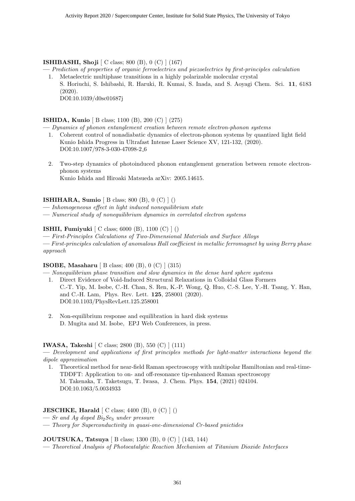#### **ISHIBASHI, Shoji** [ C class; 800 (B), 0 (C) ] (167)

- **—** *Prediction of properties of organic ferroelectrics and piezoelectrics by first-principles calculation* 1. Metaelectric multiphase transitions in a highly polarizable molecular crystal
	- S. Horiuchi, S. Ishibashi, R. Haruki, R. Kumai, S. Inada, and S. Aoyagi Chem. Sci. **11**, 6183 (2020).

DOI:10.1039/d0sc01687j

#### **ISHIDA, Kunio** [ B class; 1100 (B), 200 (C) ] (275)

**—** *Dynamics of phonon entanglement creation between remote electron-phonon systems*

- 1. Coherent control of nonadiabatic dynamics of electron-phonon systems by quantized light field Kunio Ishida Progress in Ultrafast Intense Laser Science XV, 121-132, (2020). DOI:10.1007/978-3-030-47098-2 6
- 2. Two-step dynamics of photoinduced phonon entanglement generation between remote electronphonon systems Kunio Ishida and Hiroaki Matsueda arXiv: 2005.14615.

#### **ISHIHARA, Sumio** [ B class; 800 (B), 0 (C) ] ()

**—** *Inhomogeneous effect in light induced nonequilibrium state*

**—** *Numerical study of nonequilibrium dynamics in correlated electron systems*

#### **ISHII, Fumiyuki** [ C class; 6000 (B), 1100 (C) ] ()

**—** *First-Principles Calculations of Two-Dimensional Materials and Surface Alloys* **—** *First-principles calculation of anomalous Hall coefficient in metallic ferromagnet by using Berry phase approach*

#### **ISOBE, Masaharu** [ B class; 400 (B), 0 (C) ] (315)

**—** *Nonequilibrium phase transition and slow dynamics in the dense hard sphere systems*

- 1. Direct Evidence of Void-Induced Structural Relaxations in Colloidal Glass Formers C.-T. Yip, M. Isobe, C.-H. Chan, S. Ren, K.-P. Wong, Q. Huo, C.-S. Lee, Y.-H. Tsang, Y. Han, and C.-H. Lam, Phys. Rev. Lett. **125**, 258001 (2020). DOI:10.1103/PhysRevLett.125.258001
- 2. Non-equilibrium response and equilibration in hard disk systems D. Mugita and M. Isobe, EPJ Web Conferences, in press.

#### **IWASA, Takeshi** [ C class; 2800 (B), 550 (C) ] (111)

**—** *Development and applications of first principles methods for light-matter interactions beyond the dipole approximation*

1. Theoretical method for near-field Raman spectroscopy with multipolar Hamiltonian and real-time-TDDFT: Application to on- and off-resonance tip-enhanced Raman spectroscopy M. Takenaka, T. Taketsugu, T. Iwasa, J. Chem. Phys. **154**, (2021) 024104. DOI:10.1063/5.0034933

#### **JESCHKE, Harald**  $\begin{bmatrix} C \ \text{class}; 4400 \ (B), 0 \ (C) \end{bmatrix}$

- **—** *Sr and Ag doped Bi*2*Se*<sup>3</sup> *under pressure*
- **—** *Theory for Superconductivity in quasi-one-dimensional Cr-based pnictides*

#### **JOUTSUKA, Tatsuya** [ B class; 1300 (B), 0 (C) ] (143, 144)

**—** *Theoretical Analysis of Photocatalytic Reaction Mechanism at Titanium Dioxide Interfaces*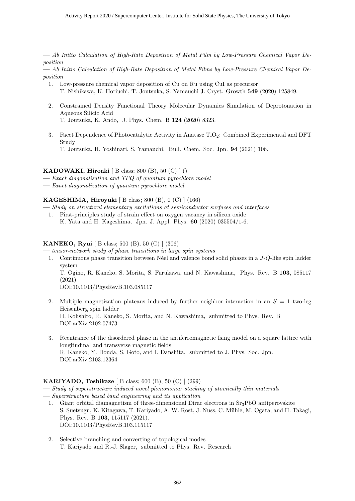**—** *Ab Initio Calculation of High-Rate Deposition of Metal Film by Low-Pressure Chemical Vapor Deposition*

**—** *Ab Initio Calculation of High-Rate Deposition of Metal Films by Low-Pressure Chemical Vapor Deposition*

- 1. Low-pressure chemical vapor deposition of Cu on Ru using CuI as precursor T. Nishikawa, K. Horiuchi, T. Joutsuka, S. Yamauchi J. Cryst. Growth **549** (2020) 125849.
- 2. Constrained Density Functional Theory Molecular Dynamics Simulation of Deprotonation in Aqueous Silicic Acid T. Joutsuka, K. Ando, J. Phys. Chem. B **124** (2020) 8323.
- 3. Facet Dependence of Photocatalytic Activity in Anatase  $TiO<sub>2</sub>$ : Combined Experimental and DFT Study T. Joutsuka, H. Yoshinari, S. Yamauchi, Bull. Chem. Soc. Jpn. **94** (2021) 106.

#### **KADOWAKI, Hiroaki** [ B class; 800 (B), 50 (C) ] ()

- **—** *Exact diagonalization and TPQ of quantum pyrochlore model*
- **—** *Exact diagonalization of quantum pyrochlore model*

#### **KAGESHIMA, Hiroyuki** [ B class; 800 (B), 0 (C) ] (166)

- **—** *Study on structural elementary excitations at semiconductor surfaces and interfaces*
- 1. First-principles study of strain effect on oxygen vacancy in silicon oxide K. Yata and H. Kageshima, Jpn. J. Appl. Phys. **60** (2020) 035504/1-6.

#### **KANEKO, Ryui** [ B class; 500 (B), 50 (C) ] (306)

**—** *tensor-network study of phase transitions in large spin systems*

1. Continuous phase transition between N´eel and valence bond solid phases in a *J*-*Q*-like spin ladder system T. Ogino, R. Kaneko, S. Morita, S. Furukawa, and N. Kawashima, Phys. Rev. B **103**, 085117 (2021)

DOI:10.1103/PhysRevB.103.085117

- 2. Multiple magnetization plateaus induced by further neighbor interaction in an  $S = 1$  two-leg Heisenberg spin ladder H. Kohshiro, R. Kaneko, S. Morita, and N. Kawashima, submitted to Phys. Rev. B DOI:arXiv:2102.07473
- 3. Reentrance of the disordered phase in the antiferromagnetic Ising model on a square lattice with longitudinal and transverse magnetic fields R. Kaneko, Y. Douda, S. Goto, and I. Danshita, submitted to J. Phys. Soc. Jpn. DOI:arXiv:2103.12364

#### **KARIYADO, Toshikaze** [ B class; 600 (B), 50 (C) ] (299)

- **—** *Study of superstructure induced novel phenomena: stacking of atomically thin materials*
- **—** *Superstructure based band engineering and its application*
	- 1. Giant orbital diamagnetism of three-dimensional Dirac electrons in  $Sr<sub>3</sub>PbO$  antiperovskite S. Suetsugu, K. Kitagawa, T. Kariyado, A. W. Rost, J. Nuss, C. Mühle, M. Ogata, and H. Takagi, Phys. Rev. B **103**, 115117 (2021). DOI:10.1103/PhysRevB.103.115117
	- 2. Selective branching and converting of topological modes T. Kariyado and R.-J. Slager, submitted to Phys. Rev. Research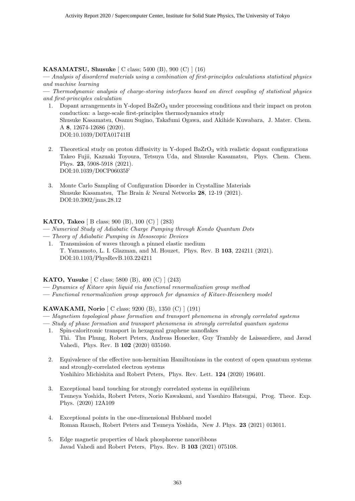#### **KASAMATSU, Shusuke** [ C class; 5400 (B), 900 (C) ] (16)

**—** *Analysis of disordered materials using a combination of first-principles calculations statistical physics and machine learning*

**—** *Thermodynamic analysis of charge-storing interfaces based on direct coupling of statistical physics and first-principles calculation*

- 1. Dopant arrangements in Y-doped BaZrO<sub>3</sub> under processing conditions and their impact on proton conduction: a large-scale first-principles thermodynamics study Shusuke Kasamatsu, Osamu Sugino, Takafumi Ogawa, and Akihide Kuwabara, J. Mater. Chem. A **8**, 12674-12686 (2020). DOI:10.1039/D0TA01741H
- 2. Theoretical study on proton diffusivity in Y-doped BaZrO<sub>3</sub> with realistic dopant configurations Takeo Fujii, Kazuaki Toyoura, Tetsuya Uda, and Shusuke Kasamatsu, Phys. Chem. Chem. Phys. **23**, 5908-5918 (2021). DOI:10.1039/D0CP06035F
- 3. Monte Carlo Sampling of Configuration Disorder in Crystalline Materials Shusuke Kasamatsu, The Brain & Neural Networks **28**, 12-19 (2021). DOI:10.3902/jnns.28.12

**KATO, Takeo** [ B class; 900 (B), 100 (C) ] (283)

- **—** *Numerical Study of Adiabatic Charge Pumping through Kondo Quantum Dots*
- **—** *Theory of Adiabatic Pumping in Mesoscopic Devices*
	- 1. Transmission of waves through a pinned elastic medium T. Yamamoto, L. I. Glazman, and M. Houzet, Phys. Rev. B **103**, 224211 (2021). DOI:10.1103/PhysRevB.103.224211

#### **KATO, Yusuke** [ C class; 5800 (B), 400 (C) ] (243)

- **—** *Dynamics of Kitaev spin liquid via functional renormalization group method*
- **—** *Functional renormalization group approach for dynamics of Kitaev-Heisenberg model*

#### **KAWAKAMI, Norio** [ C class; 9200 (B), 1350 (C) ] (191)

- **—** *Magnetism topological phase formation and transport phenomena in strongly correlated systems*
- **—** *Study of phase formation and transport phenomena in strongly correlated quantum systems*
- 1. Spin-caloritronic transport in hexagonal graphene nanoflakes Thi. Thu Phung, Robert Peters, Andreas Honecker, Guy Trambly de Laissardiere, and Javad Vahedi, Phys. Rev. B **102** (2020) 035160.
- 2. Equivalence of the effective non-hermitian Hamiltonians in the context of open quantum systems and strongly-correlated electron systems Yoshihiro Michishita and Robert Peters, Phys. Rev. Lett. **124** (2020) 196401.
- 3. Exceptional band touching for strongly correlated systems in equilibrium Tsuneya Yoshida, Robert Peters, Norio Kawakami, and Yasuhiro Hatsugai, Prog. Theor. Exp. Phys. (2020) 12A109
- 4. Exceptional points in the one-dimensional Hubbard model Roman Rausch, Robert Peters and Tsuneya Yoshida, New J. Phys. **23** (2021) 013011.
- 5. Edge magnetic properties of black phosphorene nanoribbons Javad Vahedi and Robert Peters, Phys. Rev. B **103** (2021) 075108.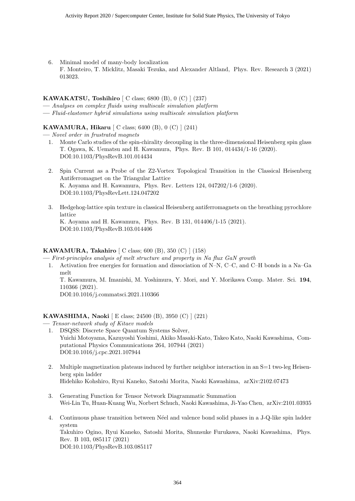6. Minimal model of many-body localization F. Monteiro, T. Micklitz, Masaki Tezuka, and Alexander Altland, Phys. Rev. Research 3 (2021) 013023.

#### **KAWAKATSU, Toshihiro** [ C class; 6800 (B), 0 (C) ] (237)

- **—** *Analyses on complex fluids using multiscale simulation platform*
- **—** *Fluid-elastomer hybrid simulations using multiscale simulation platform*

#### **KAWAMURA, Hikaru** [ C class; 6400 (B), 0 (C) ] (241)

**—** *Novel order in frustrated magnets*

- 1. Monte Carlo studies of the spin-chirality decoupling in the three-dimensional Heisenberg spin glass T. Ogawa, K. Uematsu and H. Kawamura, Phys. Rev. B 101, 014434/1-16 (2020). DOI:10.1103/PhysRevB.101.014434
- 2. Spin Current as a Probe of the Z2-Vortex Topological Transition in the Classical Heisenberg Antiferromagnet on the Triangular Lattice K. Aoyama and H. Kawamura, Phys. Rev. Letters 124, 047202/1-6 (2020). DOI:10.1103/PhysRevLett.124.047202
- 3. Hedgehog-lattice spin texture in classical Heisenberg antiferromagnets on the breathing pyrochlore lattice K. Aoyama and H. Kawamura, Phys. Rev. B 131, 014406/1-15 (2021). DOI:10.1103/PhysRevB.103.014406

#### **KAWAMURA, Takahiro** [ C class; 600 (B), 350 (C) ] (158)

- **—** *First-principles analysis of melt structure and property in Na flux GaN growth*
	- 1. Activation free energies for formation and dissociation of N–N, C–C, and C–H bonds in a Na–Ga melt

T. Kawamura, M. Imanishi, M. Yoshimura, Y. Mori, and Y. Morikawa Comp. Mater. Sci. **194**, 110366 (2021).

DOI:10.1016/j.commatsci.2021.110366

#### **KAWASHIMA, Naoki** [ E class; 24500 (B), 3950 (C) ] (221)

**—** *Tensor-network study of Kitaev models*

- 1. DSQSS: Discrete Space Quantum Systems Solver, Yuichi Motoyama, Kazuyoshi Yoshimi, Akiko Masaki-Kato, Takeo Kato, Naoki Kawashima, Computational Physics Communications 264, 107944 (2021) DOI:10.1016/j.cpc.2021.107944
- 2. Multiple magnetization plateaus induced by further neighbor interaction in an S=1 two-leg Heisenberg spin ladder Hidehiko Kohshiro, Ryui Kaneko, Satoshi Morita, Naoki Kawashima, arXiv:2102.07473
- 3. Generating Function for Tensor Network Diagrammatic Summation Wei-Lin Tu, Huan-Kuang Wu, Norbert Schuch, Naoki Kawashima, Ji-Yao Chen, arXiv:2101.03935
- 4. Continuous phase transition between Néel and valence bond solid phases in a J-Q-like spin ladder system Takuhiro Ogino, Ryui Kaneko, Satoshi Morita, Shunsuke Furukawa, Naoki Kawashima, Phys. Rev. B 103, 085117 (2021) DOI:10.1103/PhysRevB.103.085117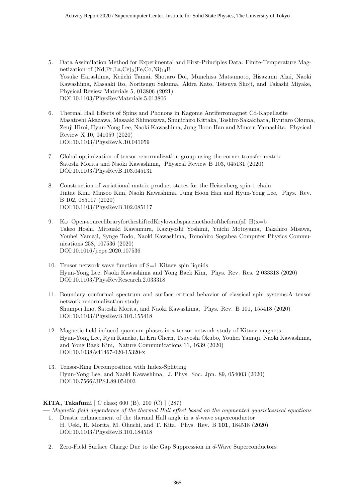- 5. Data Assimilation Method for Experimental and First-Principles Data: Finite-Temperature Magnetization of  $(Nd,Pr, La, Ce)_2(Fe, Co, Ni)_{14}B$ Yosuke Harashima, Keiichi Tamai, Shotaro Doi, Munehisa Matsumoto, Hisazumi Akai, Naoki Kawashima, Masaaki Ito, Noritsugu Sakuma, Akira Kato, Tetsuya Shoji, and Takashi Miyake, Physical Review Materials 5, 013806 (2021) DOI:10.1103/PhysRevMaterials.5.013806
- 6. Thermal Hall Effects of Spins and Phonons in Kagome Antiferromagnet Cd-Kapellasite Masatoshi Akazawa, Masaaki Shimozawa, Shunichiro Kittaka, Toshiro Sakakibara, Ryutaro Okuma, Zenji Hiroi, Hyun-Yong Lee, Naoki Kawashima, Jung Hoon Han and Minoru Yamashita, Physical Review X 10, 041059 (2020) DOI:10.1103/PhysRevX.10.041059
- 7. Global optimization of tensor renormalization group using the corner transfer matrix Satoshi Morita and Naoki Kawashima, Physical Review B 103, 045131 (2020) DOI:10.1103/PhysRevB.103.045131
- 8. Construction of variational matrix product states for the Heisenberg spin-1 chain Jintae Kim, Minsoo Kim, Naoki Kawashima, Jung Hoon Han and Hyun-Yong Lee, Phys. Rev. B 102, 085117 (2020) DOI:10.1103/PhysRevB.102.085117
- 9. K*ω*–Open-sourcelibraryfortheshiftedKrylovsubspacemethodoftheform(zI–H)x=b Takeo Hoshi, Mitsuaki Kawamura, Kazuyoshi Yoshimi, Yuichi Motoyama, Takahiro Misawa, Youhei Yamaji, Synge Todo, Naoki Kawashima, Tomohiro Sogabea Computer Physics Communications 258, 107536 (2020) DOI:10.1016/j.cpc.2020.107536
- 10. Tensor network wave function of S=1 Kitaev spin liquids Hyun-Yong Lee, Naoki Kawashima and Yong Baek Kim, Phys. Rev. Res. 2 033318 (2020) DOI:10.1103/PhysRevResearch.2.033318
- 11. Boundary conformal spectrum and surface critical behavior of classical spin systems:A tensor network renormalization study Shumpei Iino, Satoshi Morita, and Naoki Kawashima, Phys. Rev. B 101, 155418 (2020) DOI:10.1103/PhysRevB.101.155418
- 12. Magnetic field induced quantum phases in a tensor network study of Kitaev magnets Hyun-Yong Lee, Ryui Kaneko, Li Ern Chern, Tsuyoshi Okubo, Youhei Yamaji, Naoki Kawashima, and Yong Baek Kim, Nature Communications 11, 1639 (2020) DOI:10.1038/s41467-020-15320-x
- 13. Tensor-Ring Decomposition with Index-Splitting Hyun-Yong Lee, and Naoki Kawashima, J. Phys. Soc. Jpn. 89, 054003 (2020) DOI:10.7566/JPSJ.89.054003

**KITA, Takafumi** [ C class; 600 (B), 200 (C) ] (287)

**—** *Magnetic field dependence of the thermal Hall effect based on the augmented quasiclassical equations*

- 1. Drastic enhancement of the thermal Hall angle in a *d*-wave superconductor H. Ueki, H. Morita, M. Ohuchi, and T. Kita, Phys. Rev. B **101**, 184518 (2020). DOI:10.1103/PhysRevB.101.184518
- 2. Zero-Field Surface Charge Due to the Gap Suppression in *d*-Wave Superconductors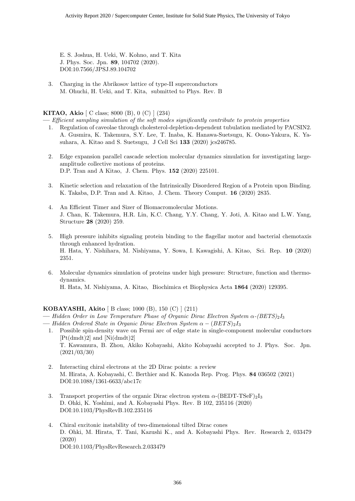E. S. Joshua, H. Ueki, W. Kohno, and T. Kita J. Phys. Soc. Jpn. **89**, 104702 (2020). DOI:10.7566/JPSJ.89.104702

3. Charging in the Abrikosov lattice of type-II superconductors M. Ohuchi, H. Ueki, and T. Kita, submitted to Phys. Rev. B

#### **KITAO, Akio** [ C class; 8000 (B), 0 (C) ] (234)

**—** *Efficient sampling simulation of the soft modes significantly contribute to protein properties*

- 1. Regulation of caveolae through cholesterol-depletion-dependent tubulation mediated by PACSIN2. A. Gusmira, K. Takemura, S.Y. Lee, T. Inaba, K. Hanawa-Suetsugu, K. Oono-Yakura, K. Yasuhara, A. Kitao and S. Suetsugu, J Cell Sci **133** (2020) jcs246785.
- 2. Edge expansion parallel cascade selection molecular dynamics simulation for investigating largeamplitude collective motions of proteins. D.P. Tran and A Kitao, J. Chem. Phys. **152** (2020) 225101.
- 3. Kinetic selection and relaxation of the Intrinsically Disordered Region of a Protein upon Binding. K. Takaba, D.P. Tran and A. Kitao, J. Chem. Theory Comput. **16** (2020) 2835.
- 4. An Efficient Timer and Sizer of Biomacromolecular Motions. J. Chan, K. Takemura, H.R. Lin, K.C. Chang, Y.Y. Chang, Y. Joti, A. Kitao and L.W. Yang, Structure **28** (2020) 259.
- 5. High pressure inhibits signaling protein binding to the flagellar motor and bacterial chemotaxis through enhanced hydration. H. Hata, Y. Nishihara, M. Nishiyama, Y. Sowa, I. Kawagishi, A. Kitao, Sci. Rep. **10** (2020) 2351.
- 6. Molecular dynamics simulation of proteins under high pressure: Structure, function and thermodynamics. H. Hata, M. Nishiyama, A. Kitao, Biochimica et Biophysica Acta **1864** (2020) 129395.

#### **KOBAYASHI, Akito** [ B class; 1000 (B), 150 (C) ] (211)

**—** *Hidden Order in Low Temperature Phase of Organic Dirac Electron System α-(BETS)*2*I*<sup>3</sup>

- **—** *Hidden Ordered State in Organic Dirac Electron System α −* (*BET S*)2*I*<sup>3</sup>
- 1. Possible spin-density wave on Fermi arc of edge state in single-component molecular conductors [Pt(dmdt)2] and [Ni(dmdt)2] T. Kawamura, B. Zhou, Akiko Kobayashi, Akito Kobayashi accepted to J. Phys. Soc. Jpn. (2021/03/30)
- 2. Interacting chiral electrons at the 2D Dirac points: a review M. Hirata, A. Kobayashi, C. Berthier and K. Kanoda Rep. Prog. Phys. **84** 036502 (2021) DOI:10.1088/1361-6633/abc17c
- 3. Transport properties of the organic Dirac electron system  $\alpha$ -(BEDT-TSeF)<sub>2</sub>I<sub>3</sub> D. Ohki, K. Yoshimi, and A. Kobayashi Phys. Rev. B 102, 235116 (2020) DOI:10.1103/PhysRevB.102.235116
- 4. Chiral excitonic instability of two-dimensional tilted Dirac cones D. Ohki, M. Hirata, T. Tani, Kazushi K., and A. Kobayashi Phys. Rev. Research 2, 033479 (2020) DOI:10.1103/PhysRevResearch.2.033479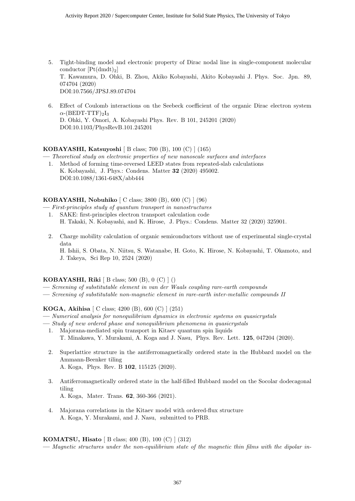- 5. Tight-binding model and electronic property of Dirac nodal line in single-component molecular conductor  $[Pt(dmdt)<sub>2</sub>]$ T. Kawamura, D. Ohki, B. Zhou, Akiko Kobayashi, Akito Kobayashi J. Phys. Soc. Jpn. 89, 074704 (2020) DOI:10.7566/JPSJ.89.074704
- 6. Effect of Coulomb interactions on the Seebeck coefficient of the organic Dirac electron system  $\alpha$ -(BEDT-TTF)<sub>2</sub>I<sub>3</sub> D. Ohki, Y. Omori, A. Kobayashi Phys. Rev. B 101, 245201 (2020) DOI:10.1103/PhysRevB.101.245201

#### **KOBAYASHI, Katsuyoshi** [ B class; 700 (B), 100 (C) ] (165)

**—** *Theoretical study on electronic properties of new nanoscale surfaces and interfaces*

1. Method of forming time-reversed LEED states from repeated-slab calculations K. Kobayashi, J. Phys.: Condens. Matter **32** (2020) 495002. DOI:10.1088/1361-648X/abb444

#### **KOBAYASHI, Nobuhiko** [ C class; 3800 (B), 600 (C) ] (96)

- **—** *First-principles study of quantum transport in nanostructures*
	- 1. SAKE: first-principles electron transport calculation code H. Takaki, N. Kobayashi, and K. Hirose, J. Phys.: Condens. Matter 32 (2020) 325901.
	- 2. Charge mobility calculation of organic semiconductors without use of experimental single-crystal data

H. Ishii, S. Obata, N. Niitsu, S. Watanabe, H. Goto, K. Hirose, N. Kobayashi, T. Okamoto, and J. Takeya, Sci Rep 10, 2524 (2020)

#### **KOBAYASHI, Riki** [ B class; 500 (B), 0 (C) ] ()

- **—** *Screening of substitutable element in van der Waals coupling rare-earth compounds*
- **—** *Screening of substitutable non-magnetic element in rare-earth inter-metallic compounds II*

#### **KOGA, Akihisa** [ C class; 4200 (B), 600 (C) ] (251)

- **—** *Numerical analysis for nonequilibrium dynamics in electronic systems on quasicrystals*
- **—** *Study of new ordered phase and nonequilibrium phenomena in quasicrystals*
- 1. Majorana-mediated spin transport in Kitaev quantum spin liquids T. Minakawa, Y. Murakami, A. Koga and J. Nasu, Phys. Rev. Lett. **125**, 047204 (2020).
- 2. Superlattice structure in the antiferromagnetically ordered state in the Hubbard model on the Ammann-Beenker tiling A. Koga, Phys. Rev. B **102**, 115125 (2020).
- 3. Antiferromagnetically ordered state in the half-filled Hubbard model on the Socolar dodecagonal tiling A. Koga, Mater. Trans. **62**, 360-366 (2021).
- 4. Majorana correlations in the Kitaev model with ordered-flux structure A. Koga, Y. Murakami, and J. Nasu, submitted to PRB.

#### **KOMATSU, Hisato** [ B class; 400 (B), 100 (C) ] (312)

**—** *Magnetic structures under the non-equilibrium state of the magnetic thin films with the dipolar in-*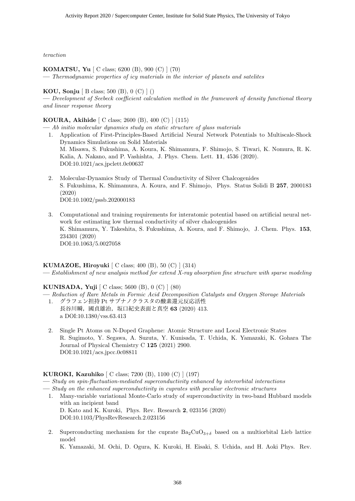*teraction*

#### **KOMATSU, Yu** [ C class; 6200 (B), 900 (C) ] (70)

**—** *Thermodynamic properties of icy materials in the interior of planets and satelites*

#### **KOU, Sonju** [ B class; 500 (B), 0 (C) ] ()

**—** *Development of Seebeck coefficient calculation method in the framework of density functional theory and linear response theory*

#### **KOURA, Akihide** [ C class; 2600 (B), 400 (C) ] (115)

**—** *Ab initio molecular dynamics study on static structure of glass materials*

- 1. Application of First-Principles-Based Artificial Neural Network Potentials to Multiscale-Shock Dynamics Simulations on Solid Materials M. Misawa, S. Fukushima, A. Koura, K. Shimamura, F. Shimojo, S. Tiwari, K. Nomura, R. K. Kalia, A. Nakano, and P. Vashishta, J. Phys. Chem. Lett. **11**, 4536 (2020). DOI:10.1021/acs.jpclett.0c00637
- 2. Molecular-Dynamics Study of Thermal Conductivity of Silver Chalcogenides S. Fukushima, K. Shimamura, A. Koura, and F. Shimojo, Phys. Status Solidi B **257**, 2000183 (2020) DOI:10.1002/pssb.202000183
- 3. Computational and training requirements for interatomic potential based on artificial neural network for estimating low thermal conductivity of silver chalcogenides K. Shimamura, Y. Takeshita, S. Fukushima, A. Koura, and F. Shimojo, J. Chem. Phys. **153**, 234301 (2020) DOI:10.1063/5.0027058

#### **KUMAZOE, Hiroyuki** [ C class; 400 (B), 50 (C) ] (314)

**—** *Establishment of new analysis method for extend X-ray absorption fine structure with sparse modeling*

#### **KUNISADA, Yuji** [ C class; 5600 (B), 0 (C) ] (80)

**—** *Reduction of Rare Metals in Formic Acid Decomposition Catalysts and Oxygen Storage Materials* 1. グラフェン担持 Pt サブナノクラスタの酸素還元反応活性

- 長谷川瞬,國貞雄治,坂口紀史表面と真空 **63** (2020) 413. a DOI:10.1380/vss.63.413
- 2. Single Pt Atoms on N-Doped Graphene: Atomic Structure and Local Electronic States R. Sugimoto, Y. Segawa, A. Suzuta, Y. Kunisada, T. Uchida, K. Yamazaki, K. Gohara The Journal of Physical Chemistry C **125** (2021) 2900. DOI:10.1021/acs.jpcc.0c08811

#### **KUROKI, Kazuhiko** [ C class; 7200 (B), 1100 (C) ] (197)

**—** *Study on spin-fluctuation-mediated superconductivity enhanced by interorbital interactions*

- **—** *Study on the enhanced superconductivity in cuprates with peculiar electronic structures*
	- 1. Many-variable variational Monte-Carlo study of superconductivity in two-band Hubbard models with an incipient band D. Kato and K. Kuroki, Phys. Rev. Research **2**, 023156 (2020) DOI:10.1103/PhysRevResearch.2.023156
	- 2. Superconducting mechanism for the cuprate  $Ba_2CuO_{3+\delta}$  based on a multiorbital Lieb lattice model

K. Yamazaki, M. Ochi, D. Ogura, K. Kuroki, H. Eisaki, S. Uchida, and H. Aoki Phys. Rev.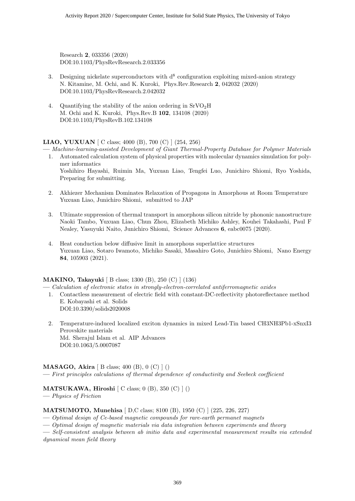Research **2**, 033356 (2020) DOI:10.1103/PhysRevResearch.2.033356

- 3. Designing nickelate superconductors with  $d^8$  configuration exploiting mixed-anion strategy N. Kitamine, M. Ochi, and K. Kuroki, Phys.Rev.Research **2**, 042032 (2020) DOI:10.1103/PhysRevResearch.2.042032
- 4. Quantifying the stability of the anion ordering in  $SrVO<sub>2</sub>H$ M. Ochi and K. Kuroki, Phys.Rev.B **102**, 134108 (2020) DOI:10.1103/PhysRevB.102.134108

**LIAO, YUXUAN** [ C class; 4000 (B), 700 (C) ] (254, 256)

**—** *Machine-learning-assisted Development of Giant Thermal-Property Database for Polymer Materials*

- 1. Automated calculation system of physical properties with molecular dynamics simulation for polymer informatics Yoshihiro Hayashi, Ruimin Ma, Yuxuan Liao, Tengfei Luo, Junichiro Shiomi, Ryo Yoshida, Preparing for submitting.
- 2. Akhiezer Mechanism Dominates Relaxation of Propagons in Amorphous at Room Temperature Yuxuan Liao, Junichiro Shiomi, submitted to JAP
- 3. Ultimate suppression of thermal transport in amorphous silicon nitride by phononic nanostructure Naoki Tambo, Yuxuan Liao, Chun Zhou, Elizabeth Michiko Ashley, Kouhei Takahashi, Paul F Nealey, Yasuyuki Naito, Junichiro Shiomi, Science Advances **6**, eabc0075 (2020).
- 4. Heat conduction below diffusive limit in amorphous superlattice structures Yuxuan Liao, Sotaro Iwamoto, Michiko Sasaki, Masahiro Goto, Junichiro Shiomi, Nano Energy **84**, 105903 (2021).

#### **MAKINO, Takayuki** [ B class; 1300 (B), 250 (C) ] (136)

**—** *Calculation of electronic states in strongly-electron-correlated antiferromagnetic oxides*

- 1. Contactless measurement of electric field with constant-DC-reflectivity photoreflectance method E. Kobayashi et al. Solids DOI:10.3390/solids2020008
- 2. Temperature-induced localized exciton dynamics in mixed Lead-Tin based CH3NH3Pb1-xSnxI3 Perovskite materials Md. Sherajul Islam et al. AIP Advances DOI:10.1063/5.0007087

**MASAGO, Akira** [ B class; 400 (B), 0 (C) ] ()

**—** *First principles calculations of thermal dependence of conductivity and Seebeck coefficient*

**MATSUKAWA, Hiroshi** [ C class; 0 (B), 350 (C) ] ()

**—** *Physics of Friction*

#### **MATSUMOTO, Munehisa** [ D,C class; 8100 (B), 1950 (C) ] (225, 226, 227)

**—** *Optimal design of Ce-based magnetic compounds for rare-earth permanet magnets*

**—** *Optimal design of magnetic materials via data integration between experiments and theory*

**—** *Self-consistent analysis between ab initio data and experimental measurement results via extended dynamical mean field theory*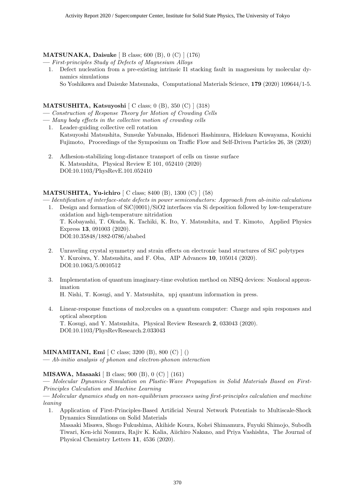#### **MATSUNAKA, Daisuke** [ B class; 600 (B), 0 (C) ] (176)

**—** *First-principles Study of Defects of Magnesium Alloys*

- 1. Defect nucleation from a pre-existing intrinsic I1 stacking fault in magnesium by molecular dynamics simulations
	- So Yoshikawa and Daisuke Matsunaka, Computational Materials Science, **179** (2020) 109644/1-5.

#### **MATSUSHITA, Katsuyoshi** [ C class; 0 (B), 350 (C) ] (318)

- **—** *Construction of Response Theory for Motion of Crowding Cells*
- **—** *Many body effects in the collective motion of crowding cells*
	- 1. Leader-guiding collective cell rotation Katsuyoshi Matsushita, Sunsuke Yabunaka, Hidenori Hashimura, Hidekazu Kuwayama, Kouichi Fujimoto, Proceedings of the Symposium on Traffic Flow and Self-Driven Particles 26, 38 (2020)
	- 2. Adhesion-stabilizing long-distance transport of cells on tissue surface K. Matsushita, Physical Review E 101, 052410 (2020) DOI:10.1103/PhysRevE.101.052410

#### **MATSUSHITA, Yu-ichiro** [ C class; 8400 (B), 1300 (C) ] (58)

**—** *Identification of interface-state defects in power semiconductors: Approach from ab-initio calculations*

- 1. Design and formation of SiC(0001)/SiO2 interfaces via Si deposition followed by low-temperature oxidation and high-temperature nitridation T. Kobayashi, T. Okuda, K. Tachiki, K. Ito, Y. Matsushita, and T. Kimoto, Applied Physics Express **13**, 091003 (2020). DOI:10.35848/1882-0786/ababed
- 2. Unraveling crystal symmetry and strain effects on electronic band structures of SiC polytypes Y. Kuroiwa, Y. Matsushita, and F. Oba, AIP Advances **10**, 105014 (2020). DOI:10.1063/5.0010512
- 3. Implementation of quantum imaginary-time evolution method on NISQ devices: Nonlocal approximation H. Nishi, T. Kosugi, and Y. Matsushita, npj quantum information in press.
- 4. Linear-response functions of mol;ecules on a quantum computer: Charge and spin responses and optical absorption T. Kosugi, and Y. Matsushita, Physical Review Research **2**, 033043 (2020). DOI:10.1103/PhysRevResearch.2.033043

#### **MINAMITANI, Emi** [ C class; 3200 (B), 800 (C) ] ()

**—** *Ab-initio analysis of phonon and electron-phonon interaction*

#### **MISAWA, Masaaki** [ B class; 900 (B), 0 (C) ] (161)

**—** *Molecular Dynamics Simulation on Plastic-Wave Propagation in Solid Materials Based on First-Principles Calculation and Machine Learning*

**—** *Molecular dynamics study on non-equilibrium processes using first-principles calculation and machine leaning*

1. Application of First-Principles-Based Artificial Neural Network Potentials to Multiscale-Shock Dynamics Simulations on Solid Materials Masaaki Misawa, Shogo Fukushima, Akihide Koura, Kohei Shimamura, Fuyuki Shimojo, Subodh Tiwari, Ken-ichi Nomura, Rajiv K. Kalia, Aiichiro Nakano, and Priya Vashishta, The Journal of

Physical Chemistry Letters **11**, 4536 (2020).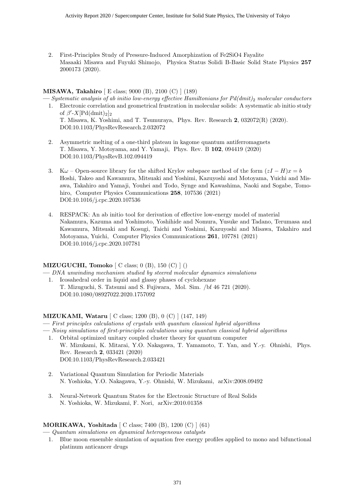2. First-Principles Study of Pressure-Induced Amorphization of Fe2SiO4 Fayalite Masaaki Misawa and Fuyuki Shimojo, Physica Status Solidi B-Basic Solid State Physics **257** 2000173 (2020).

#### **MISAWA, Takahiro** [ E class; 9000 (B), 2100 (C) ] (189)

- **—** *Systematic analysis of ab initio low-energy effective Hamiltonians for Pd(dmit)*<sup>2</sup> *molecular conductors* 1. Electronic correlation and geometrical frustration in molecular solids: A systematic ab initio study of  $\beta'$ -X[Pd(dmit)<sub>2</sub>]<sub>2</sub> T. Misawa, K. Yoshimi, and T. Tsumuraya, Phys. Rev. Research **2**, 032072(R) (2020).
	- DOI:10.1103/PhysRevResearch.2.032072
- 2. Asymmetric melting of a one-third plateau in kagome quantum antiferromagnets T. Misawa, Y. Motoyama, and Y. Yamaji, Phys. Rev. B **102**, 094419 (2020) DOI:10.1103/PhysRevB.102.094419
- 3. K $\omega$  Open-source library for the shifted Krylov subspace method of the form  $(zI H)x = b$ Hoshi, Takeo and Kawamura, Mitsuaki and Yoshimi, Kazuyoshi and Motoyama, Yuichi and Misawa, Takahiro and Yamaji, Youhei and Todo, Synge and Kawashima, Naoki and Sogabe, Tomohiro, Computer Physics Communications **258**, 107536 (2021) DOI:10.1016/j.cpc.2020.107536
- 4. RESPACK: An ab initio tool for derivation of effective low-energy model of material Nakamura, Kazuma and Yoshimoto, Yoshihide and Nomura, Yusuke and Tadano, Terumasa and Kawamura, Mitsuaki and Kosugi, Taichi and Yoshimi, Kazuyoshi and Misawa, Takahiro and Motoyama, Yuichi, Computer Physics Communications **261**, 107781 (2021) DOI:10.1016/j.cpc.2020.107781

#### **MIZUGUCHI, Tomoko** [ C class; 0 (B), 150 (C) ] ()

**—** *DNA unwinding mechanism studied by steered molecular dynamics simulations*

1. Icosahedral order in liquid and glassy phases of cyclohexane T. Mizuguchi, S. Tatsumi and S. Fujiwara, Mol. Sim. /bf 46 721 (2020). DOI:10.1080/08927022.2020.1757092

#### **MIZUKAMI, Wataru** [ C class; 1200 (B), 0 (C) ] (147, 149)

- **—** *First principles calculations of crystals with quantum classical hybrid algorithms*
- **—** *Noisy simulations of first-principles calculations using quantum classical hybrid algorithms*
	- 1. Orbital optimized unitary coupled cluster theory for quantum computer W. Mizukami, K. Mitarai, Y.O. Nakagawa, T. Yamamoto, T. Yan, and Y.-y. Ohnishi, Phys. Rev. Research **2**, 033421 (2020) DOI:10.1103/PhysRevResearch.2.033421
	- 2. Variational Quantum Simulation for Periodic Materials N. Yoshioka, Y.O. Nakagawa, Y.-y. Ohnishi, W. Mizukami, arXiv:2008.09492
	- 3. Neural-Network Quantum States for the Electronic Structure of Real Solids N. Yoshioka, W. Mizukami, F. Nori, arXiv:2010.01358

#### **MORIKAWA, Yoshitada** [ C class; 7400 (B), 1200 (C) ] (61)

**—** *Quantum simulations on dynamical heterogeneous catalysts*

1. Blue moon ensemble simulation of aquation free energy profiles applied to mono and bifunctional platinum anticancer drugs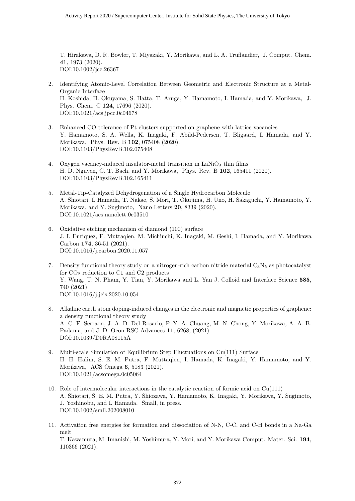T. Hirakawa, D. R. Bowler, T. Miyazaki, Y. Morikawa, and L. A. Truflandier, J. Comput. Chem. **41**, 1973 (2020). DOI:10.1002/jcc.26367

- 2. Identifying Atomic-Level Correlation Between Geometric and Electronic Structure at a Metal-Organic Interface H. Koshida, H. Okuyama, S. Hatta, T. Aruga, Y. Hamamoto, I. Hamada, and Y. Morikawa, J. Phys. Chem. C **124**, 17696 (2020). DOI:10.1021/acs.jpcc.0c04678
- 3. Enhanced CO tolerance of Pt clusters supported on graphene with lattice vacancies Y. Hamamoto, S. A. Wella, K. Inagaki, F. Abild-Pedersen, T. Bligaard, I. Hamada, and Y. Morikawa, Phys. Rev. B **102**, 075408 (2020). DOI:10.1103/PhysRevB.102.075408
- 4. Oxygen vacancy-induced insulator-metal transition in  $\text{LaNiO}_3$  thin films H. D. Nguyen, C. T. Bach, and Y. Morikawa, Phys. Rev. B **102**, 165411 (2020). DOI:10.1103/PhysRevB.102.165411
- 5. Metal-Tip-Catalyzed Dehydrogenation of a Single Hydrocarbon Molecule A. Shiotari, I. Hamada, T. Nakae, S. Mori, T. Okujima, H. Uno, H. Sakaguchi, Y. Hamamoto, Y. Morikawa, and Y. Sugimoto, Nano Letters **20**, 8339 (2020). DOI:10.1021/acs.nanolett.0c03510
- 6. Oxidative etching mechanism of diamond (100) surface J. I. Enriquez, F. Muttaqien, M. Michiuchi, K. Inagaki, M. Geshi, I. Hamada, and Y. Morikawa Carbon **174**, 36-51 (2021). DOI:10.1016/j.carbon.2020.11.057
- 7. Density functional theory study on a nitrogen-rich carbon nitride material  $C_3N_5$  as photocatalyst for  $CO<sub>2</sub>$  reduction to  $C1$  and  $C2$  products Y. Wang, T. N. Pham, Y. Tian, Y. Morikawa and L. Yan J. Colloid and Interface Science **585**, 740 (2021). DOI:10.1016/j.jcis.2020.10.054
- 8. Alkaline earth atom doping-induced changes in the electronic and magnetic properties of graphene: a density functional theory study A. C. F. Serraon, J. A. D. Del Rosario, P.-Y. A. Chuang, M. N. Chong, Y. Morikawa, A. A. B. Padama, and J. D. Ocon RSC Advances **11**, 6268, (2021). DOI:10.1039/D0RA08115A
- 9. Multi-scale Simulation of Equilibrium Step Fluctuations on Cu(111) Surface H. H. Halim, S. E. M. Putra, F. Muttaqien, I. Hamada, K. Inagaki, Y. Hamamoto, and Y. Morikawa, ACS Omega **6**, 5183 (2021). DOI:10.1021/acsomega.0c05064
- 10. Role of intermolecular interactions in the catalytic reaction of formic acid on Cu(111) A. Shiotari, S. E. M. Putra, Y. Shiozawa, Y. Hamamoto, K. Inagaki, Y. Morikawa, Y. Sugimoto, J. Yoshinobu, and I. Hamada, Small, in press. DOI:10.1002/smll.202008010
- 11. Activation free energies for formation and dissociation of N-N, C-C, and C-H bonds in a Na-Ga melt T. Kawamura, M. Imanishi, M. Yoshimura, Y. Mori, and Y. Morikawa Comput. Mater. Sci. **194**, 110366 (2021).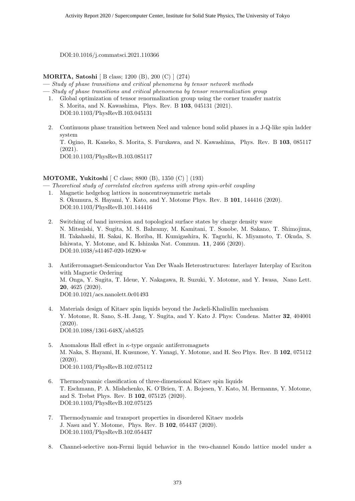DOI:10.1016/j.commatsci.2021.110366

#### **MORITA, Satoshi** [ B class; 1200 (B), 200 (C) ] (274)

**—** *Study of phase transitions and critical phenomena by tensor network methods*

**—** *Study of phase transitions and critical phenomena by tensor renormalization group*

- 1. Global optimization of tensor renormalization group using the corner transfer matrix S. Morita, and N. Kawashima, Phys. Rev. B **103**, 045131 (2021). DOI:10.1103/PhysRevB.103.045131
- 2. Continuous phase transition between Neel and valence bond solid phases in a J-Q-like spin ladder system T. Ogino, R. Kaneko, S. Morita, S. Furukawa, and N. Kawashima, Phys. Rev. B **103**, 085117 (2021). DOI:10.1103/PhysRevB.103.085117

#### **MOTOME, Yukitoshi** [ C class; 8800 (B), 1350 (C) ] (193)

**—** *Theoretical study of correlated electron systems with strong spin-orbit coupling*

- 1. Magnetic hedgehog lattices in noncentrosymmetric metals S. Okumura, S. Hayami, Y. Kato, and Y. Motome Phys. Rev. B **101**, 144416 (2020). DOI:10.1103/PhysRevB.101.144416
- 2. Switching of band inversion and topological surface states by charge density wave N. Mitsuishi, Y. Sugita, M. S. Bahramy, M. Kamitani, T. Sonobe, M. Sakano, T. Shimojima, H. Takahashi, H. Sakai, K. Horiba, H. Kumigashira, K. Taguchi, K. Miyamoto, T. Okuda, S. Ishiwata, Y. Motome, and K. Ishizaka Nat. Commun. **11**, 2466 (2020). DOI:10.1038/s41467-020-16290-w
- 3. Antiferromagnet-Semiconductor Van Der Waals Heterostructures: Interlayer Interplay of Exciton with Magnetic Ordering M. Onga, Y. Sugita, T. Ideue, Y. Nakagawa, R. Suzuki, Y. Motome, and Y. Iwasa, Nano Lett. **20**, 4625 (2020). DOI:10.1021/acs.nanolett.0c01493
- 4. Materials design of Kitaev spin liquids beyond the Jackeli-Khaliullin mechanism Y. Motome, R. Sano, S.-H. Jang, Y. Sugita, and Y. Kato J. Phys: Condens. Matter **32**, 404001 (2020). DOI:10.1088/1361-648X/ab8525
- 5. Anomalous Hall effect in *κ*-type organic antiferromagnets M. Naka, S. Hayami, H. Kusunose, Y. Yanagi, Y. Motome, and H. Seo Phys. Rev. B **102**, 075112 (2020). DOI:10.1103/PhysRevB.102.075112
- 6. Thermodynamic classification of three-dimensional Kitaev spin liquids T. Eschmann, P. A. Mishchenko, K. O'Brien, T. A. Bojesen, Y. Kato, M. Hermanns, Y. Motome, and S. Trebst Phys. Rev. B **102**, 075125 (2020). DOI:10.1103/PhysRevB.102.075125
- 7. Thermodynamic and transport properties in disordered Kitaev models J. Nasu and Y. Motome, Phys. Rev. B **102**, 054437 (2020). DOI:10.1103/PhysRevB.102.054437
- 8. Channel-selective non-Fermi liquid behavior in the two-channel Kondo lattice model under a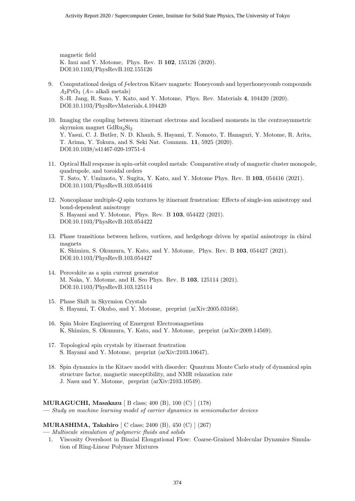magnetic field K. Inui and Y. Motome, Phys. Rev. B **102**, 155126 (2020). DOI:10.1103/PhysRevB.102.155126

- 9. Computational design of *f*-electron Kitaev magnets: Honeycomb and hyperhoneycomb compounds  $A_2$ PrO<sub>3</sub> ( $A=$  alkali metals) S.-H. Jang, R. Sano, Y. Kato, and Y. Motome, Phys. Rev. Materials **4**, 104420 (2020). DOI:10.1103/PhysRevMaterials.4.104420
- 10. Imaging the coupling between itinerant electrons and localised moments in the centrosymmetric skyrmion magnet GdRu<sub>2</sub>Si<sub>2</sub> Y. Yasui, C. J. Butler, N. D. Khanh, S. Hayami, T. Nomoto, T. Hanaguri, Y. Motome, R. Arita, T. Arima, Y. Tokura, and S. Seki Nat. Commun. **11**, 5925 (2020). DOI:10.1038/s41467-020-19751-4
- 11. Optical Hall response in spin-orbit coupled metals: Comparative study of magnetic cluster monopole, quadrupole, and toroidal orders T. Sato, Y. Umimoto, Y. Sugita, Y. Kato, and Y. Motome Phys. Rev. B **103**, 054416 (2021). DOI:10.1103/PhysRevB.103.054416
- 12. Noncoplanar multiple-*Q* spin textures by itinerant frustration: Effects of single-ion anisotropy and bond-dependent anisotropy S. Hayami and Y. Motome, Phys. Rev. B **103**, 054422 (2021). DOI:10.1103/PhysRevB.103.054422
- 13. Phase transitions between helices, vortices, and hedgehogs driven by spatial anisotropy in chiral magnets K. Shimizu, S. Okumura, Y. Kato, and Y. Motome, Phys. Rev. B **103**, 054427 (2021). DOI:10.1103/PhysRevB.103.054427
- 14. Perovskite as a spin current generator M. Naka, Y. Motome, and H. Seo Phys. Rev. B **103**, 125114 (2021). DOI:10.1103/PhysRevB.103.125114
- 15. Phase Shift in Skyrmion Crystals S. Hayami, T. Okubo, and Y. Motome, preprint (arXiv:2005.03168).
- 16. Spin Moire Engineering of Emergent Electromagnetism K. Shimizu, S. Okumura, Y. Kato, and Y. Motome, preprint (arXiv:2009.14569).
- 17. Topological spin crystals by itinerant frustration S. Hayami and Y. Motome, preprint (arXiv:2103.10647).
- 18. Spin dynamics in the Kitaev model with disorder: Quantum Monte Carlo study of dynamical spin structure factor, magnetic susceptibility, and NMR relaxation rate J. Nasu and Y. Motome, preprint (arXiv:2103.10549).

#### **MURAGUCHI, Masakazu** [ B class; 400 (B), 100 (C) ] (178)

**—** *Study on machine learning model of carrier dynamics in semiconductor devices*

#### **MURASHIMA, Takahiro** [ C class; 2400 (B), 450 (C) ] (267)

**—** *Multiscale simulation of polymeric fluids and solids*

1. Viscosity Overshoot in Biaxial Elongational Flow: Coarse-Grained Molecular Dynamics Simulation of Ring-Linear Polymer Mixtures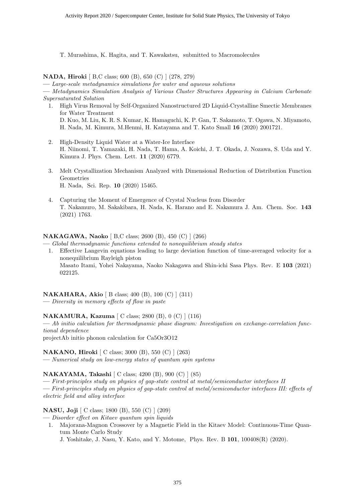T. Murashima, K. Hagita, and T. Kawakatsu, submitted to Macromolecules

**NADA, Hiroki** [ B,C class; 600 (B), 650 (C) ] (278, 279)

**—** *Large-scale metadynamics simulations for water and aqueous solutions*

**—** *Metadynamics Simulation Analysis of Various Cluster Structures Appearing in Calcium Carbonate Supersaturated Solution*

- 1. High Virus Removal by Self-Organized Nanostructured 2D Liquid-Crystalline Smectic Membranes for Water Treatment D. Kuo, M. Liu, K. R. S. Kumar, K. Hamaguchi, K. P. Gan, T. Sakamoto, T. Ogawa, N. Miyamoto, H. Nada, M. Kimura, M.Henmi, H. Katayama and T. Kato Small **16** (2020) 2001721.
- 2. High-Density Liquid Water at a Water-Ice Interface H. Niinomi, T. Yamazaki, H. Nada, T. Hama, A. Koichi, J. T. Okada, J. Nozawa, S. Uda and Y. Kimura J. Phys. Chem. Lett. **11** (2020) 6779.
- 3. Melt Crystallization Mechanism Analyzed with Dimensional Reduction of Distribution Function Geometries H. Nada, Sci. Rep. **10** (2020) 15465.
- 4. Capturing the Moment of Emergence of Crystal Nucleus from Disorder T. Nakamuro, M. Sakakibara, H. Nada, K. Harano and E. Nakamura J. Am. Chem. Soc. **143** (2021) 1763.

#### **NAKAGAWA, Naoko** [ B,C class; 2600 (B), 450 (C) ] (266)

**—** *Global thermodynamic functions extended to nonequilibrium steady states*

1. Effective Langevin equations leading to large deviation function of time-averaged velocity for a nonequilibrium Rayleigh piston Masato Itami, Yohei Nakayama, Naoko Nakagawa and Shin-ichi Sasa Phys. Rev. E **103** (2021) 022125.

### **NAKAHARA, Akio** [ B class; 400 (B), 100 (C) ] (311)

**—** *Diversity in memory effects of flow in paste*

#### **NAKAMURA, Kazuma** [ C class; 2800 (B), 0 (C) ] (116)

**—** *Ab initio calculation for thermodynamic phase diagram: Investigation on exchange-correlation functional dependence*

projectAb initio phonon calculation for Ca5Or3O12

#### **NAKANO, Hiroki** [ C class; 3000 (B), 550 (C) ] (263)

**—** *Numerical study on low-energy states of quantum spin systems*

#### **NAKAYAMA, Takashi** [ C class; 4200 (B), 900 (C) ] (85)

**—** *First-principles study on physics of gap-state control at metal/semiconductor interfaces II*

**—** *First-principles study on physics of gap-state control at metal/semiconductor interfaces III: effects of electric field and alloy interface*

#### **NASU, Joji** [ C class; 1800 (B), 550 (C) ] (209)

**—** *Disorder effect on Kitaev quantum spin liquids*

1. Majorana-Magnon Crossover by a Magnetic Field in the Kitaev Model: Continuous-Time Quantum Monte Carlo Study

J. Yoshitake, J. Nasu, Y. Kato, and Y. Motome, Phys. Rev. B **101**, 100408(R) (2020).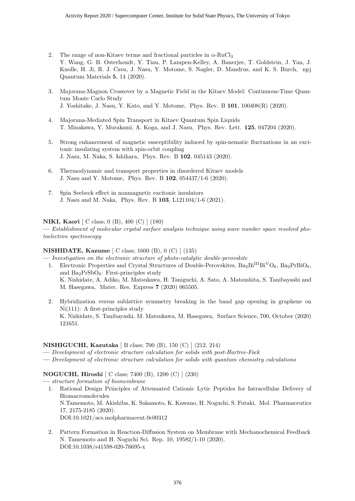- 2. The range of non-Kitaev terms and fractional particles in *α*-RuCl<sup>3</sup> Y. Wang, G. B. Osterhoudt, Y. Tian, P. Lampen-Kelley, A. Banerjee, T. Goldstein, J. Yan, J. Knolle, H. Ji, R. J. Cava, J. Nasu, Y. Motome, S. Nagler, D. Mandrus, and K. S. Burch, npj Quantum Materials **5**, 14 (2020).
- 3. Majorana-Magnon Crossover by a Magnetic Field in the Kitaev Model: Continuous-Time Quantum Monte Carlo Study J. Yoshitake, J. Nasu, Y. Kato, and Y. Motome, Phys. Rev. B **101**, 100408(R) (2020).
- 4. Majorana-Mediated Spin Transport in Kitaev Quantum Spin Liquids T. Minakawa, Y. Murakami, A. Koga, and J. Nasu, Phys. Rev. Lett. **125**, 047204 (2020).
- 5. Strong enhancement of magnetic susceptibility induced by spin-nematic fluctuations in an excitonic insulating system with spin-orbit coupling J. Nasu, M. Naka, S. Ishihara, Phys. Rev. B **102**, 045143 (2020).
- 6. Thermodynamic and transport properties in disordered Kitaev models J. Nasu and Y. Motome, Phys. Rev. B **102**, 054437/1-6 (2020).
- 7. Spin Seebeck effect in nonmagnetic excitonic insulators J. Nasu and M. Naka, Phys. Rev. B **103**, L121104/1-6 (2021).

#### **NIKI, Kaori** [ C class; 0 (B), 400 (C) ] (180)

**—** *Establishment of molecular crystal surface analysis technique using wave number space resolved photoelectron spectroscopy*

#### **NISHIDATE, Kazume** [ C class; 1600 (B), 0 (C) ] (135)

- **—** *Investigation on the electronic structure of photo-catalytic double-perovskite* 1. Electronic Properties and Crystal Structures of Double-Perovskites,  $Ba_2Bi^{III}Bi^VO_6$ ,  $Ba_2PrBiO_6$ ,
	- and  $Ba<sub>2</sub>PrSbO<sub>6</sub>$ : First-principles study K. Nishidate, A. Adiko, M. Matsukawa, H. Taniguchi, A. Sato, A. Matsushita, S. Tanibayashi and M. Hasegawa, Mater. Res. Express **7** (2020) 065505.
	- 2. Hybridization versus sublattice symmetry breaking in the band gap opening in graphene on Ni(111): A first-principles study K. Nishidate, S. Tanibayashi, M. Matsukawa, M. Hasegawa, Surface Science, 700, October (2020) 121651.

#### **NISHIGUCHI, Kazutaka** [ B class; 700 (B), 150 (C) ] (212, 214)

- **—** *Development of electronic structure calculation for solids with post-Hartree-Fock*
- **—** *Development of electronic structure calculation for solids with quantum chemistry calculations*

#### **NOGUCHI, Hiroshi** [ C class; 7400 (B), 1200 (C) ] (230)

- **—** *structure formation of biomembrane*
	- 1. Rational Design Principles of Attenuated Cationic Lytic Peptides for Intracellular Delivery of Biomacromolecules N.Tamemoto, M. Akishiba, K. Sakamoto, K. Kawano, H. Noguchi, S. Futaki, Mol. Pharmaceutics 17, 2175-2185 (2020). DOI:10.1021/acs.molpharmaceut.0c00312
	- 2. Pattern Formation in Reaction-Diffusion System on Membrane with Mechanochemical Feedback N. Tamemoto and H. Noguchi Sci. Rep. 10, 19582/1-10 (2020). DOI:10.1038/s41598-020-76695-x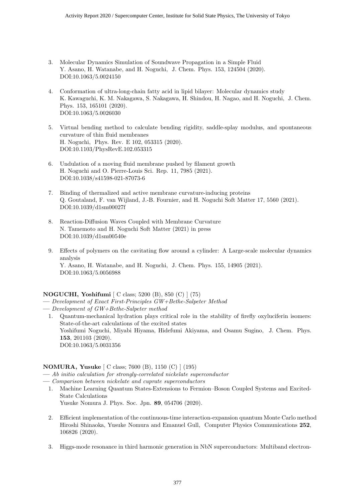- 3. Molecular Dynamics Simulation of Soundwave Propagation in a Simple Fluid Y. Asano, H. Watanabe, and H. Noguchi, J. Chem. Phys. 153, 124504 (2020). DOI:10.1063/5.0024150
- 4. Conformation of ultra-long-chain fatty acid in lipid bilayer: Molecular dynamics study K. Kawaguchi, K. M. Nakagawa, S. Nakagawa, H. Shindou, H. Nagao, and H. Noguchi, J. Chem. Phys. 153, 165101 (2020). DOI:10.1063/5.0026030
- 5. Virtual bending method to calculate bending rigidity, saddle-splay modulus, and spontaneous curvature of thin fluid membranes H. Noguchi, Phys. Rev. E 102, 053315 (2020). DOI:10.1103/PhysRevE.102.053315
- 6. Undulation of a moving fluid membrane pushed by filament growth H. Noguchi and O. Pierre-Louis Sci. Rep. 11, 7985 (2021). DOI:10.1038/s41598-021-87073-6
- 7. Binding of thermalized and active membrane curvature-inducing proteins Q. Goutaland, F. van Wijland, J.-B. Fournier, and H. Noguchi Soft Matter 17, 5560 (2021). DOI:10.1039/d1sm00027f
- 8. Reaction-Diffusion Waves Coupled with Membrane Curvature N. Tamemoto and H. Noguchi Soft Matter (2021) in press DOI:10.1039/d1sm00540e
- 9. Effects of polymers on the cavitating flow around a cylinder: A Large-scale molecular dynamics analysis Y. Asano, H. Watanabe, and H. Noguchi, J. Chem. Phys. 155, 14905 (2021). DOI:10.1063/5.0056988

#### **NOGUCHI, Yoshifumi** [ C class; 5200 (B), 850 (C) ] (75)

- **—** *Development of Exact First-Principles GW+Bethe-Salpeter Method*
- **—** *Development of GW+Bethe-Salpeter method*
	- 1. Quantum-mechanical hydration plays critical role in the stability of firefly oxyluciferin isomers: State-of-the-art calculations of the excited states Yoshifumi Noguchi, Miyabi Hiyama, Hidefumi Akiyama, and Osamu Sugino, J. Chem. Phys. **153**, 201103 (2020). DOI:10.1063/5.0031356

#### **NOMURA, Yusuke** [ C class; 7600 (B), 1150 (C) ] (195)

- **—** *Ab initio calculation for strongly-correlated nickelate superconductor*
- **—** *Comparison between nickelate and cuprate superconductors*
	- 1. Machine Learning Quantum States-Extensions to Fermion–Boson Coupled Systems and Excited-State Calculations Yusuke Nomura J. Phys. Soc. Jpn. **89**, 054706 (2020).
	- 2. Efficient implementation of the continuous-time interaction-expansion quantum Monte Carlo method Hiroshi Shinaoka, Yusuke Nomura and Emanuel Gull, Computer Physics Communications **252**, 106826 (2020).
	- 3. Higgs-mode resonance in third harmonic generation in NbN superconductors: Multiband electron-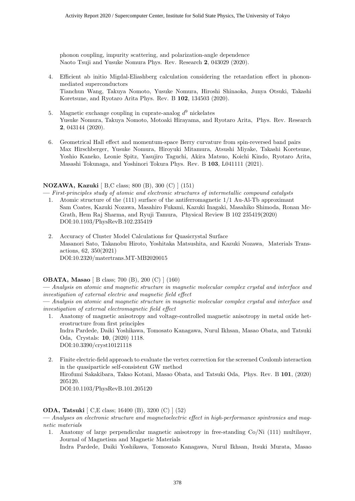phonon coupling, impurity scattering, and polarization-angle dependence Naoto Tsuji and Yusuke Nomura Phys. Rev. Research **2**, 043029 (2020).

- 4. Efficient ab initio Migdal-Eliashberg calculation considering the retardation effect in phononmediated superconductors Tianchun Wang, Takuya Nomoto, Yusuke Nomura, Hiroshi Shinaoka, Junya Otsuki, Takashi Koretsune, and Ryotaro Arita Phys. Rev. B **102**, 134503 (2020).
- 5. Magnetic exchange coupling in cuprate-analog  $d^9$  nickelates Yusuke Nomura, Takuya Nomoto, Motoaki Hirayama, and Ryotaro Arita, Phys. Rev. Research **2**, 043144 (2020).
- 6. Geometrical Hall effect and momentum-space Berry curvature from spin-reversed band pairs Max Hirschberger, Yusuke Nomura, Hiroyuki Mitamura, Atsushi Miyake, Takashi Koretsune, Yoshio Kaneko, Leonie Spitz, Yasujiro Taguchi, Akira Matsuo, Koichi Kindo, Ryotaro Arita, Masashi Tokunaga, and Yoshinori Tokura Phys. Rev. B **103**, L041111 (2021).

#### **NOZAWA, Kazuki** [ B,C class; 800 (B), 300 (C) ] (151)

**—** *First-principles study of atomic and electronic structures of intermetallic compound catalysts*

- 1. Atomic structure of the (111) surface of the antiferromagnetic 1/1 Au-Al-Tb approximant Sam Coates, Kazuki Nozawa, Masahiro Fukami, Kazuki Inagaki, Masahiko Shimoda, Ronan Mc-Grath, Hem Raj Sharma, and Ryuji Tamura, Physical Review B 102 235419(2020) DOI:10.1103/PhysRevB.102.235419
- 2. Accuracy of Cluster Model Calculations for Quasicrystal Surface Masanori Sato, Takanobu Hiroto, Yoshitaka Matsushita, and Kazuki Nozawa, Materials Transactions, 62, 350(2021) DOI:10.2320/matertrans.MT-MB2020015

#### **OBATA, Masao** [ B class; 700 (B), 200 (C) ] (160)

**—** *Analysis on atomic and magnetic structure in magnetic molecular complex crystal and interface and investigation of external electric and magnetic field effect*

**—** *Analysis on atomic and magnetic structure in magnetic molecular complex crystal and interface and investigation of external electromagnetic field effect*

- 1. Anatomy of magnetic anisotropy and voltage-controlled magnetic anisotropy in metal oxide heterostructure from first principles Indra Pardede, Daiki Yoshikawa, Tomosato Kanagawa, Nurul Ikhsan, Masao Obata, and Tatsuki Oda, Crystals: **10**, (2020) 1118. DOI:10.3390/cryst10121118
- 2. Finite electric-field approach to evaluate the vertex correction for the screened Coulomb interaction in the quasiparticle self-consistent GW method Hirofumi Sakakibara, Takao Kotani, Masao Obata, and Tatsuki Oda, Phys. Rev. B **101**, (2020) 205120. DOI:10.1103/PhysRevB.101.205120

#### **ODA, Tatsuki** [ C,E class; 16400 (B), 3200 (C) ] (52)

**—** *Analyses on electronic structure and magnetoelectric effect in high-performance spintronics and magnetic materials*

1. Anatomy of large perpendicular magnetic anisotropy in free-standing Co/Ni (111) multilayer, Journal of Magnetism and Magnetic Materials

Indra Pardede, Daiki Yoshikawa, Tomosato Kanagawa, Nurul Ikhsan, Itsuki Murata, Masao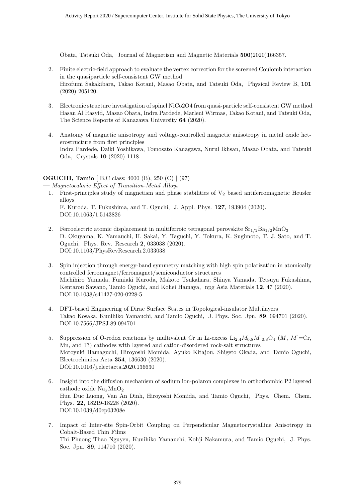Obata, Tatsuki Oda, Journal of Magnetism and Magnetic Materials **500**(2020)166357.

- 2. Finite electric-field approach to evaluate the vertex correction for the screened Coulomb interaction in the quasiparticle self-consistent GW method Hirofumi Sakakibara, Takao Kotani, Masao Obata, and Tatsuki Oda, Physical Review B, **101** (2020) 205120.
- 3. Electronic structure investigation of spinel NiCo2O4 from quasi-particle self-consistent GW method Hasan Al Rasyid, Masao Obata, Indra Pardede, Marleni Wirmas, Takao Kotani, and Tatsuki Oda, The Science Reports of Kanazawa University **64** (2020).
- 4. Anatomy of magnetic anisotropy and voltage-controlled magnetic anisotropy in metal oxide heterostructure from first principles Indra Pardede, Daiki Yoshikawa, Tomosato Kanagawa, Nurul Ikhsan, Masao Obata, and Tatsuki Oda, Crystals **10** (2020) 1118.

#### **OGUCHI, Tamio** [ B,C class; 4000 (B), 250 (C) ] (97)

**—** *Magnetocaloric Effect of Transition-Metal Alloys*

- 1. First-principles study of magnetism and phase stabilities of  $V_2$  based antiferromagnetic Heusler alloys F. Kuroda, T. Fukushima, and T. Oguchi, J. Appl. Phys. **127**, 193904 (2020). DOI:10.1063/1.5143826
- 2. Ferroelectric atomic displacement in multiferroic tetragonal perovskite  $\text{Sr}_{1/2}\text{Ba}_{1/2}\text{MnO}_3$ D. Okuyama, K. Yamauchi, H. Sakai, Y. Taguchi, Y. Tokura, K. Sugimoto, T. J. Sato, and T. Oguchi, Phys. Rev. Research **2**, 033038 (2020). DOI:10.1103/PhysRevResearch.2.033038
- 3. Spin injection through energy-band symmetry matching with high spin polarization in atomically controlled ferromagnet/ferromagnet/semiconductor structures Michihiro Yamada, Fumiaki Kuroda, Makoto Tsukahara, Shinya Yamada, Tetsuya Fukushima, Kentarou Sawano, Tamio Oguchi, and Kohei Hamaya, npg Asia Materials **12**, 47 (2020). DOI:10.1038/s41427-020-0228-5
- 4. DFT-based Engineering of Dirac Surface States in Topological-insulator Multilayers Takao Kosaka, Kunihiko Yamauchi, and Tamio Oguchi, J. Phys. Soc. Jpn. **89**, 094701 (2020). DOI:10.7566/JPSJ.89.094701
- 5. Suppression of O-redox reactions by multivalent Cr in Li-excess  $Li_{2.4}M_{0.8}M_{0.8}^{*}O_{4}$  (*M*,  $M'$ =Cr, Mn, and Ti) cathodes with layered and cation-disordered rock-salt structures Motoyuki Hamaguchi, Hiroyoshi Momida, Ayuko Kitajou, Shigeto Okada, and Tamio Oguchi, Electrochimica Acta **354**, 136630 (2020). DOI:10.1016/j.electacta.2020.136630
- 6. Insight into the diffusion mechanism of sodium ion-polaron complexes in orthorhombic P2 layered cathode oxide Na<sub>x</sub>MnO<sub>2</sub> Huu Duc Luong, Van An Dinh, Hiroyoshi Momida, and Tamio Oguchi, Phys. Chem. Chem. Phys. **22**, 18219-18228 (2020). DOI:10.1039/d0cp03208e
- 7. Impact of Inter-site Spin-Orbit Coupling on Perpendicular Magnetocrystalline Anisotropy in Cobalt-Based Thin Films Thi Phuong Thao Nguyen, Kunihiko Yamauchi, Kohji Nakamura, and Tamio Oguchi, J. Phys. Soc. Jpn. **89**, 114710 (2020).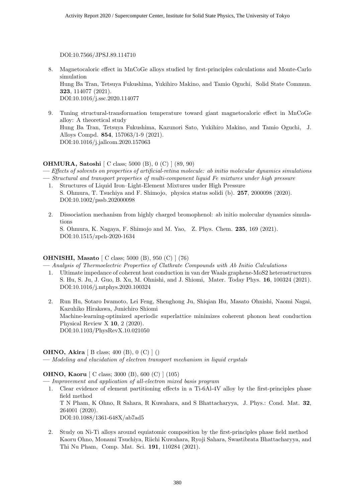DOI:10.7566/JPSJ.89.114710

- 8. Magnetocaloric effect in MnCoGe alloys studied by first-principles calculations and Monte-Carlo simulation Hung Ba Tran, Tetsuya Fukushima, Yukihiro Makino, and Tamio Oguchi, Solid State Commun. **323**, 114077 (2021). DOI:10.1016/j.ssc.2020.114077
- 9. Tuning structural-transformation temperature toward giant magnetocaloric effect in MnCoGe alloy: A theoretical study Hung Ba Tran, Tetsuya Fukushima, Kazunori Sato, Yukihiro Makino, and Tamio Oguchi, J. Alloys Compd. **854**, 157063/1-9 (2021). DOI:10.1016/j.jallcom.2020.157063

#### **OHMURA, Satoshi** [ C class; 5000 (B), 0 (C) ] (89, 90)

**—** *Effects of solvents on properties of artificial-retina molecule: ab initio molecular dynamics simulations* **—** *Structural and transport properties of multi-component liquid Fe mixtures under high pressure*

- 1. Structures of Liquid Iron–Light-Element Mixtures under High Pressure S. Ohmura, T. Tsuchiya and F. Shimojo, physica status solidi (b). **257**, 2000098 (2020). DOI:10.1002/pssb.202000098
- 2. Dissociation mechanism from highly charged bromophenol: ab initio molecular dynamics simulations S. Ohmura, K. Nagaya, F. Shimojo and M. Yao, Z. Phys. Chem. **235**, 169 (2021). DOI:10.1515/zpch-2020-1634

#### **OHNISHI, Masato** [ C class; 5000 (B), 950 (C) ] (76)

**—** *Analysis of Thermoelectric Properties of Clathrate Compounds with Ab Initio Calculations*

- 1. Ultimate impedance of coherent heat conduction in van der Waals graphene-MoS2 heterostructures S. Hu, S. Ju, J. Guo, B. Xu, M. Ohnishi, and J. Shiomi, Mater. Today Phys. **16**, 100324 (2021). DOI:10.1016/j.mtphys.2020.100324
- 2. Run Hu, Sotaro Iwamoto, Lei Feng, Shenghong Ju, Shiqian Hu, Masato Ohnishi, Naomi Nagai, Kazuhiko Hirakawa, Junichiro Shiomi Machine-learning-optimized aperiodic superlattice minimizes coherent phonon heat conduction Physical Review X **10**, 2 (2020). DOI:10.1103/PhysRevX.10.021050

#### **OHNO, Akira** [ B class; 400 (B), 0 (C) ] ()

**—** *Modeling and elucidation of electron transport mechanism in liquid crystals*

#### **OHNO, Kaoru** [ C class; 3000 (B), 600 (C) ] (105)

**—** *Improvement and application of all-electron mixed basis program*

1. Clear evidence of element partitioning effects in a Ti-6Al-4V alloy by the first-principles phase field method T N Pham, K Ohno, R Sahara, R Kuwahara, and S Bhattacharyya, J. Phys.: Cond. Mat. **32**, 264001 (2020).

DOI:10.1088/1361-648X/ab7ad5

2. Study on Ni-Ti alloys around equiatomic composition by the first-principles phase field method Kaoru Ohno, Monami Tsuchiya, Riichi Kuwahara, Ryoji Sahara, Swastibrata Bhattacharyya, and Thi Nu Pham, Comp. Mat. Sci. **191**, 110284 (2021).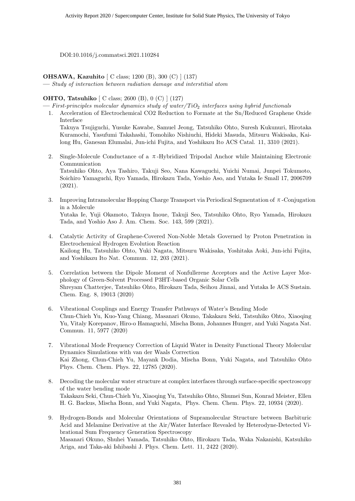DOI:10.1016/j.commatsci.2021.110284

**OHSAWA, Kazuhito** [ C class; 1200 (B), 300 (C) ] (137)

**—** *Study of interaction between radiation damage and interstitial atom*

#### **OHTO, Tatsuhiko** [ C class; 2600 (B), 0 (C) ] (127)

**—** *First-principles molecular dynamics study of water/TiO*<sup>2</sup> *interfaces using hybrid functionals*

1. Acceleration of Electrochemical CO2 Reduction to Formate at the Sn/Reduced Graphene Oxide Interface

Takuya Tsujiguchi, Yusuke Kawabe, Samuel Jeong, Tatsuhiko Ohto, Suresh Kukunuri, Hirotaka Kuramochi, Yasufumi Takahashi, Tomohiko Nishiuchi, Hideki Masuda, Mitsuru Wakisaka, Kailong Hu, Ganesan Elumalai, Jun-ichi Fujita, and Yoshikazu Ito ACS Catal. 11, 3310 (2021).

- 2. Single-Molecule Conductance of a  $\pi$ -Hybridized Tripodal Anchor while Maintaining Electronic Communication Tatsuhiko Ohto, Aya Tashiro, Takuji Seo, Nana Kawaguchi, Yuichi Numai, Junpei Tokumoto, Soichiro Yamaguchi, Ryo Yamada, Hirokazu Tada, Yoshio Aso, and Yutaka Ie Small 17, 2006709 (2021).
- 3. Improving Intramolecular Hopping Charge Transport via Periodical Segmentation of π-Conjugation in a Molecule Yutaka Ie, Yuji Okamoto, Takuya Inoue, Takuji Seo, Tatsuhiko Ohto, Ryo Yamada, Hirokazu Tada, and Yoshio Aso J. Am. Chem. Soc. 143, 599 (2021).
- 4. Catalytic Activity of Graphene-Covered Non-Noble Metals Governed by Proton Penetration in Electrochemical Hydrogen Evolution Reaction Kailong Hu, Tatsuhiko Ohto, Yuki Nagata, Mitsuru Wakisaka, Yoshitaka Aoki, Jun-ichi Fujita, and Yoshikazu Ito Nat. Commun. 12, 203 (2021).
- 5. Correlation between the Dipole Moment of Nonfullerene Acceptors and the Active Layer Morphology of Green-Solvent Processed P3HT-based Organic Solar Cells Shreyam Chatterjee, Tatsuhiko Ohto, Hirokazu Tada, Seihou Jinnai, and Yutaka Ie ACS Sustain. Chem. Eng. 8, 19013 (2020)
- 6. Vibrational Couplings and Energy Transfer Pathways of Water's Bending Mode Chun-Chieh Yu, Kuo-Yang Chiang, Masanari Okuno, Takakazu Seki, Tatsuhiko Ohto, Xiaoqing Yu, Vitaly Korepanov, Hiro-o Hamaguchi, Mischa Bonn, Johannes Hunger, and Yuki Nagata Nat. Commun. 11, 5977 (2020)
- 7. Vibrational Mode Frequency Correction of Liquid Water in Density Functional Theory Molecular Dynamics Simulations with van der Waals Correction Kai Zhong, Chun-Chieh Yu, Mayank Dodia, Mischa Bonn, Yuki Nagata, and Tatsuhiko Ohto Phys. Chem. Chem. Phys. 22, 12785 (2020).
- 8. Decoding the molecular water structure at complex interfaces through surface-specific spectroscopy of the water bending mode Takakazu Seki, Chun-Chieh Yu, Xiaoqing Yu, Tatsuhiko Ohto, Shumei Sun, Konrad Meister, Ellen H. G. Backus, Mischa Bonn, and Yuki Nagata, Phys. Chem. Chem. Phys. 22, 10934 (2020).
- 9. Hydrogen-Bonds and Molecular Orientations of Supramolecular Structure between Barbituric Acid and Melamine Derivative at the Air/Water Interface Revealed by Heterodyne-Detected Vibrational Sum Frequency Generation Spectroscopy Masanari Okuno, Shuhei Yamada, Tatsuhiko Ohto, Hirokazu Tada, Waka Nakanishi, Katsuhiko Ariga, and Taka-aki Ishibashi J. Phys. Chem. Lett. 11, 2422 (2020).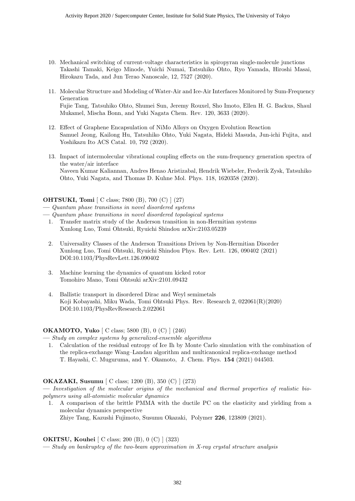- 10. Mechanical switching of current-voltage characteristics in spiropyran single-molecule junctions Takashi Tamaki, Keigo Minode, Yuichi Numai, Tatsuhiko Ohto, Ryo Yamada, Hiroshi Masai, Hirokazu Tada, and Jun Terao Nanoscale, 12, 7527 (2020).
- 11. Molecular Structure and Modeling of Water-Air and Ice-Air Interfaces Monitored by Sum-Frequency Generation Fujie Tang, Tatsuhiko Ohto, Shumei Sun, Jeremy Rouxel, Sho Imoto, Ellen H. G. Backus, Shaul Mukamel, Mischa Bonn, and Yuki Nagata Chem. Rev. 120, 3633 (2020).
- 12. Effect of Graphene Encapsulation of NiMo Alloys on Oxygen Evolution Reaction Samuel Jeong, Kailong Hu, Tatsuhiko Ohto, Yuki Nagata, Hideki Masuda, Jun-ichi Fujita, and Yoshikazu Ito ACS Catal. 10, 792 (2020).
- 13. Impact of intermolecular vibrational coupling effects on the sum-frequency generation spectra of the water/air interface Naveen Kumar Kaliannan, Andres Henao Aristizabal, Hendrik Wiebeler, Frederik Zysk, Tatsuhiko Ohto, Yuki Nagata, and Thomas D. Kuhne Mol. Phys. 118, 1620358 (2020).

#### **OHTSUKI, Tomi** [ C class: 7800 (B), 700 (C) ] (27)

- **—** *Quantum phase transitions in novel disordered systems*
- **—** *Quantum phase transitions in novel disordered topological systems*
	- 1. Transfer matrix study of the Anderson transition in non-Hermitian systems Xunlong Luo, Tomi Ohtsuki, Ryuichi Shindou arXiv:2103.05239
	- 2. Universality Classes of the Anderson Transitions Driven by Non-Hermitian Disorder Xunlong Luo, Tomi Ohtsuki, Ryuichi Shindou Phys. Rev. Lett. 126, 090402 (2021) DOI:10.1103/PhysRevLett.126.090402
	- 3. Machine learning the dynamics of quantum kicked rotor Tomohiro Mano, Tomi Ohtsuki arXiv:2101.09432
	- 4. Ballistic transport in disordered Dirac and Weyl semimetals Koji Kobayashi, Miku Wada, Tomi Ohtsuki Phys. Rev. Research 2, 022061(R)(2020) DOI:10.1103/PhysRevResearch.2.022061

#### **OKAMOTO, Yuko** [ C class; 5800 (B), 0 (C) ] (246)

- **—** *Study on complex systems by generalized-ensemble algorithms*
	- 1. Calculation of the residual entropy of Ice Ih by Monte Carlo simulation with the combination of the replica-exchange Wang–Landau algorithm and multicanonical replica-exchange method T. Hayashi, C. Muguruma, and Y. Okamoto, J. Chem. Phys. **154** (2021) 044503.

#### **OKAZAKI, Susumu** [ C class; 1200 (B), 350 (C) ] (273)

**—** *Investigation of the molecular origins of the mechanical and thermal properties of realistic biopolymers using all-atomistic molecular dynamics*

1. A comparison of the brittle PMMA with the ductile PC on the elasticity and yielding from a molecular dynamics perspective

Zhiye Tang, Kazushi Fujimoto, Susumu Okazaki, Polymer **226**, 123809 (2021).

#### **OKITSU, Kouhei** [ C class; 200 (B), 0 (C) ] (323)

**—** *Study on bankruptcy of the two-beam approximation in X-ray crystal structure analysis*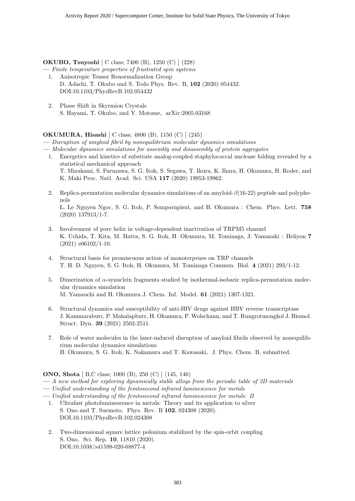#### **OKUBO, Tsuyoshi** [ C class; 7400 (B), 1250 (C) ] (228)

- **—** *Finite temperature properties of frustrated spin systems*
	- 1. Anisotropic Tensor Renormalization Group D. Adachi, T. Okubo and S. Todo Phys. Rev. B, **102** (2020) 054432. DOI:10.1103/PhysRevB.102.054432
	- 2. Phase Shift in Skyrmion Crystals S. Hayami, T. Okubo, and Y. Motome, arXiv:2005.03168

#### **OKUMURA, Hisashi** [ C class; 4800 (B), 1150 (C) ] (245)

**—** *Disruption of amyloid fibril by nonequilibrium molecular dynamics simulations*

- **—** *Molecular dynamics simulations for assembly and disassembly of protein aggregates*
- 1. Energetics and kinetics of substrate analog-coupled staphylococcal nuclease folding revealed by a statistical mechanical approach T. Mizukami, S. Furuzawa, S. G. Itoh, S. Segawa, T. Ikura, K. Ihara, H. Okumura, H. Roder, and K. Maki Proc. Natl. Acad. Sci. USA **117** (2020) 19953-19962.
- 2. Replica-permutation molecular dynamics simulations of an amyloid-*β*(16-22) peptide and polyphenols L. Le Nguyen Ngoc, S. G. Itoh, P. Sompornpisut, and H. Okumura : Chem. Phys. Lett. **758** (2020) 137913/1-7.
- 3. Involvement of pore helix in voltage-dependent inactivation of TRPM5 channel K. Uchida, T. Kita, M. Hatta, S. G. Itoh, H. Okumura, M. Tominaga, J. Yamazaki : Heliyon **7** (2021) e06102/1-10.
- 4. Structural basis for promiscuous action of monoterpenes on TRP channels T. H. D. Nguyen, S. G. Itoh, H. Okumura, M. Tominaga Commun. Biol. **4** (2021) 293/1-12.
- 5. Dimerization of *α*-synuclein fragments studied by isothermal-isobaric replica-permutation molecular dynamics simulation M. Yamauchi and H. Okumura J. Chem. Inf. Model. **61** (2021) 1307-1321.
- 6. Structural dynamics and susceptibility of anti-HIV drugs against HBV reverse transcriptase J. Kammarabutr, P. Mahalapbutr, H. Okumura, P. Wolschann, and T. Rungrotmongkol J. Biomol. Struct. Dyn. **39** (2021) 2502-2511.
- 7. Role of water molecules in the laser-induced disruption of amyloid fibrils observed by nonequilibrium molecular dynamics simulations H. Okumura, S. G. Itoh, K. Nakamura and T. Kawasaki, J. Phys. Chem. B, submitted.

**ONO, Shota** [ B,C class; 1000 (B), 250 (C) ] (145, 146)

- **—** *A new method for exploring dynamically stable alloys from the periodic table of 2D materials*
- **—** *Unified understanding of the femtosecond infrared luminescence for metals*
- **—** *Unified understanding of the femtosecond infrared luminescence for metals: II*
	- 1. Ultrafast photoluminescence in metals: Theory and its application to silver S. Ono and T. Suemoto, Phys. Rev. B **102**, 024308 (2020). DOI:10.1103/PhysRevB.102.024308
	- 2. Two-dimensional square lattice polonium stabilized by the spin-orbit coupling S. Ono, Sci. Rep. **10**, 11810 (2020). DOI:10.1038/s41598-020-68877-4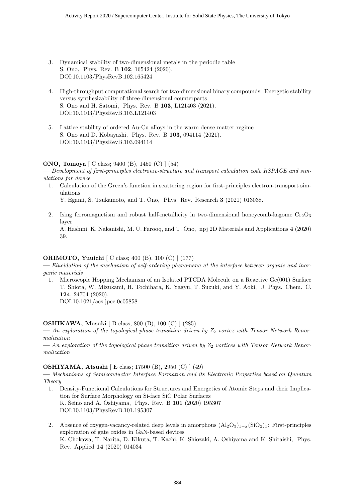- 3. Dynamical stability of two-dimensional metals in the periodic table S. Ono, Phys. Rev. B **102**, 165424 (2020). DOI:10.1103/PhysRevB.102.165424
- 4. High-throughput computational search for two-dimensional binary compounds: Energetic stability versus synthesizability of three-dimensional counterparts S. Ono and H. Satomi, Phys. Rev. B **103**, L121403 (2021). DOI:10.1103/PhysRevB.103.L121403
- 5. Lattice stability of ordered Au-Cu alloys in the warm dense matter regime S. Ono and D. Kobayashi, Phys. Rev. B **103**, 094114 (2021). DOI:10.1103/PhysRevB.103.094114

#### **ONO, Tomoya** [ C class; 9400 (B), 1450 (C) ] (54)

**—** *Development of first-principles electronic-structure and transport calculation code RSPACE and simulations for device*

1. Calculation of the Green's function in scattering region for first-principles electron-transport simulations

Y. Egami, S. Tsukamoto, and T. Ono, Phys. Rev. Research **3** (2021) 013038.

2. Ising ferromagnetism and robust half-metallicity in two-dimensional honeycomb-kagome  $Cr_2O_3$ layer

A. Hashmi, K. Nakanishi, M. U. Farooq, and T. Ono, npj 2D Materials and Applications **4** (2020) 39.

#### **ORIMOTO, Yuuichi** [ C class; 400 (B), 100 (C) ] (177)

**—** *Elucidation of the mechanism of self-ordering phenomena at the interface between organic and inorganic materials*

1. Microscopic Hopping Mechanism of an Isolated PTCDA Molecule on a Reactive Ge(001) Surface T. Shiota, W. Mizukami, H. Tochihara, K. Yagyu, T. Suzuki, and Y. Aoki, J. Phys. Chem. C. **124**, 24704 (2020). DOI:10.1021/acs.jpcc.0c05858

#### **OSHIKAWA, Masaki** [ B class; 800 (B), 100 (C) ] (285)

— An exploration of the topological phase transition driven by  $Z_2$  vortex with Tensor Network Renor*malization*

**—** *An exploration of the topological phase transition driven by Z*<sup>2</sup> *vortices with Tensor Network Renormalization*

#### **OSHIYAMA, Atsushi** [ E class; 17500 (B), 2950 (C) ] (49)

**—** *Mechanisms of Semiconductor Interface Formation and its Electronic Properties based on Quantum Theory*

- 1. Density-Functional Calculations for Structures and Energetics of Atomic Steps and their Implication for Surface Morphology on Si-face SiC Polar Surfaces K. Seino and A. Oshiyama, Phys. Rev. B **101** (2020) 195307 DOI:10.1103/PhysRevB.101.195307
- 2. Absence of oxygen-vacancy-related deep levels in amorphous  $(A_2O_3)_{1-x}$ (SiO<sub>2</sub>)<sub>*x*</sub>: First-principles exploration of gate oxides in GaN-based devices K. Chokawa, T. Narita, D. Kikuta, T. Kachi, K. Shiozaki, A. Oshiyama and K. Shiraishi, Phys. Rev. Applied **14** (2020) 014034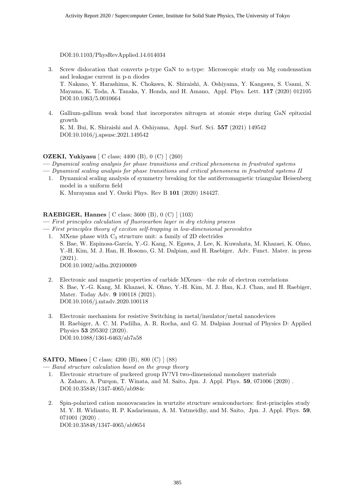DOI:10.1103/PhysRevApplied.14.014034

- 3. Screw dislocation that converts p-type GaN to n-type: Microscopic study on Mg condensation and leakagae current in p-n diodes T. Nakano, Y. Harashima, K. Chokawa, K. Shiraishi, A. Oshiyama, Y. Kangawa, S. Usami, N. Mayama, K. Toda, A. Tanaka, Y. Honda, and H. Amano, Appl. Phys. Lett. **117** (2020) 012105 DOI:10.1063/5.0010664
- 4. Gallium-gallium weak bond that incorporates nitrogen at atomic steps during GaN epitaxial growth K. M. Bui, K. Shiraishi and A. Oshiyama, Appl. Surf. Sci. **557** (2021) 149542 DOI:10.1016/j.apsusc.2021.149542

#### **OZEKI, Yukiyasu** [ C class; 4400 (B), 0 (C) ] (260)

- **—** *Dynamical scaling analysis for phase transitions and critical phenomena in frustrated systems*
- **—** *Dynamical scaling analysis for phase transitions and critical phenomena in frustrated systems II*
- 1. Dynamical scaling analysis of symmetry breaking for the antiferromagnetic triangular Heisenberg model in a uniform field

K. Murayama and Y. Ozeki Phys. Rev B **101** (2020) 184427.

#### **RAEBIGER, Hannes** [ C class; 3600 (B), 0 (C) ] (103)

- **—** *First principles calculation of fluorocarbon layer in dry etching process*
- **—** *First principles theory of exciton self-trapping in low-dimensional perovskites*
	- 1. MXene phase with  $C_3$  structure unit: a family of 2D electrides S. Bae, W. Espinosa-García, Y.-G. Kang, N. Egawa, J. Lee, K. Kuwahata, M. Khazaei, K. Ohno, Y.-H. Kim, M. J. Han, H. Hosono, G. M. Dalpian, and H. Raebiger, Adv. Funct. Mater. in press (2021). DOI:10.1002/adfm.202100009
	- 2. Electronic and magnetic properties of carbide MXenes—the role of electron correlations S. Bae, Y.-G. Kang, M. Khazaei, K. Ohno, Y.-H. Kim, M. J. Han, K.J. Chan, and H. Raebiger, Mater. Today Adv. **9** 100118 (2021). DOI:10.1016/j.mtadv.2020.100118
	- 3. Electronic mechanism for resistive Switching in metal/insulator/metal nanodevices H. Raebiger, A. C. M. Padilha, A. R. Rocha, and G. M. Dalpian Journal of Physics D: Applied Physics **53** 295302 (2020). DOI:10.1088/1361-6463/ab7a58

#### **SAITO, Mineo** [ C class; 4200 (B), 800 (C) ] (88)

- **—** *Band structure calculation based on the group theory*
- 1. Electronic structure of puckered group IV?VI two-dimensional monolayer materials A. Zaharo, A. Purqon, T. Winata, and M. Saito, Jpn. J. Appl. Phys. **59**, 071006 (2020) . DOI:10.35848/1347-4065/ab984c
- 2. Spin-polarized cation monovacancies in wurtzite structure semiconductors: first-principles study M. Y. H. Widianto, H. P. Kadarisman, A. M. Yatmeidhy, and M. Saito, Jpn. J. Appl. Phys. **59**, 071001 (2020) . DOI:10.35848/1347-4065/ab9654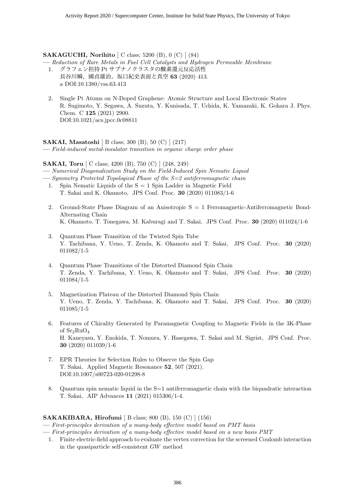#### **SAKAGUCHI, Norihito** [ C class; 5200 (B), 0 (C) ] (84)

**—** *Reduction of Rare Metals in Fuel Cell Catalysts and Hydrogen Permeable Membrane*

- 1. グラフェン担持 Pt サブナノクラスタの酸素還元反応活性 長谷川瞬,國貞雄治,坂口紀史表面と真空 **63** (2020) 413. a DOI:10.1380/vss.63.413
- 2. Single Pt Atoms on N-Doped Graphene: Atomic Structure and Local Electronic States R. Sugimoto, Y. Segawa, A. Suzuta, Y. Kunisada, T. Uchida, K. Yamazaki, K. Gohara J. Phys. Chem. C **125** (2021) 2900. DOI:10.1021/acs.jpcc.0c08811

**SAKAI, Masatoshi** [ B class; 300 (B), 50 (C) ] (217)

**—** *Field-induced metal-insulator transition in organic charge order phase*

**SAKAI, Toru** [ C class; 4200 (B), 750 (C) ] (248, 249)

**—** *Numerical Diagonalization Study on the Field-Induced Spin Nematic Liquid*

- **—** *Symmetry Protected Topological Phase of the S=2 antiferromagnetic chain*
	- 1. Spin Nematic Liquids of the  $S = 1$  Spin Ladder in Magnetic Field T. Sakai and K. Okamoto, JPS Conf. Proc. **30** (2020) 011083/1-6
	- 2. Ground-State Phase Diagram of an Anisotropic  $S = 1$  Ferromagnetic-Antiferromagnetic Bond-Alternating Chain K. Okamoto, T. Tonegawa, M. Kaburagi and T. Sakai, JPS Conf. Proc. **30** (2020) 011024/1-6
	- 3. Quantum Phase Transition of the Twisted Spin Tube Y. Tachibana, Y. Ueno, T. Zenda, K. Okamoto and T. Sakai, JPS Conf. Proc. **30** (2020) 011082/1-5
	- 4. Quantum Phase Transitions of the Distorted Diamond Spin Chain T. Zenda, Y. Tachibana, Y. Ueno, K. Okamoto and T. Sakai, JPS Conf. Proc. **30** (2020) 011084/1-5
	- 5. Magnetization Plateau of the Distorted Diamond Spin Chain Y. Ueno, T. Zenda, Y. Tachibana, K. Okamoto and T. Sakai, JPS Conf. Proc. **30** (2020) 011085/1-5
	- 6. Features of Chirality Generated by Paramagnetic Coupling to Magnetic Fields in the 3K-Phase of  $Sr_2RuO_4$ H. Kaneyasu, Y. Enokida, T. Nomura, Y. Hasegawa, T. Sakai and M. Sigrist, JPS Conf. Proc. **30** (2020) 011039/1-6
	- 7. EPR Theories for Selection Rules to Observe the Spin Gap T. Sakai, Applied Magnetic Resonance **52**, 507 (2021). DOI:10.1007/s00723-020-01298-8
	- 8. Quantum spin nematic liquid in the S=1 antiferromagnetic chain with the biquadratic interaction T. Sakai, AIP Advances **11** (2021) 015306/1-4.

#### **SAKAKIBARA, Hirofumi** [ B class; 800 (B), 150 (C) ] (156)

**—** *First-principles derivation of a many-body effective model based on PMT basis*

- **—** *First-principles derivation of a many-body effective model based on a new basis PMT*
	- 1. Finite electric-field approach to evaluate the vertex correction for the screened Coulomb interaction in the quasiparticle self-consistent *GW* method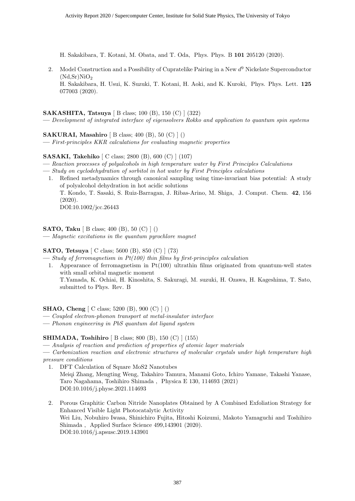H. Sakakibara, T. Kotani, M. Obata, and T. Oda, Phys. Phys. B **101** 205120 (2020).

2. Model Construction and a Possibility of Cupratelike Pairing in a New *d* <sup>9</sup> Nickelate Superconductor  $(Nd,Sr)NiO<sub>2</sub>$ H. Sakakibara, H. Usui, K. Suzuki, T. Kotani, H. Aoki, and K. Kuroki, Phys. Phys. Lett. **125** 077003 (2020).

#### **SAKASHITA, Tatsuya** [ B class; 100 (B), 150 (C) ] (322)

- **—** *Development of integrated interface of eigensolvers Rokko and application to quantum spin systems*
- **SAKURAI, Masahiro** [ B class; 400 (B), 50 (C) ] ()
- **—** *First-principles KKR calculations for evaluating magnetic properties*

#### **SASAKI, Takehiko** [ C class; 2800 (B), 600 (C) ] (107)

- **—** *Reaction processes of polyalcohols in high temperature water by First Principles Calculations*
- **—** *Study on cyclodehydration of sorbitol in hot water by First Principles calculations*
- 1. Refined metadynamics through canonical sampling using time-invariant bias potential: A study of polyalcohol dehydration in hot acidic solutions T. Kondo, T. Sasaki, S. Ruiz-Barragan, J. Ribas-Arino, M. Shiga, J. Comput. Chem. **42**, 156 (2020). DOI:10.1002/jcc.26443

**SATO, Taku** [ B class; 400 (B), 50 (C) ] ()

**—** *Magnetic excitations in the quantum pyrochlore magnet*

#### **SATO, Tetsuya** [ C class; 5600 (B), 850 (C) ] (73)

- **—** *Study of ferromagnetism in Pt(100) thin films by first-principles calculation*
	- 1. Appearance of ferromagnetism in Pt(100) ultrathin films originated from quantum-well states with small orbital magnetic moment T.Yamada, K. Ochiai, H. Kinoshita, S. Sakuragi, M. suzuki, H. Ozawa, H. Kageshima, T. Sato, submitted to Phys. Rev. B

#### **SHAO, Cheng** [ C class; 5200 (B), 900 (C) ] ()

- **—** *Coupled electron-phonon transport at metal-insulator interface*
- **—** *Phonon engineering in PbS quantum dot ligand system*

#### **SHIMADA, Toshihiro** [ B class; 800 (B), 150 (C) ] (155)

**—** *Analysis of reaction and prediction of properties of atomic layer materials*

**—** *Carbonization reaction and electronic structures of molecular crystals under high temperature high pressure conditions*

- 1. DFT Calculation of Square MoS2 Nanotubes Meiqi Zhang, Mengting Weng, Takahiro Tamura, Manami Goto, Ichiro Yamane, Takashi Yanase, Taro Nagahama, Toshihiro Shimada , Physica E 130, 114693 (2021) DOI:10.1016/j.physe.2021.114693
- 2. Porous Graphitic Carbon Nitride Nanoplates Obtained by A Combined Exfoliation Strategy for Enhanced Visible Light Photocatalytic Activity Wei Liu, Nobuhiro Iwasa, Shinichiro Fujita, Hitoshi Koizumi, Makoto Yamaguchi and Toshihiro Shimada , Applied Surface Science 499,143901 (2020). DOI:10.1016/j.apsusc.2019.143901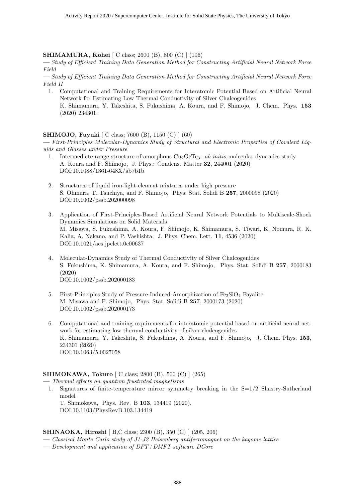#### **SHIMAMURA, Kohei** [ C class; 2600 (B), 800 (C) ] (106)

**—** *Study of Efficient Training Data Generation Method for Constructing Artificial Neural Network Force Field*

**—** *Study of Efficient Training Data Generation Method for Constructing Artificial Neural Network Force Field II*

1. Computational and Training Requirements for Interatomic Potential Based on Artificial Neural Network for Estimating Low Thermal Conductivity of Silver Chalcogenides K. Shimamura, Y. Takeshita, S. Fukushima, A. Koura, and F. Shimojo, J. Chem. Phys. **153** (2020) 234301.

#### **SHIMOJO, Fuyuki** [ C class; 7600 (B), 1150 (C) ] (60)

**—** *First-Principles Molecular-Dynamics Study of Structural and Electronic Properties of Covalent Liquids and Glasses under Pressure*

- 1. Intermediate range structure of amorphous Cu2GeTe3: *ab initio* molecular dynamics study A. Koura and F. Shimojo, J. Phys.: Condens. Matter **32**, 244001 (2020) DOI:10.1088/1361-648X/ab7b1b
- 2. Structures of liquid iron-light-element mixtures under high pressure S. Ohmura, T. Tsuchiya, and F. Shimojo, Phys. Stat. Solidi B **257**, 2000098 (2020) DOI:10.1002/pssb.202000098
- 3. Application of First-Principles-Based Artificial Neural Network Potentials to Multiscale-Shock Dynamics Simulations on Solid Materials M. Misawa, S. Fukushima, A. Koura, F. Shimojo, K. Shimamura, S. Tiwari, K. Nomura, R. K. Kalia, A. Nakano, and P. Vashishta, J. Phys. Chem. Lett. **11**, 4536 (2020) DOI:10.1021/acs.jpclett.0c00637
- 4. Molecular-Dynamics Study of Thermal Conductivity of Silver Chalcogenides S. Fukushima, K. Shimamura, A. Koura, and F. Shimojo, Phys. Stat. Solidi B **257**, 2000183 (2020) DOI:10.1002/pssb.202000183
- 5. First-Principles Study of Pressure-Induced Amorphization of  $Fe<sub>2</sub>SiO<sub>4</sub>$  Fayalite M. Misawa and F. Shimojo, Phys. Stat. Solidi B **257**, 2000173 (2020) DOI:10.1002/pssb.202000173
- 6. Computational and training requirements for interatomic potential based on artificial neural network for estimating low thermal conductivity of silver chalcogenides K. Shimamura, Y. Takeshita, S. Fukushima, A. Koura, and F. Shimojo, J. Chem. Phys. **153**, 234301 (2020) DOI:10.1063/5.0027058

#### **SHIMOKAWA, Tokuro** [ C class; 2800 (B), 500 (C) ] (265)

**—** *Thermal effects on quantum frustrated magnetisms*

1. Signatures of finite-temperature mirror symmetry breaking in the S=1/2 Shastry-Sutherland model

T. Shimokawa, Phys. Rev. B **103**, 134419 (2020). DOI:10.1103/PhysRevB.103.134419

#### **SHINAOKA, Hiroshi** [ B,C class; 2300 (B), 350 (C) ] (205, 206)

- **—** *Classical Monte Carlo study of J1-J2 Heisenberg antiferromagnet on the kagome lattice*
- **—** *Development and application of DFT+DMFT software DCore*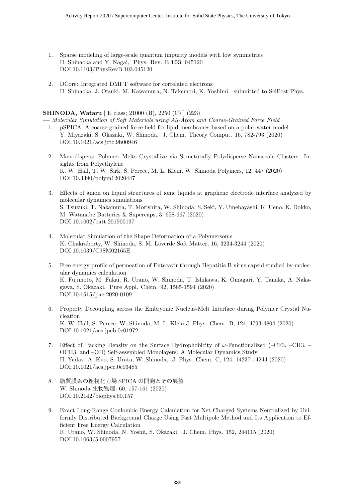- 1. Sparse modeling of large-scale quantum impurity models with low symmetries H. Shinaoka and Y. Nagai, Phys. Rev. B **103**, 045120 DOI:10.1103/PhysRevB.103.045120
- 2. DCore: Integrated DMFT software for correlated electrons H. Shinaoka, J. Otsuki, M. Kawamura, N. Takemori, K. Yoshimi, submitted to SciPost Phys.

#### **SHINODA, Wataru** [ E class; 21000 (B), 2250 (C) ] (223)

**—** *Molecular Simulation of Soft Materials using All-Atom and Coarse-Grained Force Field*

- 1. pSPICA: A coarse-grained force field for lipid membranes based on a polar water model Y. Miyazaki, S. Okazaki, W. Shinoda, J. Chem. Theory Comput. 16, 782-793 (2020) DOI:10.1021/acs.jctc.9b00946
- 2. Monodisperse Polymer Melts Crystallize via Structurally Polydisperse Nanoscale Clusters: Insights from Polyethylene K. W. Hall, T. W. Sirk, S. Percec, M. L. Klein, W. Shinoda Polymers, 12, 447 (2020) DOI:10.3390/polym12020447
- 3. Effects of anion on liquid structures of ionic liquids at graphene electrode interface analyzed by molecular dynamics simulations S. Tsuzuki, T. Nakamura, T. Morishita, W. Shinoda, S. Seki, Y. Umebayashi, K. Ueno, K. Dokko, M. Watanabe Batteries & Supercaps, 3, 658-667 (2020) DOI:10.1002/batt.201900197
- 4. Molecular Simulation of the Shape Deformation of a Polymersome K. Chakraborty, W. Shinoda, S. M. Loverde Soft Matter, 16, 3234-3244 (2020) DOI:10.1039/C9SM02165E
- 5. Free energy profile of permeation of Entecavir through Hepatitis B virus capsid studied by molecular dynamics calculation K. Fujimoto, M. Fukai, R. Urano, W. Shinoda, T. Ishikawa, K. Omagari, Y. Tanaka, A. Nakagawa, S. Okazaki, Pure Appl. Chem. 92, 1585-1594 (2020) DOI:10.1515/pac-2020-0109
- 6. Property Decoupling across the Embryonic Nucleus-Melt Interface during Polymer Crystal Nucleation K. W. Hall, S. Percec, W. Shinoda, M. L. Klein J. Phys. Chem. B, 124, 4793-4804 (2020) DOI:10.1021/acs.jpcb.0c01972
- 7. Effect of Packing Density on the Surface Hydrophobicity of *ω*-Functionalized (–CF3, –CH3, OCH3, and –OH) Self-assembled Monolayers: A Molecular Dynamics Study H. Yadav, A. Kuo, S. Urata, W. Shinoda, J. Phys. Chem. C, 124, 14237-14244 (2020) DOI:10.1021/acs.jpcc.0c03485
- 8. 脂質膜系の粗視化力場 SPICA の開発とその展望 W. Shinoda 生物物理, 60, 157-161 (2020) DOI:10.2142/biophys.60.157
- 9. Exact Long-Range Coulombic Energy Calculation for Net Charged Systems Neutralized by Uniformly Distributed Background Charge Using Fast Multipole Method and Its Application to Efficient Free Energy Calculation R. Urano, W. Shinoda, N. Yoshii, S. Okazaki, J. Chem. Phys. 152, 244115 (2020) DOI:10.1063/5.0007957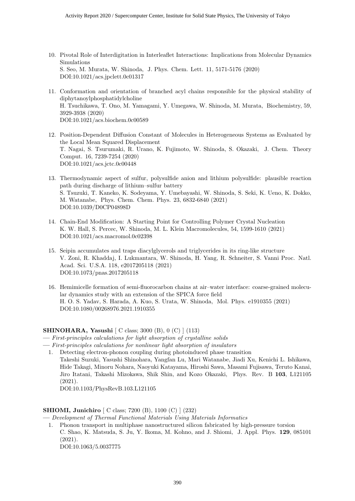- 10. Pivotal Role of Interdigitation in Interleaflet Interactions: Implications from Molecular Dynamics Simulations S. Seo, M. Murata, W. Shinoda, J. Phys. Chem. Lett. 11, 5171-5176 (2020) DOI:10.1021/acs.jpclett.0c01317
- 11. Conformation and orientation of branched acyl chains responsible for the physical stability of diphytanoylphosphatidylcholine H. Tsuchikawa, T. Ono, M. Yamagami, Y. Umegawa, W. Shinoda, M. Murata, Biochemistry, 59, 3929-3938 (2020) DOI:10.1021/acs.biochem.0c00589
- 12. Position-Dependent Diffusion Constant of Molecules in Heterogeneous Systems as Evaluated by the Local Mean Squared Displacement T. Nagai, S. Tsurumaki, R. Urano, K. Fujimoto, W. Shinoda, S. Okazaki, J. Chem. Theory Comput. 16, 7239-7254 (2020) DOI:10.1021/acs.jctc.0c00448
- 13. Thermodynamic aspect of sulfur, polysulfide anion and lithium polysulfide: plausible reaction path during discharge of lithium–sulfur battery S. Tsuzuki, T. Kaneko, K. Sodeyama, Y. Umebayashi, W. Shinoda, S. Seki, K. Ueno, K. Dokko, M. Watanabe, Phys. Chem. Chem. Phys. 23, 6832-6840 (2021) DOI:10.1039/D0CP04898D
- 14. Chain-End Modification: A Starting Point for Controlling Polymer Crystal Nucleation K. W. Hall, S. Percec, W. Shinoda, M. L. Klein Macromolecules, 54, 1599-1610 (2021) DOI:10.1021/acs.macromol.0c02398
- 15. Seipin accumulates and traps diacylglycerols and triglycerides in its ring-like structure V. Zoni, R. Khaddaj, I. Lukmantara, W. Shinoda, H. Yang, R. Schneiter, S. Vanni Proc. Natl. Acad. Sci. U.S.A. 118, e2017205118 (2021) DOI:10.1073/pnas.2017205118
- 16. Hemimicelle formation of semi-fluorocarbon chains at air–water interface: coarse-grained molecular dynamics study with an extension of the SPICA force field H. O. S. Yadav, S. Harada, A. Kuo, S. Urata, W. Shinoda, Mol. Phys. e1910355 (2021) DOI:10.1080/00268976.2021.1910355

#### **SHINOHARA, Yasushi** [ C class; 3000 (B), 0 (C) ] (113)

- **—** *First-principles calculations for light absorption of crystalline solids*
- **—** *First-principles calculations for nonlinear light absorption of insulators*
- 1. Detecting electron-phonon coupling during photoinduced phase transition Takeshi Suzuki, Yasushi Shinohara, Yangfan Lu, Mari Watanabe, Jiadi Xu, Kenichi L. Ishikawa, Hide Takagi, Minoru Nohara, Naoyuki Katayama, Hiroshi Sawa, Masami Fujisawa, Teruto Kanai, Jiro Itatani, Takashi Mizokawa, Shik Shin, and Kozo Okazaki, Phys. Rev. B **103**, L121105 (2021).

DOI:10.1103/PhysRevB.103.L121105

#### **SHIOMI, Junichiro** [ C class; 7200 (B), 1100 (C) ] (232)

**—** *Development of Thermal Functional Materials Using Materials Informatics*

1. Phonon transport in multiphase nanostructured silicon fabricated by high-pressure torsion C. Shao, K. Matsuda, S. Ju, Y. Ikoma, M. Kohno, and J. Shiomi, J. Appl. Phys. **129**, 085101 (2021).

DOI:10.1063/5.0037775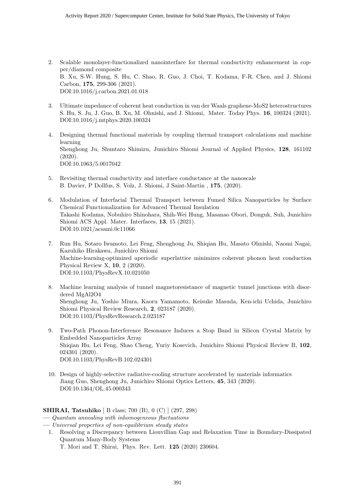- 2. Scalable monolayer-functionalized nanointerface for thermal conductivity enhancement in copper/diamond composite B. Xu, S-W. Hung, S. Hu, C. Shao, R. Guo, J. Choi, T. Kodama, F-R. Chen, and J. Shiomi Carbon, **175**, 299-306 (2021). DOI:10.1016/j.carbon.2021.01.018
- 3. Ultimate impedance of coherent heat conduction in van der Waals graphene-MoS2 heterostructures S. Hu, S. Ju, J. Guo, B. Xu, M. Ohnishi, and J. Shiomi, Mater. Today Phys. **16**, 100324 (2021). DOI:10.1016/j.mtphys.2020.100324
- 4. Designing thermal functional materials by coupling thermal transport calculations and machine learning Shenghong Ju, Shuntaro Shimizu, Junichiro Shiomi Journal of Applied Physics, **128**, 161102 (2020). DOI:10.1063/5.0017042
- 5. Revisiting thermal conductivity and interface conductance at the nanoscale B. Davier, P Dollfus, S. Volz, J. Shiomi, J Saint-Martin , **175**, (2020).
- 6. Modulation of Interfacial Thermal Transport between Fumed Silica Nanoparticles by Surface Chemical Functionalization for Advanced Thermal Insulation Takashi Kodama, Nobuhiro Shinohara, Shih-Wei Hung, Masanao Obori, Donguk, Suh, Junichiro Shiomi ACS Appl. Mater. Interfaces, **13**, 15 (2021). DOI:10.1021/acsami.0c11066
- 7. Run Hu, Sotaro Iwamoto, Lei Feng, Shenghong Ju, Shiqian Hu, Masato Ohnishi, Naomi Nagai, Kazuhiko Hirakawa, Junichiro Shiomi Machine-learning-optimized aperiodic superlattice minimizes coherent phonon heat conduction Physical Review X, **10**, 2 (2020). DOI:10.1103/PhysRevX.10.021050
- 8. Machine learning analysis of tunnel magnetoresistance of magnetic tunnel junctions with disordered MgAl2O4 Shenghong Ju, Yoshio Miura, Kaoru Yamamoto, Keisuke Masuda, Ken-ichi Uchida, Junichiro Shiomi Physical Review Research, **2**, 023187 (2020). DOI:10.1103/PhysRevResearch.2.023187
- 9. Two-Path Phonon-Interference Resonance Induces a Stop Band in Silicon Crystal Matrix by Embedded Nanoparticles Array Shiqian Hu, Lei Feng, Shao Cheng, Yuriy Kosevich, Junichiro Shiomi Physical Review B, **102**, 024301 (2020). DOI:10.1103/PhysRevB.102.024301
- 10. Design of highly-selective radiative-cooling structure accelerated by materials informatics Jiang Guo, Shenghong Ju, Junichiro Shiomi Optics Letters, **45**, 343 (2020). DOI:10.1364/OL.45.000343

#### **SHIRAI, Tatsuhiko** [ B class; 700 (B), 0 (C) ] (297, 298)

- **—** *Quantum annealing with inhomogeneous fluctuations*
- **—** *Universal properties of non-equilibrium steady states*
- 1. Resolving a Discrepancy between Liouvillian Gap and Relaxation Time in Boundary-Dissipated Quantum Many-Body Systems

T. Mori and T. Shirai, Phys. Rev. Lett. **125** (2020) 230604.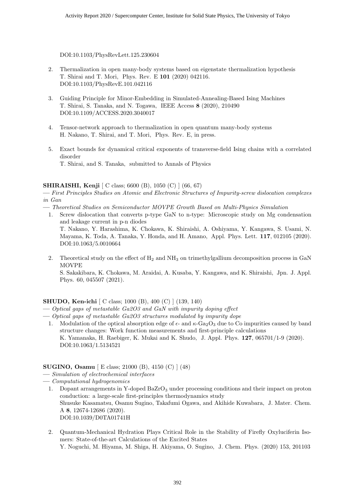DOI:10.1103/PhysRevLett.125.230604

- 2. Thermalization in open many-body systems based on eigenstate thermalization hypothesis T. Shirai and T. Mori, Phys. Rev. E **101** (2020) 042116. DOI:10.1103/PhysRevE.101.042116
- 3. Guiding Principle for Minor-Embedding in Simulated-Annealing-Based Ising Machines T. Shirai, S. Tanaka, and N. Togawa, IEEE Access **8** (2020), 210490 DOI:10.1109/ACCESS.2020.3040017
- 4. Tensor-network approach to thermalization in open quantum many-body systems H. Nakano, T. Shirai, and T. Mori, Phys. Rev. E, in press.
- 5. Exact bounds for dynamical critical exponents of transverse-field Ising chains with a correlated disorder T. Shirai, and S. Tanaka, submitted to Annals of Physics

#### **SHIRAISHI, Kenji** [ C class; 6600 (B), 1050 (C) ] (66, 67)

**—** *First Principles Studies on Atomic and Electronic Structures of Impurity-screw dislocation complexes in Gan*

- **—** *Theoretical Studies on Semiconductor MOVPE Growth Based on Multi-Physics Simulation*
- 1. Screw dislocation that converts p-type GaN to n-type: Microscopic study on Mg condensation and leakage current in p-n diodes

T. Nakano, Y. Harashima, K. Chokawa, K. Shiraishi, A. Oshiyama, Y. Kangawa, S. Usami, N. Mayama, K. Toda, A. Tanaka, Y. Honda, and H. Amano, Appl. Phys. Lett. **117**, 012105 (2020). DOI:10.1063/5.0010664

2. Theoretical study on the effect of  $H_2$  and  $NH_3$  on trimethylgallium decomposition process in GaN MOVPE S. Sakakibara, K. Chokawa, M. Araidai, A. Kusaba, Y. Kangawa, and K. Shiraishi, Jpn. J. Appl. Phys. 60, 045507 (2021).

#### **SHUDO, Ken-ichi** [ C class; 1000 (B), 400 (C) ] (139, 140)

- **—** *Optical gaps of metastable Ga2O3 and GaN with impurity doping effect*
- **—** *Optical gaps of metastable Ga2O3 structures modulated by impurity dope*
- 1. Modulation of the optical absorption edge of  $\epsilon$  and  $\kappa$ -Ga<sub>2</sub>O<sub>3</sub> due to Co impurities caused by band structure changes: Work function measurements and first-principle calculations K. Yamanaka, H. Raebiger, K. Mukai and K. Shudo, J. Appl. Phys. **127**, 065701/1-9 (2020). DOI:10.1063/1.5134521

#### **SUGINO, Osamu** [ E class; 21000 (B), 4150 (C) ] (48)

- **—** *Simulation of electrochemical interfaces*
- **—** *Computational hydrogenomics*
	- 1. Dopant arrangements in Y-doped BaZrO<sub>3</sub> under processing conditions and their impact on proton conduction: a large-scale first-principles thermodynamics study Shusuke Kasamatsu, Osamu Sugino, Takafumi Ogawa, and Akihide Kuwabara, J. Mater. Chem. A **8**, 12674-12686 (2020). DOI:10.1039/D0TA01741H
	- 2. Quantum-Mechanical Hydration Plays Critical Role in the Stability of Firefly Oxyluciferin Isomers: State-of-the-art Calculations of the Excited States

Y. Noguchi, M. Hiyama, M. Shiga, H. Akiyama, O. Sugino, J. Chem. Phys. (2020) 153, 201103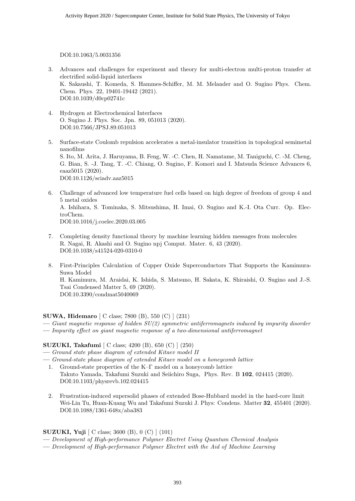DOI:10.1063/5.0031356

- 3. Advances and challenges for experiment and theory for multi-electron multi-proton transfer at electrified solid-liquid interfaces K. Sakaushi, T. Komeda, S. Hammes-Schiffer, M. M. Melander and O. Sugino Phys. Chem. Chem. Phys. 22, 19401-19442 (2021). DOI:10.1039/d0cp02741c
- 4. Hydrogen at Electrochemical Interfaces O. Sugino J. Phys. Soc. Jpn. 89, 051013 (2020). DOI:10.7566/JPSJ.89.051013
- 5. Surface-state Coulomb repulsion accelerates a metal-insulator transition in topological semimetal nanofilms S. Ito, M. Arita, J. Haruyama, B. Feng, W. -C. Chen, H. Namatame, M. Taniguchi, C. -M. Cheng, G. Bian, S. -J. Tang, T. -C. Chiang, O. Sugino, F. Komori and I. Matsuda Science Advances 6, eaaz5015 (2020). DOI:10.1126/sciadv.aaz5015
- 6. Challenge of advanced low temperature fuel cells based on high degree of freedom of group 4 and 5 metal oxides A. Ishihara, S. Tominaka, S. Mitsushima, H. Imai, O. Sugino and K.-I. Ota Curr. Op. ElectroChem. DOI:10.1016/j.coelec.2020.03.005
- 7. Completing density functional theory by machine learning hidden messages from molecules R. Nagai, R. Akashi and O. Sugino npj Comput. Mater. 6, 43 (2020). DOI:10.1038/s41524-020-0310-0
- 8. First-Principles Calculation of Copper Oxide Superconductors That Supports the Kamimura-Suwa Model H. Kamimura, M. Araidai, K. Ishida, S. Matsuno, H. Sakata, K. Shiraishi, O. Sugino and J.-S. Tsai Condensed Matter 5, 69 (2020). DOI:10.3390/condmat5040069

#### **SUWA, Hidemaro** [ C class; 7800 (B), 550 (C) ] (231)

- **—** *Giant magnetic response of hidden SU(2) symmetric antiferromagnets induced by impurity disorder*
- **—** *Impurity effect on giant magnetic response of a two-dimensional antiferromagnet*

#### **SUZUKI, Takafumi** [ C class; 4200 (B), 650 (C) ] (250)

**—** *Ground state phase diagram of extended Kitaev model II*

- **—** *Ground-state phase diagram of extended Kitaev model on a honeycomb lattice*
	- 1. Ground-state properties of the K–Γ model on a honeycomb lattice Takuto Yamada, Takafumi Suzuki and Seiichiro Suga, Phys. Rev. B **102**, 024415 (2020). DOI:10.1103/physrevb.102.024415
	- 2. Frustration-induced supersolid phases of extended Bose-Hubbard model in the hard-core limit Wei-Lin Tu, Huan-Kuang Wu and Takafumi Suzuki J. Phys: Condens. Matter **32**, 455401 (2020). DOI:10.1088/1361-648x/aba383

#### **SUZUKI, Yuji** [ C class; 3600 (B), 0 (C) ] (101)

- **—** *Development of High-performance Polymer Electret Using Quantum Chemical Analysis*
- **—** *Development of High-performance Polymer Electret with the Aid of Machine Learning*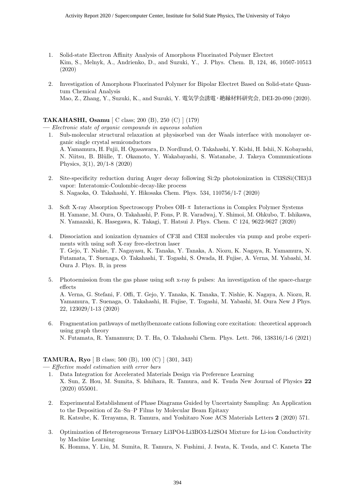- 1. Solid-state Electron Affinity Analysis of Amorphous Fluorinated Polymer Electret Kim, S., Melnyk, A., Andrienko, D., and Suzuki, Y., J. Phys. Chem. B, 124, 46, 10507-10513 (2020)
- 2. Investigation of Amorphous Fluorinated Polymer for Bipolar Electret Based on Solid-state Quantum Chemical Analysis Mao, Z., Zhang, Y., Suzuki, K., and Suzuki, Y. 電気学会誘電・絶縁材料研究会, DEI-20-090 (2020).

#### **TAKAHASHI, Osamu** [ C class; 200 (B), 250 (C) ] (179)

**—** *Electronic state of organic compounds in aqueous solution*

- 1. Sub-molecular structural relaxation at physisorbed van der Waals interface with monolayer organic single crystal semiconductors A. Yamamura, H. Fujii, H. Ogasawara, D. Nordlund, O. Takahashi, Y. Kishi, H. Ishii, N. Kobayashi, N. Niitsu, B. Blülle, T. Okamoto, Y. Wakabayashi, S. Watanabe, J. Takeya Communications Physics, 3(1), 20/1-8 (2020)
- 2. Site-specificity reduction during Auger decay following Si:2p photoionization in Cl3SiSi(CH3)3 vapor: Interatomic-Coulombic-decay-like process S. Nagaoka, O. Takahashi, Y. Hikosaka Chem. Phys. 534, 110756/1-7 (2020)
- 3. Soft X-ray Absorption Spectroscopy Probes OH-π Interactions in Complex Polymer Systems H. Yamane, M. Oura, O. Takahashi, P. Fons, P. R. Varadwaj, Y. Shimoi, M. Ohkubo, T. Ishikawa, N. Yamazaki, K. Hasegawa, K. Takagi, T. Hatsui J. Phys. Chem. C 124, 9622-9627 (2020)
- 4. Dissociation and ionization dynamics of CF3I and CH3I molecules via pump and probe experiments with using soft X-ray free-electron laser T. Gejo, T. Nishie, T. Nagayasu, K. Tanaka, Y. Tanaka, A. Niozu, K. Nagaya, R. Yamamura, N. Futamata, T. Suenaga, O. Takahashi, T. Togashi, S. Owada, H. Fujise, A. Verna, M. Yabashi, M. Oura J. Phys. B, in press
- 5. Photoemission from the gas phase using soft x-ray fs pulses: An investigation of the space-charge effects A. Verna, G. Stefani, F. Offi, T. Gejo, Y. Tanaka, K. Tanaka, T. Nishie, K. Nagaya, A. Niozu, R. Yamamura, T. Suenaga, O. Takahashi, H. Fujise, T. Togashi, M. Yabashi, M. Oura New J Phys. 22, 123029/1-13 (2020)
- 6. Fragmentation pathways of methylbenzoate cations following core excitation: theoretical approach using graph theory N. Futamata, R. Yamamura; D. T. Ha, O. Takahashi Chem. Phys. Lett. 766, 138316/1-6 (2021)

#### **TAMURA, Ryo** [ B class; 500 (B), 100 (C) ] (301, 343)

**—** *Effective model estimation with error bars*

- 1. Data Integration for Accelerated Materials Design via Preference Learning X. Sun, Z. Hou, M. Sumita, S. Ishihara, R. Tamura, and K. Tsuda New Journal of Physics **22** (2020) 055001.
- 2. Experimental Establishment of Phase Diagrams Guided by Uncertainty Sampling: An Application to the Deposition of Zn–Sn–P Films by Molecular Beam Epitaxy R. Katsube, K. Terayama, R. Tamura, and Yoshitaro Nose ACS Materials Letters **2** (2020) 571.
- 3. Optimization of Heterogeneous Ternary Li3PO4-Li3BO3-Li2SO4 Mixture for Li-ion Conductivity by Machine Learning

K. Homma, Y. Liu, M. Sumita, R. Tamura, N. Fushimi, J. Iwata, K. Tsuda, and C. Kaneta The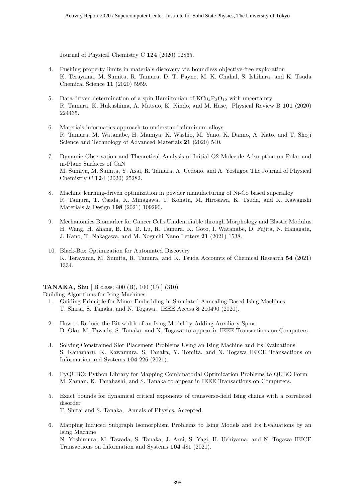Journal of Physical Chemistry C **124** (2020) 12865.

- 4. Pushing property limits in materials discovery via boundless objective-free exploration K. Terayama, M. Sumita, R. Tamura, D. T. Payne, M. K. Chahal, S. Ishihara, and K. Tsuda Chemical Science **11** (2020) 5959.
- 5. Data-driven determination of a spin Hamiltonian of  $KCu_4P_3O_{12}$  with uncertainty R. Tamura, K. Hukushima, A. Matsuo, K. Kindo, and M. Hase, Physical Review B **101** (2020) 224435.
- 6. Materials informatics approach to understand aluminum alloys R. Tamura, M. Watanabe, H. Mamiya, K. Washio, M. Yano, K. Danno, A. Kato, and T. Shoji Science and Technology of Advanced Materials **21** (2020) 540.
- 7. Dynamic Observation and Theoretical Analysis of Initial O2 Molecule Adsorption on Polar and m-Plane Surfaces of GaN M. Sumiya, M. Sumita, Y. Asai, R. Tamura, A. Uedono, and A. Yoshigoe The Journal of Physical Chemistry C **124** (2020) 25282.
- 8. Machine learning-driven optimization in powder manufacturing of Ni-Co based superalloy R. Tamura, T. Osada, K. Minagawa, T. Kohata, M. Hirosawa, K. Tsuda, and K. Kawagishi Materials & Design **198** (2021) 109290.
- 9. Mechanomics Biomarker for Cancer Cells Unidentifiable through Morphology and Elastic Modulus H. Wang, H. Zhang, B. Da, D. Lu, R. Tamura, K. Goto, I. Watanabe, D. Fujita, N. Hanagata, J. Kano, T. Nakagawa, and M. Noguchi Nano Letters **21** (2021) 1538.
- 10. Black-Box Optimization for Automated Discovery K. Terayama, M. Sumita, R. Tamura, and K. Tsuda Accounts of Chemical Research **54** (2021) 1334.

#### **TANAKA, Shu** [ B class; 400 (B), 100 (C) ] (310)

Building Algorithms for Ising Machines

- 1. Guiding Principle for Minor-Embedding in Simulated-Annealing-Based Ising Machines T. Shirai, S. Tanaka, and N. Togawa, IEEE Access **8** 210490 (2020).
- 2. How to Reduce the Bit-width of an Ising Model by Adding Auxiliary Spins D. Oku, M. Tawada, S. Tanaka, and N. Togawa to appear in IEEE Transactions on Computers.
- 3. Solving Constrained Slot Placement Problems Using an Ising Machine and Its Evaluations S. Kanamaru, K. Kawamura, S. Tanaka, Y. Tomita, and N. Togawa IEICE Transactions on Information and Systems **104** 226 (2021).
- 4. PyQUBO: Python Library for Mapping Combinatorial Optimization Problems to QUBO Form M. Zaman, K. Tanahashi, and S. Tanaka to appear in IEEE Transactions on Computers.
- 5. Exact bounds for dynamical critical exponents of transverse-field Ising chains with a correlated disorder T. Shirai and S. Tanaka, Annals of Physics, Accepted.
- 6. Mapping Induced Subgraph Isomorphism Problems to Ising Models and Its Evaluations by an Ising Machine N. Yoshimura, M. Tawada, S. Tanaka, J. Arai, S. Yagi, H. Uchiyama, and N. Togawa IEICE Transactions on Information and Systems **104** 481 (2021).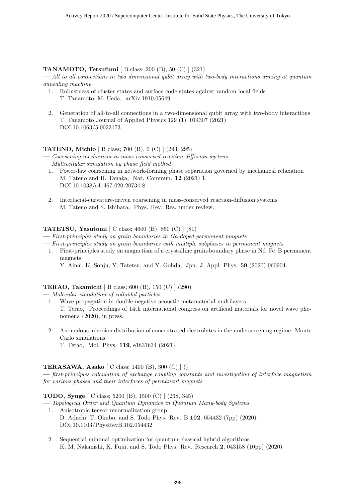#### **TANAMOTO, Tetsufumi** [ B class; 200 (B), 50 (C) ] (321)

**—** *All to all connections in two dimensional qubit array with two-body interactions aiming at quantum annealing machine*

- 1. Robustness of cluster states and surface code states against random local fields T. Tanamoto, M. Ueda, arXiv:1910.05649
- 2. Generation of all-to-all connections in a two-dimensional qubit array with two-body interactions T. Tanamoto Journal of Applied Physics 129 (1), 014307 (2021) DOI:10.1063/5.0033173

#### **TATENO, Michio** [ B class; 700 (B), 0 (C) ] (293, 295)

- **—** *Coarsening mechanism in mass-conserved reaction diffusion systems*
- **—** *Multicellular simulation by phase field method*
	- 1. Power-law coarsening in network-forming phase separation governed by mechanical relaxation M. Tateno and H. Tanaka, Nat. Commun. **12** (2021) 1. DOI:10.1038/s41467-020-20734-8
	- 2. Interfacial-curvature-driven coarsening in mass-conserved reaction-diffusion systems M. Tateno and S. Ishihara, Phys. Rev. Res. under review.

#### **TATETSU, Yasutomi** [ C class; 4600 (B), 850 (C) ] (81)

- **—** *First-principles study on grain boundaries in Ga-doped permanent magnets*
- **—** *First-principles study on grain boundaries with multiple subphases in permanent magnets*
	- 1. First-principles study on magnetism of a crystalline grain-boundary phase in Nd–Fe–B permanent magnets
		- Y. Ainai, K. Sonju, Y. Tatetsu, and Y. Gohda, Jpn. J. Appl. Phys. **59** (2020) 060904.

#### **TERAO, Takamichi** [ B class; 600 (B), 150 (C) ] (290)

**—** *Molecular simulation of colloidal particles*

- 1. Wave propagation in double-negative acoustic metamaterial multilayers T. Terao, Proceedings of 14th international congress on artificial materials for novel wave phenomena (2020), in press.
- 2. Anomalous microion distribution of concentrated electrolytes in the underscreening regime: Monte Carlo simulations T. Terao, Mol. Phys. **119**, e1831634 (2021).

#### **TERASAWA, Asako** [ C class; 1400 (B), 300 (C) ] ()

**—** *first-principles calculation of exchange coupling constants and investigation of interface magnetism for various phases and their interfaces of permanent magnets*

#### **TODO, Synge** [ C class; 5200 (B), 1500 (C) ] (238, 345)

- **—** *Topological Order and Quantum Dynamics in Quantum Many-body Systems* 1. Anisotropic tensor renormalization group D. Adachi, T. Okubo, and S. Todo Phys. Rev. B **102**, 054432 (7pp) (2020). DOI:10.1103/PhysRevB.102.054432
	- 2. Sequential minimal optimization for quantum-classical hybrid algorithms K. M. Nakanishi, K. Fujii, and S. Todo Phys. Rev. Research **2**, 043158 (10pp) (2020)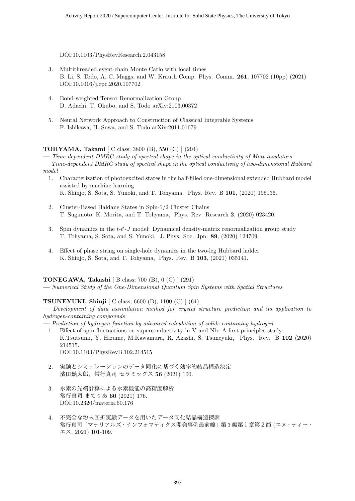DOI:10.1103/PhysRevResearch.2.043158

- 3. Multithreaded event-chain Monte Carlo with local times B. Li, S. Todo, A. C. Maggs, and W. Krauth Comp. Phys. Comm. **261**, 107702 (10pp) (2021) DOI:10.1016/j.cpc.2020.107702
- 4. Bond-weighted Tensor Renormalization Group D. Adachi, T. Okubo, and S. Todo arXiv:2103.00372
- 5. Neural Network Approach to Construction of Classical Integrable Systems F. Ishikawa, H. Suwa, and S. Todo arXiv:2011.01679

#### **TOHYAMA, Takami** [ C class; 3800 (B), 550 (C) ] (204)

**—** *Time-dependent DMRG study of spectral shape in the optical conductivity of Mott insulators*

**—** *Time-dependent DMRG study of spectral shape in the optical conductivity of two-dimensional Hubbard model*

- 1. Characterization of photoexcited states in the half-filled one-dimensional extended Hubbard model assisted by machine learning K. Shinjo, S. Sota, S. Yunoki, and T. Tohyama, Phys. Rev. B **101**, (2020) 195136.
- 2. Cluster-Based Haldane States in Spin-1/2 Cluster Chains T. Sugimoto, K. Morita, and T. Tohyama, Phys. Rev. Research **2**, (2020) 023420.
- 3. Spin dynamics in the *t*-*t ′* -*J* model: Dynamical density-matrix renormalization group study T. Tohyama, S. Sota, and S. Yunoki, J. Phys. Soc. Jpn. **89**, (2020) 124709.
- 4. Effect of phase string on single-hole dynamics in the two-leg Hubbard ladder K. Shinjo, S. Sota, and T. Tohyama, Phys. Rev. B **103**, (2021) 035141.

#### **TONEGAWA, Takashi** [ B class; 700 (B), 0 (C) ] (291)

**—** *Numerical Study of the One-Dimensional Quantum Spin Systems with Spatial Structures*

#### **TSUNEYUKI, Shinji** [ C class; 6600 (B), 1100 (C) ] (64)

**—** *Development of data assimilation method for crystal structure prediction and its application to hydrogen-containing compounds*

- **—** *Prediction of hydrogen function by advanced calculation of solids containing hydrogen*
	- 1. Effect of spin fluctuations on superconductivity in V and Nb: A first-principles study K.Tsutsumi, Y. Hizume, M.Kawamura, R. Akashi, S. Tsuneyuki, Phys. Rev. B **102** (2020) 214515.
		- DOI:10.1103/PhysRevB.102.214515
	- 2. 実験とシミュレーションのデータ同化に基づく効率的結晶構造決定 濱田幾太郎、常行真司 セラミックス **56** (2021) 100.
	- 3. 水素の先端計算による水素機能の高精度解析 常行真司 まてりあ **60** (2021) 176. DOI:10.2320/materia.60.176
	- 4. 不完全な粉末回折実験データを用いたデータ同化結晶構造探索 常行真司「マテリアルズ・インフォマティクス開発事例最前線」第 3 編第1章第2節 (エヌ・ティー・ エス, 2021) 101-109.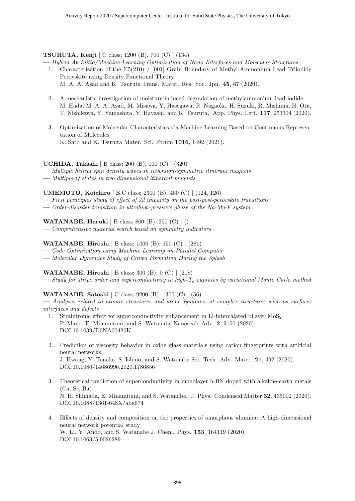#### **TSURUTA, Kenji** [ C class; 1200 (B), 700 (C) ] (134)

**—** *Hybrid Ab-Initio/Machine-Learning Optimization of Nano Interfaces and Molecular Structures*

- 1. Characterization of the  $\Sigma$ 5(210) / [001] Grain Boundary of Methyl-Ammonium Lead Triiodide Perovskite using Density Functional Theory
	- M. A. A. Asad and K. Tsuruta Trans. Mater. Res. Soc. Jpn. **45**, 67 (2020).
- 2. A mechanistic investigation of moisture-induced degradation of methylammonium lead iodide M. Hada, M. A. A. Asad, M. Misawa, Y. Hasegawa, R. Nagaoka, H. Suzuki, R. Mishima, H. Ota, T. Nishikawa, Y. Yamashita, Y. Hayashi, and K. Tsuruta, App. Phys. Lett. **117**, 253304 (2020).
- 3. Optimization of Molecular Characteristics via Machine Learning Based on Continuous Representation of Molecules K. Sato and K. Tsuruta Mater. Sci. Forum **1016**, 1492 (2021).

#### **UCHIDA, Takashi** [ B class; 200 (B), 100 (C) ] (320)

- **—** *Multiple helical spin density waves in inversion-symmetric itinerant magnets*
- **—** *Multiple-Q states in two-dimensional itinerant magnets*

#### **UMEMOTO, Koichiro** [ B,C class; 2300 (B), 450 (C) ] (124, 126)

- **—** *First principles study of effect of Al impurity on the post-post-perovskite transitions*
- **—** *Order-disorder transition in ultrahigh-pressure phase of the Na-Mg-F system*

#### **WATANABE, Haruki** [ B class; 800 (B), 200 (C) ] ()

**—** *Comprehensive material search based on symmetry indicators*

#### **WATANABE, Hiroshi** [ B class; 1000 (B), 150 (C) ] (281)

- **—** *Code Optimization using Machine Learning on Parallel Computer*
- **—** *Molecular Dynamics Study of Crown Formation During the Splash*

#### **WATANABE, Hiroshi** [ B class; 300 (B), 0 (C) ] (218)

**—** *Study for stripe order and superconductivity in high-T<sup>c</sup> cuprates by variational Monte Carlo method*

#### **WATANABE, Satoshi** [ C class; 9200 (B), 1300 (C) ] (56)

**—** *Analyses related to atomic structures and atom dynamics at complex structures such as surfaces interfaces and defects*

- 1. Straintronic effect for superconductivity enhancement in Li-intercalated bilayer  $MoS<sub>2</sub>$ P. Mano, E. Minamitani, and S. Watanabe Nanoscale Adv. **2**, 3150 (2020). DOI:10.1039/D0NA00420K
- 2. Prediction of viscosity behavior in oxide glass materials using cation fingerprints with artificial neural networks

J. Hwang, Y. Tanaka, S. Ishino, and S. Watanabe Sci. Tech. Adv. Mater. **21**, 492 (2020). DOI:10.1080/14686996.2020.1786856

- 3. Theoretical prediction of superconductivity in monolayer h-BN doped with alkaline-earth metals (Ca, Sr, Ba) N. H. Shimada, E. Minamitani, and S. Watanabe, J. Phys. Condensed Matter **32**, 435002 (2020). DOI:10.1088/1361-648X/aba674
- 4. Effects of density and composition on the properties of amorphous alumina: A high-dimensional neural network potential study W. Li, Y. Ando, and S. Watanabe J. Chem. Phys. **153**, 164119 (2020). DOI:10.1063/5.0026289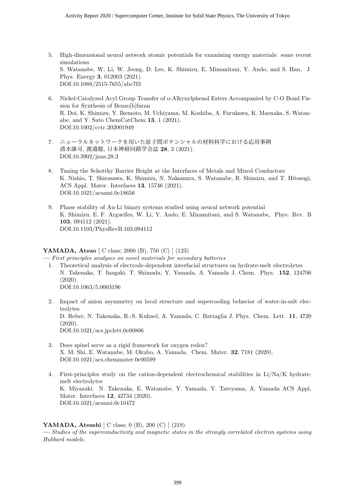- 5. High-dimensional neural network atomic potentials for examining energy materials: some recent simulations S. Watanabe, W. Li, W. Jeong, D. Lee, K. Shimizu, E. Mimanitani, Y. Ando, and S. Han, J. Phys. Energy **3**, 012003 (2021). DOI:10.1088/2515-7655/abc7f3
- 6. Nickel-Catalyzed Acyl Group Transfer of o-Alkynylphenol Esters Accompanied by C-O Bond Fission for Synthesis of Benzo[b]furan R. Doi, K. Shimizu, Y. Ikemoto, M. Uchiyama, M. Koshiba, A. Furukawa, K. Maenaka, S. Watanabe, and Y. Sato ChemCatChem **13**, 1 (2021). DOI:10.1002/cctc.202001949
- 7. ニューラルネットワークを用いた原子間ポテンシャルの材料科学における応用事例 清水康司, 渡邉聡, 日本神経回路学会誌 **28**, 3 (2021). DOI:10.3902/jnns.28.3
- 8. Tuning the Schottky Barrier Height at the Interfaces of Metals and Mixed Conductors K. Nishio, T. Shirasawa, K. Shimizu, N. Nakamura, S. Watanabe, R. Shimizu, and T. Hitosugi, ACS Appl. Mater. Interfaces **13**, 15746 (2021). DOI:10.1021/acsami.0c18656
- 9. Phase stability of Au-Li binary systems studied using neural network potential K. Shimizu, E. F. Arguelles, W. Li, Y. Ando, E. Minamitani, and S. Watanabe, Phys. Rev. B **103**, 094112 (2021). DOI:10.1103/PhysRevB.103.094112

#### **YAMADA, Atsuo** [ C class; 2000 (B), 750 (C) ] (123)

**—** *First principles analyses on novel materials for secondary batteries*

- 1. Theoretical analysis of electrode-dependent interfacial structures on hydrate-melt electrolytes N. Takenaka, T. Inagaki, T. Shimada, Y. Yamada, A. Yamada J. Chem. Phys. **152**, 124706 (2020). DOI:10.1063/5.0003196
- 2. Impact of anion asymmetry on local structure and supercooling behavior of water-in-salt electrolytes D. Reber, N. Takenaka, R.-S. Kuhnel, A. Yamada, C. Battaglia J. Phys. Chem. Lett. **11**, 4720 (2020). DOI:10.1021/acs.jpclett.0c00806
- 3. Does spinel serve as a rigid framework for oxygen redox? X. M. Shi, E. Watanabe, M. Okubo, A. Yamada, Chem. Mater. **32**, 7181 (2020). DOI:10.1021/acs.chemmater.0c00599
- 4. First-principles study on the cation-dependent electrochemical stabilities in Li/Na/K hydratemelt electrolytes K. Miyazaki. N. Takenaka, E. Watanabe, Y. Yamada, Y. Tateyama, A. Yamada ACS Appl. Mater. Interfaces **12**, 42734 (2020). DOI:10.1021/acsami.0c10472

#### **YAMADA, Atsushi** [ C class; 0 (B), 200 (C) ] (219)

**—** *Studies of the superconductivity and magnetic states in the strongly correlated electron systems using Hubbard models.*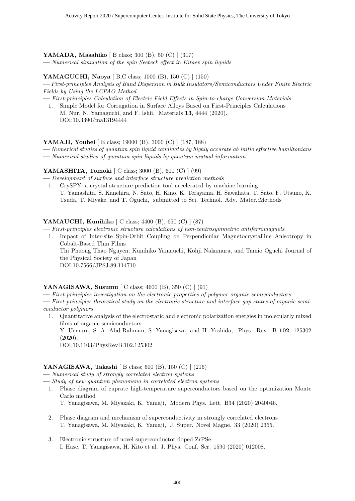#### **YAMADA, Masahiko** [ B class; 300 (B), 50 (C) ] (317)

**—** *Numerical simulation of the spin Seebeck effect in Kitaev spin liquids*

#### **YAMAGUCHI, Naoya** [ B,C class; 1000 (B), 150 (C) ] (150)

**—** *First-principles Analysis of Band Dispersion in Bulk Insulators/Semiconductors Under Finite Electric Fields by Using the LCPAO Method*

**—** *First-principles Calculation of Electric Field Effects in Spin-to-charge Conversion Materials*

1. Simple Model for Corrugation in Surface Alloys Based on First-Principles Calculations M. Nur, N. Yamaguchi, and F. Ishii, Materials **13**, 4444 (2020). DOI:10.3390/ma13194444

**YAMAJI, Youhei** [ E class; 19000 (B), 3000 (C) ] (187, 188)

**—** *Numerical studies of quantum spin liquid candidates by highly accurate ab initio effective hamiltonians*

**—** *Numerical studies of quantum spin liquids by quantum mutual information*

#### **YAMASHITA, Tomoki** [ C class; 3000 (B), 600 (C) ] (99)

**—** *Development of surface and interface structure prediction methods* 1. CrySPY: a crystal structure prediction tool accelerated by machine learning T. Yamashita, S. Kanehira, N. Sato, H. Kino, K. Terayama, H. Sawahata, T. Sato, F. Utsuno, K. Tsuda, T. Miyake, and T. Oguchi, submitted to Sci. Technol. Adv. Mater.:Methods

#### **YAMAUCHI, Kunihiko** [ C class; 4400 (B), 650 (C) ] (87)

**—** *First-principles electronic structure calculations of non-centrosymmetric antiferromagnets*

1. Impact of Inter-site Spin-Orbit Coupling on Perpendicular Magnetocrystalline Anisotropy in Cobalt-Based Thin Films

Thi Phuong Thao Nguyen, Kunihiko Yamauchi, Kohji Nakamura, and Tamio Oguchi Journal of the Physical Society of Japan

DOI:10.7566/JPSJ.89.114710

#### **YANAGISAWA, Susumu** [ C class; 4600 (B), 350 (C) ] (91)

**—** *First-principles investigation on the electronic properties of polymer organic semiconductors*

**—** *First-principles theoretical study on the electronic structure and interface gap states of organic semiconductor polymers*

1. Quantitative analysis of the electrostatic and electronic polarization energies in molecularly mixed films of organic semiconductors

Y. Uemura, S. A. Abd-Rahman, S. Yanagisawa, and H. Yoshida, Phys. Rev. B **102**, 125302 (2020).

DOI:10.1103/PhysRevB.102.125302

#### **YANAGISAWA, Takashi** [ B class; 600 (B), 150 (C) ] (216)

**—** *Numerical study of strongly correlated electron systems*

- **—** *Study of new quantum phenomena in correlated electron systems*
	- 1. Phase diagram of cuprate high-temperature superconductors based on the optimization Monte Carlo method

T. Yanagisawa, M. Miyazaki, K. Yamaji, Modern Phys. Lett. B34 (2020) 2040046.

- 2. Phase diagram and mechanism of superconductivity in strongly correlated electrons T. Yanagisawa, M. Miyazaki, K. Yamaji, J. Super. Novel Magne. 33 (2020) 2355.
- 3. Electronic structure of novel superconductor doped ZrPSe I. Hase, T. Yanagisawa, H. Kito et al. J. Phys. Conf. Ser. 1590 (2020) 012008.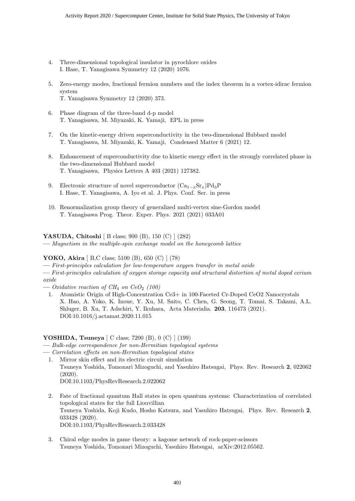- 4. Three-dimensional topological insulator in pyrochlore oxides I. Hase, T. Yanagisawa Symmetry 12 (2020) 1076.
- 5. Zero-energy modes, fractional fermion numbers and the index theorem in a vortex-idirac fermion system T. Yanagisawa Symmetry 12 (2020) 373.
- 6. Phase diagram of the three-band d-p model T. Yanagisawa, M. Miyazaki, K. Yamaji, EPL in press
- 7. On the kinetic-energy driven superconductivity in the two-dimensional Hubbard model T. Yanagisawa, M. Miyazaki, K. Yamaji, Condensed Matter 6 (2021) 12.
- 8. Enhancement of superconductivity due to kinetic energy effect in the strongly correlated phase in the two-dimensional Hubbard model T. Yanagisawa, Physics Letters A 403 (2021) 127382.
- 9. Electronic structure of novel superconductor (Ca<sup>1</sup>*−<sup>x</sup>*Sr*x*)Pd3P I. Hase, T. Yanagisawa, A. Iyo et al. J. Phys. Conf. Ser. in press
- 10. Renormalization group theory of generalized multi-vertex sine-Gordon model T. Yanagisawa Prog. Theor. Exper. Phys. 2021 (2021) 033A01

#### **YASUDA, Chitoshi** [ B class; 900 (B), 150 (C) ] (282)

**—** *Magnetism in the multiple-spin exchange model on the honeycomb lattice*

#### **YOKO, Akira** [ B,C class; 5100 (B), 650 (C) ] (78)

**—** *First-principles calculation for low-temperature oxygen transfer in metal oxide*

**—** *First-principles calculation of oxygen storage capacity and structural distortion of metal doped cerium oxide*

- $-$  *Oxidative reaction of CH<sub>4</sub> on CeO<sub>2</sub> (100)*
- 1. Atomistic Origin of High-Concentration Ce3+ in 100-Faceted Cr-Doped CeO2 Nanocrystals X. Hao, A. Yoko, K. Inoue, Y. Xu, M. Saito, C. Chen, G. Seong, T. Tomai, S. Takami, A.L. Shluger, B. Xu, T. Adschiri, Y. Ikuhara, Acta Materialia. **203**, 116473 (2021). DOI:10.1016/j.actamat.2020.11.015

#### **YOSHIDA, Tsuneya** [ C class; 7200 (B), 0 (C) ] (199)

- **—** *Bulk-edge correspondence for non-Hermitian topological systems*
- **—** *Correlation effects on non-Hermitian topological states*
	- 1. Mirror skin effect and its electric circuit simulation Tsuneya Yoshida, Tomonari Mizoguchi, and Yasuhiro Hatsugai, Phys. Rev. Research **2**, 022062 (2020). DOI:10.1103/PhysRevResearch.2.022062
	- 2. Fate of fractional quantum Hall states in open quantum systems: Characterization of correlated topological states for the full Liouvillian Tsuneya Yoshida, Koji Kudo, Hosho Katsura, and Yasuhiro Hatsugai, Phys. Rev. Research **2**, 033428 (2020). DOI:10.1103/PhysRevResearch.2.033428
	- 3. Chiral edge modes in game theory: a kagome network of rock-paper-scissors Tsuneya Yoshida, Tomonari Mizoguchi, Yasuhiro Hatsugai, arXiv:2012.05562.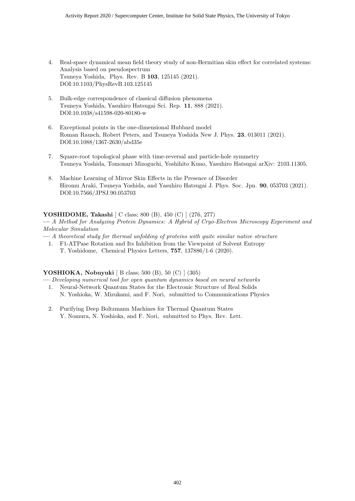- 4. Real-space dynamical mean field theory study of non-Hermitian skin effect for correlated systems: Analysis based on pseudospectrum Tsuneya Yoshida, Phys. Rev. B **103**, 125145 (2021). DOI:10.1103/PhysRevB.103.125145
- 5. Bulk-edge correspondence of classical diffusion phenomena Tsuneya Yoshida, Yasuhiro Hatsugai Sci. Rep. **11**, 888 (2021). DOI:10.1038/s41598-020-80180-w
- 6. Exceptional points in the one-dimensional Hubbard model Roman Rausch, Robert Peters, and Tsuneya Yoshida New J. Phys. **23**, 013011 (2021). DOI:10.1088/1367-2630/abd35e
- 7. Square-root topological phase with time-reversal and particle-hole symmetry Tsuneya Yoshida, Tomonari Mizoguchi, Yoshihito Kuno, Yasuhiro Hatsugai arXiv: 2103.11305.
- 8. Machine Learning of Mirror Skin Effects in the Presence of Disorder Hiromu Araki, Tsuneya Yoshida, and Yasuhiro Hatsugai J. Phys. Soc. Jpn. **90**, 053703 (2021). DOI:10.7566/JPSJ.90.053703

#### **YOSHIDOME, Takashi** [ C class; 800 (B), 450 (C) ] (276, 277)

**—** *A Method for Analyzing Protein Dynamics: A Hybrid of Cryo-Electron Microscopy Experiment and Molecular Simulation*

- **—** *A theoretical study for thermal unfolding of proteins with quite similar native structure*
	- 1. F1-ATPase Rotation and Its Inhibition from the Viewpoint of Solvent Entropy T. Yoshidome, Chemical Physics Letters, **757**, 137886/1-6 (2020).

#### **YOSHIOKA, Nobuyuki** [ B class; 500 (B), 50 (C) ] (305)

- **—** *Developing numerical tool for open quantum dynamics based on neural networks*
- 1. Neural-Network Quantum States for the Electronic Structure of Real Solids N. Yoshioka, W. Mizukami, and F. Nori, submitted to Communications Physics
- 2. Purifying Deep Boltzmann Machines for Thermal Quantum States Y. Nomura, N. Yoshioka, and F. Nori, submitted to Phys. Rev. Lett.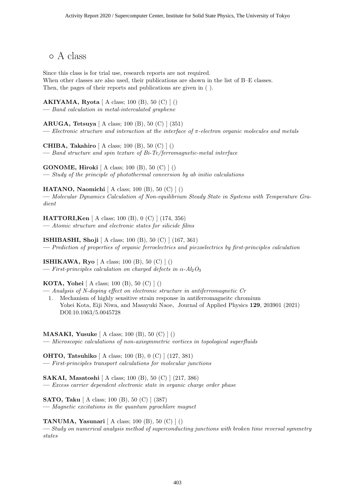*◦* A class

Since this class is for trial use, research reports are not required. When other classes are also used, their publications are shown in the list of B–E classes. Then, the pages of their reports and publications are given in ( ).

**AKIYAMA, Ryota** [ A class; 100 (B), 50 (C) ] () **—** *Band calculation in metal-intercalated graphene*

**ARUGA, Tetsuya** [ A class; 100 (B), 50 (C) ] (351) **—** *Electronic structure and interaction at the interface of π-electron organic molecules and metals*

**CHIBA, Takahiro** [ A class; 100 (B), 50 (C) ] () **—** *Band structure and spin texture of Bi-Te/ferromagnetic-metal interface*

**GONOME, Hiroki** [ A class; 100 (B), 50 (C) ] () **—** *Study of the principle of photothermal conversion by ab initio calculations*

**HATANO, Naomichi** [ A class; 100 (B), 50 (C) ] () **—** *Molecular Dynamics Calculation of Non-equilibrium Steady State in Systems with Temperature Gradient*

**HATTORI,Ken** [ A class; 100 (B), 0 (C) ] (174, 356) **—** *Atomic structure and electronic states for silicide films*

**ISHIBASHI, Shoji** [ A class; 100 (B), 50 (C) ] (167, 361) **—** *Prediction of properties of organic ferroelectrics and piezoelectrics by first-principles calculation*

**ISHIKAWA, Ryo** [ A class; 100 (B), 50 (C) ] ()  $\rightarrow$  *First-principles calculation on charged defects in*  $\alpha$ - $Al_2O_3$ 

#### **KOTA, Yohei** [ A class; 100 (B), 50 (C) ] ()

**—** *Analysis of N-doping effect on electronic structure in antiferromagnetic Cr* 1. Mechanism of highly sensitive strain response in antiferromagneitc chromium Yohei Kota, Eiji Niwa, and Masayuki Naoe, Journal of Applied Physics **129**, 203901 (2021) DOI:10.1063/5.0045728

**MASAKI, Yusuke** [ A class; 100 (B), 50 (C) ] () **—** *Microscopic calculations of non-axisymmetric vortices in topological superfluids*

**OHTO, Tatsuhiko** [ A class; 100 (B), 0 (C) ] (127, 381) **—** *First-principles transport calculations for molecular junctions*

**SAKAI, Masatoshi** [ A class; 100 (B), 50 (C) ] (217, 386) **—** *Excess carrier dependent electronic state in organic charge order phase*

**SATO, Taku** [ A class; 100 (B), 50 (C) ] (387) **—** *Magnetic excitations in the quantum pyrochlore magnet*

**TANUMA, Yasunari** [ A class; 100 (B), 50 (C) ] ()

**—** *Study on numerical analysis method of superconducting junctions with broken time reversal symmetry states*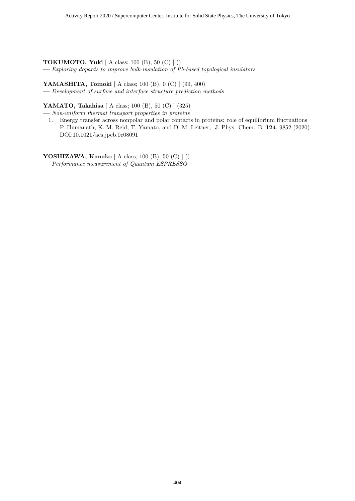**TOKUMOTO, Yuki** [ A class; 100 (B), 50 (C) ] () **—** *Exploring dopants to improve bulk-insulation of Pb-based topological insulators*

**YAMASHITA, Tomoki** [ A class; 100 (B), 0 (C) ] (99, 400) **—** *Development of surface and interface structure prediction methods*

**YAMATO, Takahisa** [ A class; 100 (B), 50 (C) ] (325)

**—** *Non-uniform thermal transport properties in proteins*

1. Energy transfer across nonpolar and polar contacts in proteins: role of equilibrium fluctuations P. Humanath, K. M. Reid, T. Yamato, and D. M. Leitner, J. Phys. Chem. B. **124**, 9852 (2020). DOI:10.1021/acs.jpcb.0c08091

**YOSHIZAWA, Kanako** [ A class; 100 (B), 50 (C) ] () **—** *Performance measurement of Quantum ESPRESSO*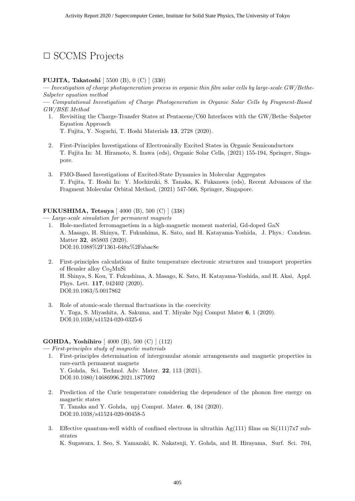### *✷* SCCMS Projects

#### **FUJITA, Takatoshi** [ 5500 (B), 0 (C) ] (330)

**—** *Investigation of charge photogeneration process in organic thin film solar cells by large-scale GW/Bethe-Salpeter equation method*

**—** *Computational Investigation of Charge Photogeneration in Organic Solar Cells by Fragment-Based GW/BSE Method*

- 1. Revisiting the Charge-Transfer States at Pentacene/C60 Interfaces with the GW/Bethe–Salpeter Equation Approach T. Fujita, Y. Noguchi, T. Hoshi Materials **13**, 2728 (2020).
- 2. First-Principles Investigations of Electronically Excited States in Organic Semiconductors T. Fujita In: M. Hiramoto, S. Izawa (eds), Organic Solar Cells, (2021) 155-194, Springer, Singapore.
- 3. FMO-Based Investigations of Excited-State Dynamics in Molecular Aggregates T. Fujita, T. Hoshi In: Y. Mochizuki, S. Tanaka, K. Fukazawa (eds), Recent Advances of the Fragment Molecular Orbital Method, (2021) 547-566, Springer, Singapore.

#### **FUKUSHIMA, Tetsuya** [ 4000 (B), 500 (C) ] (338)

**—** *Large-scale simulation for permanent magnets*

- 1. Hole-mediated ferromagnetism in a high-magnetic moment material, Gd-doped GaN A. Masago, H. Shinya, T. Fukushima, K. Sato, and H. Katayama-Yoshida, J. Phys.: Condens. Matter **32**, 485803 (2020). DOI:10.1088%2F1361-648x%2Fabac8e
- 2. First-principles calculations of finite temperature electronic structures and transport properties of Heusler alloy Co<sub>2</sub>MnSi H. Shinya, S. Kou, T. Fukushima, A. Masago, K. Sato, H. Katayama-Yoshida, and H. Akai, Appl. Phys. Lett. **117**, 042402 (2020). DOI:10.1063/5.0017862
- 3. Role of atomic-scale thermal fluctuations in the coercivity Y. Toga, S. Miyashita, A. Sakuma, and T. Miyake Npj Comput Mater **6**, 1 (2020). DOI:10.1038/s41524-020-0325-6

#### **GOHDA, Yoshihiro** [ 4000 (B), 500 (C) ] (112)

**—** *First-principles study of magnetic materials*

- 1. First-principles determination of intergranular atomic arrangements and magnetic properties in rare-earth permanent magnets Y. Gohda, Sci. Technol. Adv. Mater. **22**, 113 (2021). DOI:10.1080/14686996.2021.1877092
- 2. Prediction of the Curie temperature considering the dependence of the phonon free energy on magnetic states T. Tanaka and Y. Gohda, npj Comput. Mater. **6**, 184 (2020). DOI:10.1038/s41524-020-00458-5
- 3. Effective quantum-well width of confined electrons in ultrathin Ag(111) films on Si(111)7x7 substrates

K. Sugawara, I. Seo, S. Yamazaki, K. Nakatsuji, Y. Gohda, and H. Hirayama, Surf. Sci. 704,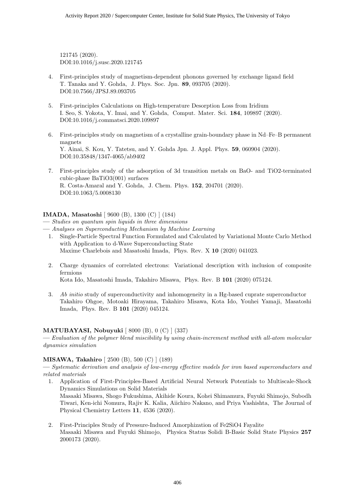121745 (2020). DOI:10.1016/j.susc.2020.121745

- 4. First-principles study of magnetism-dependent phonons governed by exchange ligand field T. Tanaka and Y. Gohda, J. Phys. Soc. Jpn. **89**, 093705 (2020). DOI:10.7566/JPSJ.89.093705
- 5. First-principles Calculations on High-temperature Desorption Loss from Iridium I. Seo, S. Yokota, Y. Imai, and Y. Gohda, Comput. Mater. Sci. **184**, 109897 (2020). DOI:10.1016/j.commatsci.2020.109897
- 6. First-principles study on magnetism of a crystalline grain-boundary phase in Nd–Fe–B permanent magnets Y. Ainai, S. Kou, Y. Tatetsu, and Y. Gohda Jpn. J. Appl. Phys. **59**, 060904 (2020). DOI:10.35848/1347-4065/ab9402
- 7. First-principles study of the adsorption of 3d transition metals on BaO- and TiO2-terminated cubic-phase BaTiO3(001) surfaces R. Costa-Amaral and Y. Gohda, J. Chem. Phys. **152**, 204701 (2020). DOI:10.1063/5.0008130

#### **IMADA, Masatoshi** [ 9600 (B), 1300 (C) ] (184)

- **—** *Analyses on Superconducting Mechanism by Machine Learning*
	- 1. Single-Particle Spectral Function Formulated and Calculated by Variational Monte Carlo Method with Application to d-Wave Superconducting State Maxime Charlebois and Masatoshi Imada, Phys. Rev. X **10** (2020) 041023.
	- 2. Charge dynamics of correlated electrons: Variational description with inclusion of composite fermions

Kota Ido, Masatoshi Imada, Takahiro Misawa, Phys. Rev. B **101** (2020) 075124.

3. *Ab initio* study of superconductivity and inhomogeneity in a Hg-based cuprate superconductor Takahiro Ohgoe, Motoaki Hirayama, Takahiro Misawa, Kota Ido, Youhei Yamaji, Masatoshi Imada, Phys. Rev. B **101** (2020) 045124.

#### **MATUBAYASI, Nobuyuki** [ 8000 (B), 0 (C) ] (337)

**—** *Evaluation of the polymer blend miscibility by using chain-increment method with all-atom molecular dynamics simulation*

#### **MISAWA, Takahiro** [ 2500 (B), 500 (C) ] (189)

**—** *Systematic derivation and analysis of low-energy effective models for iron based superconductors and related materials*

1. Application of First-Principles-Based Artificial Neural Network Potentials to Multiscale-Shock Dynamics Simulations on Solid Materials

Masaaki Misawa, Shogo Fukushima, Akihide Koura, Kohei Shimamura, Fuyuki Shimojo, Subodh Tiwari, Ken-ichi Nomura, Rajiv K. Kalia, Aiichiro Nakano, and Priya Vashishta, The Journal of Physical Chemistry Letters **11**, 4536 (2020).

2. First-Principles Study of Pressure-Induced Amorphization of Fe2SiO4 Fayalite Masaaki Misawa and Fuyuki Shimojo, Physica Status Solidi B-Basic Solid State Physics **257** 2000173 (2020).

**<sup>—</sup>** *Studies on quantum spin liquids in three dimensions*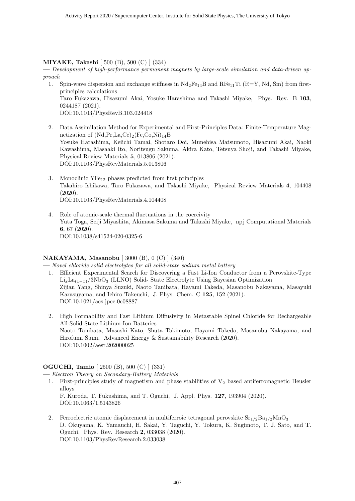#### **MIYAKE, Takashi** [ 500 (B), 500 (C) ] (334)

**—** *Development of high-performance permanent magnets by large-scale simulation and data-driven approach*

- 1. Spin-wave dispersion and exchange stiffness in  $Nd_2Fe_{14}B$  and  $RFe_{11}Ti$  (R=Y, Nd, Sm) from firstprinciples calculations Taro Fukazawa, Hisazumi Akai, Yosuke Harashima and Takashi Miyake, Phys. Rev. B **103**, 0244187 (2021). DOI:10.1103/PhysRevB.103.024418
- 2. Data Assimilation Method for Experimental and First-Principles Data: Finite-Temperature Magnetization of  $(Nd,Pr, La, Ce)_2(Fe, Co, Ni)_{14}B$ Yosuke Harashima, Keiichi Tamai, Shotaro Doi, Munehisa Matsumoto, Hisazumi Akai, Naoki Kawashima, Masaaki Ito, Noritsugu Sakuma, Akira Kato, Tetsuya Shoji, and Takashi Miyake, Physical Review Materials **5**, 013806 (2021). DOI:10.1103/PhysRevMaterials.5.013806
- 3. Monoclinic  $YFe_{12}$  phases predicted from first principles Takahiro Ishikawa, Taro Fukazawa, and Takashi Miyake, Physical Review Materials **4**, 104408 (2020). DOI:10.1103/PhysRevMaterials.4.104408
- 4. Role of atomic-scale thermal fluctuations in the coercivity Yuta Toga, Seiji Miyashita, Akimasa Sakuma and Takashi Miyake, npj Computational Materials **6**, 67 (2020). DOI:10.1038/s41524-020-0325-6

#### **NAKAYAMA, Masanobu** [ 3000 (B), 0 (C) ] (340)

**—** *Novel chloride solid electrolytes for all solid-state sodium metal battery*

- 1. Efficient Experimental Search for Discovering a Fast Li-Ion Conductor from a Perovskite-Type Li*x*La(1*−x*)*/*3NbO<sup>3</sup> (LLNO) Solid- State Electrolyte Using Bayesian Optimization Zijian Yang, Shinya Suzuki, Naoto Tanibata, Hayami Takeda, Masanobu Nakayama, Masayuki Karasuyama, and Ichiro Takeuchi, J. Phys. Chem. C **125**, 152 (2021). DOI:10.1021/acs.jpcc.0c08887
- 2. High Formability and Fast Lithium Diffusivity in Metastable Spinel Chloride for Rechargeable All-Solid-State Lithium-Ion Batteries Naoto Tanibata, Masashi Kato, Shuta Takimoto, Hayami Takeda, Masanobu Nakayama, and Hirofumi Sumi, Advanced Energy & Sustainability Research (2020). DOI:10.1002/aesr.202000025

#### **OGUCHI, Tamio** [ 2500 (B), 500 (C) ] (331)

**—** *Electron Theory on Secondary-Battery Materials*

1. First-principles study of magnetism and phase stabilities of  $V_2$  based antiferromagnetic Heusler alloys

F. Kuroda, T. Fukushima, and T. Oguchi, J. Appl. Phys. **127**, 193904 (2020). DOI:10.1063/1.5143826

2. Ferroelectric atomic displacement in multiferroic tetragonal perovskite  $\text{Sr}_{1/2}\text{Ba}_{1/2}\text{MnO}_3$ D. Okuyama, K. Yamauchi, H. Sakai, Y. Taguchi, Y. Tokura, K. Sugimoto, T. J. Sato, and T. Oguchi, Phys. Rev. Research **2**, 033038 (2020). DOI:10.1103/PhysRevResearch.2.033038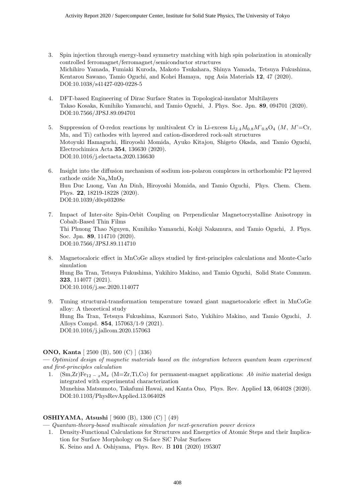- 3. Spin injection through energy-band symmetry matching with high spin polarization in atomically controlled ferromagnet/ferromagnet/semiconductor structures Michihiro Yamada, Fumiaki Kuroda, Makoto Tsukahara, Shinya Yamada, Tetsuya Fukushima, Kentarou Sawano, Tamio Oguchi, and Kohei Hamaya, npg Asia Materials **12**, 47 (2020). DOI:10.1038/s41427-020-0228-5
- 4. DFT-based Engineering of Dirac Surface States in Topological-insulator Multilayers Takao Kosaka, Kunihiko Yamauchi, and Tamio Oguchi, J. Phys. Soc. Jpn. **89**, 094701 (2020). DOI:10.7566/JPSJ.89.094701
- 5. Suppression of O-redox reactions by multivalent Cr in Li-excess Li2*.*4*M*0*.*8*M*'0*.*8O<sup>4</sup> (*M*, *M*'=Cr, Mn, and Ti) cathodes with layered and cation-disordered rock-salt structures Motoyuki Hamaguchi, Hiroyoshi Momida, Ayuko Kitajou, Shigeto Okada, and Tamio Oguchi, Electrochimica Acta **354**, 136630 (2020). DOI:10.1016/j.electacta.2020.136630
- 6. Insight into the diffusion mechanism of sodium ion-polaron complexes in orthorhombic P2 layered cathode oxide Na*x*MnO<sup>2</sup> Huu Duc Luong, Van An Dinh, Hiroyoshi Momida, and Tamio Oguchi, Phys. Chem. Chem. Phys. **22**, 18219-18228 (2020). DOI:10.1039/d0cp03208e
- 7. Impact of Inter-site Spin-Orbit Coupling on Perpendicular Magnetocrystalline Anisotropy in Cobalt-Based Thin Films Thi Phuong Thao Nguyen, Kunihiko Yamauchi, Kohji Nakamura, and Tamio Oguchi, J. Phys. Soc. Jpn. **89**, 114710 (2020). DOI:10.7566/JPSJ.89.114710
- 8. Magnetocaloric effect in MnCoGe alloys studied by first-principles calculations and Monte-Carlo simulation Hung Ba Tran, Tetsuya Fukushima, Yukihiro Makino, and Tamio Oguchi, Solid State Commun. **323**, 114077 (2021). DOI:10.1016/j.ssc.2020.114077
- 9. Tuning structural-transformation temperature toward giant magnetocaloric effect in MnCoGe alloy: A theoretical study Hung Ba Tran, Tetsuya Fukushima, Kazunori Sato, Yukihiro Makino, and Tamio Oguchi, J. Alloys Compd. **854**, 157063/1-9 (2021). DOI:10.1016/j.jallcom.2020.157063

#### **ONO, Kanta** [ 2500 (B), 500 (C) ] (336)

**—** *Optimized design of magnetic materials based on the integration between quantum beam experiment and first-principles calculation*

1.  $(Sm,Zr)Fe_{12-x}M_x$  (M=Zr,Ti,Co) for permanent-magnet applications: *Ab initio* material design integrated with experimental characterization Munehisa Matsumoto, Takafumi Hawai, and Kanta Ono, Phys. Rev. Applied **13**, 064028 (2020). DOI:10.1103/PhysRevApplied.13.064028

#### **OSHIYAMA, Atsushi** [ 9600 (B), 1300 (C) ] (49)

**—** *Quantum-theory-based multiscale simulation for next-generation power devices*

1. Density-Functional Calculations for Structures and Energetics of Atomic Steps and their Implication for Surface Morphology on Si-face SiC Polar Surfaces

K. Seino and A. Oshiyama, Phys. Rev. B **101** (2020) 195307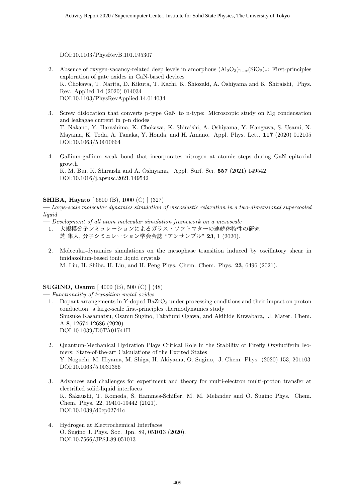DOI:10.1103/PhysRevB.101.195307

- 2. Absence of oxygen-vacancy-related deep levels in amorphous  $(A_2O_3)_{1-x}$ (SiO<sub>2</sub>)<sub>*x*</sub>: First-principles exploration of gate oxides in GaN-based devices K. Chokawa, T. Narita, D. Kikuta, T. Kachi, K. Shiozaki, A. Oshiyama and K. Shiraishi, Phys. Rev. Applied **14** (2020) 014034 DOI:10.1103/PhysRevApplied.14.014034
- 3. Screw dislocation that converts p-type GaN to n-type: Microscopic study on Mg condensation and leakagae current in p-n diodes T. Nakano, Y. Harashima, K. Chokawa, K. Shiraishi, A. Oshiyama, Y. Kangawa, S. Usami, N. Mayama, K. Toda, A. Tanaka, Y. Honda, and H. Amano, Appl. Phys. Lett. **117** (2020) 012105 DOI:10.1063/5.0010664
- 4. Gallium-gallium weak bond that incorporates nitrogen at atomic steps during GaN epitaxial growth K. M. Bui, K. Shiraishi and A. Oshiyama, Appl. Surf. Sci. **557** (2021) 149542 DOI:10.1016/j.apsusc.2021.149542

#### **SHIBA, Hayato** [ 6500 (B), 1000 (C) ] (327)

**—** *Large-scale molecular dynamics simulation of viscoelastic relaxation in a two-dimensional supercooled liquid*

- **—** *Development of all atom molecular simulation framework on a mesoscale*
	- 1. 大規模分子シミュレーションによるガラス・ソフトマターの連続体特性の研究 芝 隼人, 分子シミュレーション学会会誌 "アンサンブル" **23**, 1 (2020).
	- 2. Molecular-dynamics simulations on the mesophase transition induced by oscillatory shear in imidazolium-based ionic liquid crystals M. Liu, H. Shiba, H. Liu, and H. Peng Phys. Chem. Chem. Phys. **23**, 6496 (2021).

#### **SUGINO, Osamu** [ 4000 (B), 500 (C) ] (48)

**—** *Functionality of transition metal oxides*

- 1. Dopant arrangements in Y-doped BaZrO<sup>3</sup> under processing conditions and their impact on proton conduction: a large-scale first-principles thermodynamics study Shusuke Kasamatsu, Osamu Sugino, Takafumi Ogawa, and Akihide Kuwabara, J. Mater. Chem. A **8**, 12674-12686 (2020). DOI:10.1039/D0TA01741H
- 2. Quantum-Mechanical Hydration Plays Critical Role in the Stability of Firefly Oxyluciferin Isomers: State-of-the-art Calculations of the Excited States Y. Noguchi, M. Hiyama, M. Shiga, H. Akiyama, O. Sugino, J. Chem. Phys. (2020) 153, 201103 DOI:10.1063/5.0031356
- 3. Advances and challenges for experiment and theory for multi-electron multi-proton transfer at electrified solid-liquid interfaces K. Sakaushi, T. Komeda, S. Hammes-Schiffer, M. M. Melander and O. Sugino Phys. Chem. Chem. Phys. 22, 19401-19442 (2021). DOI:10.1039/d0cp02741c
- 4. Hydrogen at Electrochemical Interfaces O. Sugino J. Phys. Soc. Jpn. 89, 051013 (2020). DOI:10.7566/JPSJ.89.051013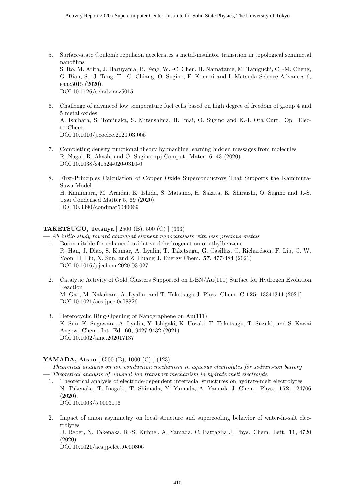- 5. Surface-state Coulomb repulsion accelerates a metal-insulator transition in topological semimetal nanofilms S. Ito, M. Arita, J. Haruyama, B. Feng, W. -C. Chen, H. Namatame, M. Taniguchi, C. -M. Cheng, G. Bian, S. -J. Tang, T. -C. Chiang, O. Sugino, F. Komori and I. Matsuda Science Advances 6, eaaz5015 (2020). DOI:10.1126/sciadv.aaz5015
- 6. Challenge of advanced low temperature fuel cells based on high degree of freedom of group 4 and 5 metal oxides A. Ishihara, S. Tominaka, S. Mitsushima, H. Imai, O. Sugino and K.-I. Ota Curr. Op. ElectroChem. DOI:10.1016/j.coelec.2020.03.005
- 7. Completing density functional theory by machine learning hidden messages from molecules R. Nagai, R. Akashi and O. Sugino npj Comput. Mater. 6, 43 (2020). DOI:10.1038/s41524-020-0310-0
- 8. First-Principles Calculation of Copper Oxide Superconductors That Supports the Kamimura-Suwa Model H. Kamimura, M. Araidai, K. Ishida, S. Matsuno, H. Sakata, K. Shiraishi, O. Sugino and J.-S. Tsai Condensed Matter 5, 69 (2020). DOI:10.3390/condmat5040069

#### **TAKETSUGU, Tetsuya** [ 2500 (B), 500 (C) ] (333)

**—** *Ab initio study toward abundant element nanocatalysts with less precious metals*

- 1. Boron nitride for enhanced oxidative dehydrogenation of ethylbenzene R. Han, J. Diao, S. Kumar, A. Lyalin, T. Taketsugu, G. Casillas, C. Richardson, F. Liu, C. W. Yoon, H. Liu, X. Sun, and Z. Huang J. Energy Chem. **57**, 477-484 (2021) DOI:10.1016/j.jechem.2020.03.027
- 2. Catalytic Activity of Gold Clusters Supported on h-BN/Au(111) Surface for Hydrogen Evolution Reaction M. Gao, M. Nakahara, A. Lyalin, and T. Taketsugu J. Phys. Chem. C **125**, 13341344 (2021) DOI:10.1021/acs.jpcc.0c08826
- 3. Heterocyclic Ring-Opening of Nanographene on Au(111) K. Sun, K. Sugawara, A. Lyalin, Y. Ishigaki, K. Uosaki, T. Taketsugu, T. Suzuki, and S. Kawai Angew. Chem. Int. Ed. **60**, 9427-9432 (2021) DOI:10.1002/anie.202017137

#### **YAMADA, Atsuo** [ 6500 (B), 1000 (C) ] (123)

- **—** *Theoretical analysis on ion conduction mechanism in aqueous electrolytes for sodium-ion battery*
- **—** *Theoretical analysis of unusual ion transport mechanism in hydrate melt electrolyte*
	- 1. Theoretical analysis of electrode-dependent interfacial structures on hydrate-melt electrolytes N. Takenaka, T. Inagaki, T. Shimada, Y. Yamada, A. Yamada J. Chem. Phys. **152**, 124706 (2020). DOI:10.1063/5.0003196
	- 2. Impact of anion asymmetry on local structure and supercooling behavior of water-in-salt electrolytes D. Reber, N. Takenaka, R.-S. Kuhnel, A. Yamada, C. Battaglia J. Phys. Chem. Lett. **11**, 4720 (2020). DOI:10.1021/acs.jpclett.0c00806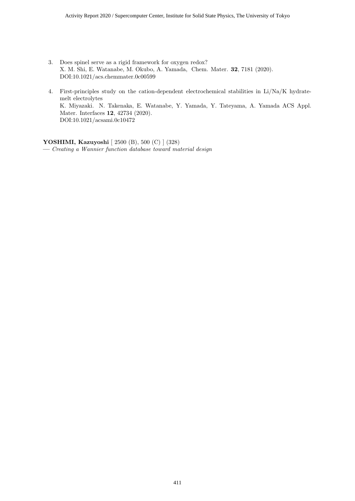- 3. Does spinel serve as a rigid framework for oxygen redox? X. M. Shi, E. Watanabe, M. Okubo, A. Yamada, Chem. Mater. **32**, 7181 (2020). DOI:10.1021/acs.chemmater.0c00599
- 4. First-principles study on the cation-dependent electrochemical stabilities in Li/Na/K hydratemelt electrolytes K. Miyazaki. N. Takenaka, E. Watanabe, Y. Yamada, Y. Tateyama, A. Yamada ACS Appl. Mater. Interfaces **12**, 42734 (2020). DOI:10.1021/acsami.0c10472

**YOSHIMI, Kazuyoshi** [ 2500 (B), 500 (C) ] (328) **—** *Creating a Wannier function database toward material design*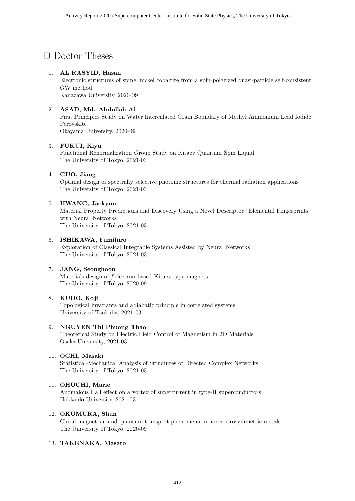# *✷* Doctor Theses

#### 1. **AL RASYID, Hasan**

Electronic structures of spinel nickel cobaltite from a spin-polarized quasi-particle self-consistent GW method Kanazawa University, 2020-09

2. **ASAD, Md. Abdullah Al**

First Principles Study on Water Intercalated Grain Boundary of Methyl Ammonium Lead Iodide Perovskite

Okayama University, 2020-09

#### 3. **FUKUI, Kiyu**

Functional Renormalization Group Study on Kitaev Quantum Spin Liquid The University of Tokyo, 2021-03

#### 4. **GUO, Jiang**

Optimal design of spectrally selective photonic structures for thermal radiation applications The University of Tokyo, 2021-03

#### 5. **HWANG, Jaekyun**

Material Property Predictions and Discovery Using a Novel Descriptor "Elemental Fingerprints" with Neural Networks The University of Tokyo, 2021-03

#### 6. **ISHIKAWA, Fumihiro**

Exploration of Classical Integrable Systems Assisted by Neural Networks The University of Tokyo, 2021-03

#### 7. **JANG, Seonghoon**

Materials design of *f*-electron based Kitaev-type magnets The University of Tokyo, 2020-09

#### 8. **KUDO, Koji**

Topological invariants and adiabatic principle in correlated systems University of Tsukuba, 2021-03

#### 9. **NGUYEN Thi Phuong Thao**

Theoretical Study on Electric Field Control of Magnetism in 2D Materials Osaka University, 2021-03

#### 10. **OCHI, Masaki**

Statistical-Mechanical Analysis of Structures of Directed Complex Networks The University of Tokyo, 2021-03

#### 11. **OHUCHI, Marie**

Anomalous Hall effect on a vortex of supercurrent in type-II superconductors Hokkaido University, 2021-03

#### 12. **OKUMURA, Shun**

Chiral magnetism and quantum transport phenomena in noncentrosymmetric metals The University of Tokyo, 2020-09

#### 13. **TAKENAKA, Masato**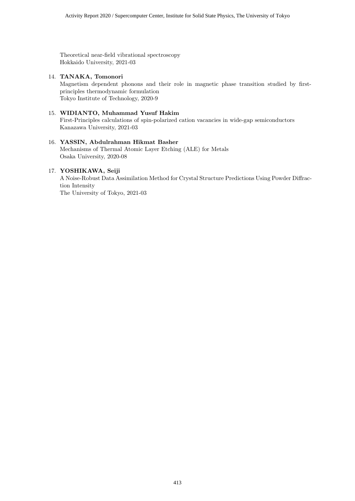Theoretical near-field vibrational spectroscopy Hokkaido University, 2021-03

#### 14. **TANAKA, Tomonori**

Magnetism dependent phonons and their role in magnetic phase transition studied by firstprinciples thermodynamic formulation Tokyo Institute of Technology, 2020-9

#### 15. **WIDIANTO, Muhammad Yusuf Hakim**

First-Principles calculations of spin-polarized cation vacancies in wide-gap semiconductors Kanazawa University, 2021-03

#### 16. **YASSIN, Abdulrahman Hikmat Basher**

Mechanisms of Thermal Atomic Layer Etching (ALE) for Metals Osaka University, 2020-08

#### 17. **YOSHIKAWA, Seiji**

A Noise-Robust Data Assimilation Method for Crystal Structure Predictions Using Powder Diffraction Intensity The University of Tokyo, 2021-03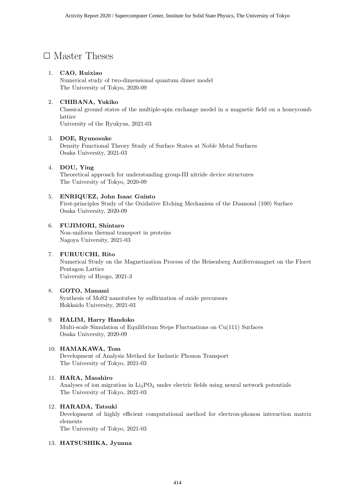# □ Master Theses

#### 1. **CAO, Ruixiao**

Numerical study of two-dimensional quantum dimer model The University of Tokyo, 2020-09

#### 2. **CHIBANA, Yukiko**

Classical ground states of the multiple-spin exchange model in a magnetic field on a honeycomb lattice University of the Ryukyus, 2021-03

#### 3. **DOE, Ryunosuke**

Density Functional Theory Study of Surface States at Noble Metal Surfaces Osaka University, 2021-03

#### 4. **DOU, Ying**

Theoretical approach for understanding group-III nitride device structures The University of Tokyo, 2020-09

#### 5. **ENRIQUEZ, John Isaac Guinto**

First-principles Study of the Oxidative Etching Mechanism of the Diamond (100) Surface Osaka University, 2020-09

#### 6. **FUJIMORI, Shintaro**

Non-uniform thermal transport in proteins Nagoya University, 2021-03

#### 7. **FURUUCHI, Rito**

Numerical Study on the Magnetization Process of the Heisenberg Antiferromagnet on the Floret Pentagon Lattice University of Hyogo, 2021-3

#### 8. **GOTO, Manami**

Synthesis of MoS2 nanotubes by sulfirization of oxide precursors Hokkaido University, 2021-03

#### 9. **HALIM, Harry Handoko**

Multi-scale Simulation of Equilibrium Steps Fluctuations on Cu(111) Surfaces Osaka University, 2020-09

#### 10. **HAMAKAWA, Tom**

Development of Analysis Method for Inelastic Phonon Transport The University of Tokyo, 2021-03

#### 11. **HARA, Masahiro**

Analyses of ion migration in  $Li<sub>3</sub>PO<sub>4</sub>$  under electric fields using neural network potentials The University of Tokyo, 2021-03

#### 12. **HARADA, Tatsuki**

Development of highly efficient computational method for electron-phonon interaction matrix elements

The University of Tokyo, 2021-03

#### 13. **HATSUSHIKA, Jyunna**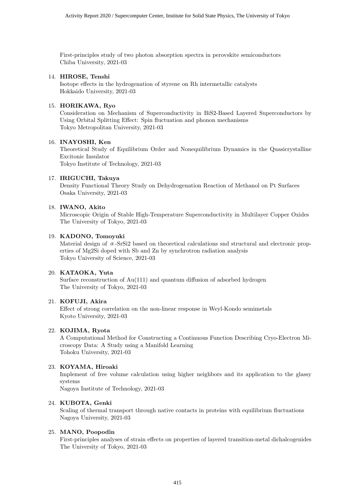First-principles study of two photon absorption spectra in perovskite semiconductors Chiba University, 2021-03

#### 14. **HIROSE, Tenshi**

Isotope effects in the hydrogenation of styrene on Rh intermetallic catalysts Hokkaido University, 2021-03

#### 15. **HORIKAWA, Ryo**

Consideration on Mechanism of Superconductivity in BiS2-Based Layered Superconductors by Using Orbital Splitting Effect: Spin fluctuation and phonon mechanisms Tokyo Metropolitan University, 2021-03

#### 16. **INAYOSHI, Ken**

Theoretical Study of Equilibrium Order and Nonequilibrium Dynamics in the Quasicrystalline Excitonic Insulator Tokyo Institute of Technology, 2021-03

17. **IRIGUCHI, Takuya**

Density Functional Theory Study on Dehydrogenation Reaction of Methanol on Pt Surfaces Osaka University, 2021-03

#### 18. **IWANO, Akito**

Microscopic Origin of Stable High-Temperature Superconductivity in Multilayer Copper Oxides The University of Tokyo, 2021-03

#### 19. **KADONO, Tomoyuki**

Material design of  $\alpha$ -SrSi2 based on theoretical calculations snd structural and electronic properties of Mg2Si doped with Sb and Zn by synchrotron radiation analysis Tokyo University of Science, 2021-03

#### 20. **KATAOKA, Yuta**

Surface reconstruction of Au(111) and quantum diffusion of adsorbed hydrogen The University of Tokyo, 2021-03

#### 21. **KOFUJI, Akira**

Effect of strong correlation on the non-linear response in Weyl-Kondo semimetals Kyoto University, 2021-03

#### 22. **KOJIMA, Ryota**

A Computational Method for Constructing a Continuous Function Describing Cryo-Electron Microscopy Data: A Study using a Manifold Learning Tohoku University, 2021-03

#### 23. **KOYAMA, Hiroaki**

Implement of free volume calculation using higher neighbors and its application to the glassy systems

Nagoya Institute of Technology, 2021-03

#### 24. **KUBOTA, Genki**

Scaling of thermal transport through native contacts in proteins with equilibrium fluctuations Nagoya University, 2021-03

#### 25. **MANO, Poopodin**

First-principles analyses of strain effects on properties of layered transition-metal dichalcogenides The University of Tokyo, 2021-03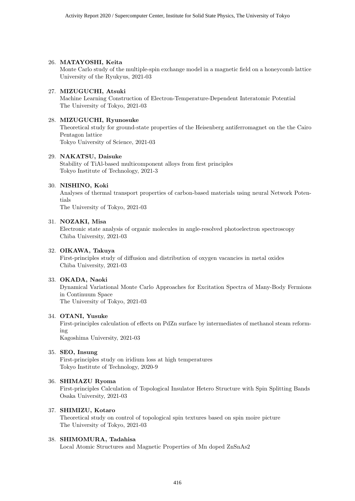#### 26. **MATAYOSHI, Keita**

Monte Carlo study of the multiple-spin exchange model in a magnetic field on a honeycomb lattice University of the Ryukyus, 2021-03

#### 27. **MIZUGUCHI, Atsuki**

Machine Learning Construction of Electron-Temperature-Dependent Interatomic Potential The University of Tokyo, 2021-03

#### 28. **MIZUGUCHI, Ryunosuke**

Theoretical study for ground-state properties of the Heisenberg antiferromagnet on the the Cairo Pentagon lattice Tokyo University of Science, 2021-03

29. **NAKATSU, Daisuke**

Stability of TiAl-based multicomponent alloys from first principles Tokyo Institute of Technology, 2021-3

#### 30. **NISHINO, Koki**

Analyses of thermal transport properties of carbon-based materials using neural Network Potentials The University of Tokyo, 2021-03

#### 31. **NOZAKI, Misa**

Electronic state analysis of organic molecules in angle-resolved photoelectron spectroscopy Chiba University, 2021-03

#### 32. **OIKAWA, Takuya**

First-principles study of diffusion and distribution of oxygen vacancies in metal oxides Chiba University, 2021-03

#### 33. **OKADA, Naoki**

Dynamical Variational Monte Carlo Approaches for Excitation Spectra of Many-Body Fermions in Continuum Space The University of Tokyo, 2021-03

#### 34. **OTANI, Yusuke**

First-principles calculation of effects on PdZn surface by intermediates of methanol steam reforming

Kagoshima University, 2021-03

#### 35. **SEO, Insung**

First-principles study on iridium loss at high temperatures Tokyo Institute of Technology, 2020-9

#### 36. **SHIMAZU Ryoma**

First-principles Calculation of Topological Insulator Hetero Structure with Spin Splitting Bands Osaka University, 2021-03

#### 37. **SHIMIZU, Kotaro**

Theoretical study on control of topological spin textures based on spin moire picture The University of Tokyo, 2021-03

#### 38. **SHIMOMURA, Tadahisa**

Local Atomic Structures and Magnetic Properties of Mn doped ZnSnAs2